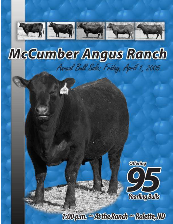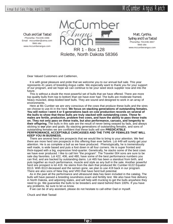*Chuck and Gail Tastad* Phone/fax 701/246-3366 Email: mccumber@utma.com Web site: www.mccumberangus.com



*Matt, Cynthia, Sydney and Eva Tastad* Phone/fax 701/246-3847 Web site:

RR 1 - Box 128 www.mccumberangus.com Rolette, North Dakota 58366

Dear Valued Customers and Cattlemen,

It is with great pleasure and pride that we welcome you to our annual bull sale. This year represents 41 years of breeding Angus cattle. We especially want to thank you for your support of our program, and we hope we can continue to be your seed stock supplier now and into the future.

This is without a doubt the most powerful set of bulls that we have offered. There are more top quality bulls from top to bottom than we have ever had. The bulls are moderate framed, heavy muscled, deep-bodied beef bulls. They are sound and designed to work in an array of environments.

Here at Mc Cumber we are very conscious of the cows that produce these bulls and the sires we choose to use AI in the herd. **We focus on stacking generations of outstanding females. You will notice I went 4 or 5 generations back on cow production records on several of the bulls to show that these bulls are truly stacked with outstanding cows. These females are fertile, productive, problem free cows, and have the ability to pass these traits on. They not only pass on these traits, but also performance, carcass, and longevity to their offspring.** The bulls in this sale are the result of never being swayed by fads, and always sticking to **our** plan and goals. By stacking generations of outstanding females, and sons of outstanding females we are confident that these bulls will sire **PREDICATBLE PERFROMANCE, ACCEPTABLE CARCASSES AND THE TYPE OF FEMALES THAT WILL**

**KEEP YOU IN BUSINESS.**

There are several herd sire prospects that we would like to bring to your attention. We feel there are more herd sire prospects in this offering than ever before. Lot 449 will surely get your attention. He is as complete a bull as we have produced. Phenotypically, he is tremendously well made, is wide based and puts a foot down in all four corners. He is super fronted and thick-topped with a big, expressive hind-quarter. Genetically, he stacks some of the best cows we have ever produced. I like to call him "the program". The Traveler 004 sons are sure to be sale day favorites. Lot 422, 406, and 480, have some of the best performance numbers you can find, and are backed by outstanding dams. Lot 465 has been a standout from birth, and puts together as much performance, muscle and style as any bull in the sale. Another powerful herd sire prospect is lot 419. He stems from the dam that produced Mc Cumber 6122 Equator 8113. With 8113 deceased and the semen gone, we plan to use 419 back in our program. There are also sons of New Day and VRD that have herd bull potential.

As in the past all the performance and ultrasound data has been included in the catalog. The bulls will have passed a breeding soundness exam and fertility test. We also have free delivery in North Dakota, and adjoining states, and will help with trucking to get the bulls anywhere they need to go. We guarantee the bulls to be breeders and stand behind them 100%. If you have any problems, be sure to let us know.

If we can be of any assistant, please do not hesitate to call either Dad or myself.

Chuck and Matt Tastad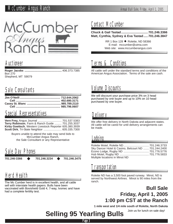

# Auctioneer

**Roger Jacobs ...............................................** 406.373.7385 Box 270 Shepherd, MT 59079

# Sale Consultants

# Special Representatives

**Vern Frey,** Angus Journal .............................. 701.537.5383 **Terry Robinson**, Farm & Ranch Guide ......... 701.255.3037 **Kirby Goettsch**, Western Livestock Reporter 605.380.3939 **Scott Dirk**, Tri-State Neighbor ....................... 605.335.7300

Buyers unable to attend the sale may send bids to McCumber Angus Ranch, the Sale Consultant or any Representative

# Sale Day Phones

**701.246-3366 701.246.3234 701.246.3475**

# Herd Health

The Mc Cumber herd is in excellent health, and all cattle sell with interstate health papers. Bulls have been vaccinated with Bovishield Gold 4, 7-way, Ivomec and have had a complete fertility test.

# Contact McCumber

#### **Chuck & Gail Tastad............................... 701.246.3366 Matt, Cynthia, Sydney & Eva Tastad ..... 701.246.3847**

RR 1 Box 128 ♦ Rolette, ND 58366 E-mail: mccumber@utma.com Web site: www.mccumberangus.com

# Terms & Conditions

All cattle sell under the standard terms and conditions of the American Angus Association. Terms of the sale are cash.

# Volume Discounts

We will discount your purchase price 3% on 3 head purchased by one buyer and up to 10% on 10 head purchased by one buyer.

# **Delivery**

We offer free delivery in North Dakota and adjacent states. All cattle will be cared for until delivery arrangements can be made.

# Lodging

| Sky Dancer Hotel & Casino, Belcourt ND  701.244.2400 |  |
|------------------------------------------------------|--|
|                                                      |  |
|                                                      |  |
| Multiple locations in Minot ND                       |  |

# **Transportation**

Rolette ND has a 3,500 foot paved runway. Minot, ND is served by Northwest Airlines. Minot is 90 miles from the ranch.

## **Bull Sale Friday, April 1, 2005 1:00 pm CST at the Ranch**

**1 mile west and 1/4 mile south of Rolette, North Dakota**

Join us for lunch on sale day!

# **Selling 95 Yearling Bulls**

Page 3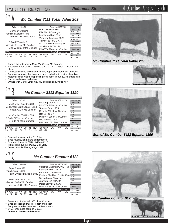# Annual Bull Sale, Friday, April 1, 2005 **Reference Sires** McCumber Angus Ranch

#### *Mc Cumber 7111 Total Value 209* **Sire**

| Calved: 1/20/02                                                                     | Reg. No.14201122                                                                               | Individual                                                               |
|-------------------------------------------------------------------------------------|------------------------------------------------------------------------------------------------|--------------------------------------------------------------------------|
| <b>Connealy Dateline</b><br>Vermilion Dateline 7078<br>Vermilion Blackbird 5044     | D H D Traveler 6807<br>Eila Eila of Conanga<br>Leachman Right Time<br>Vermilion Blackbird 3525 | Record<br><b>BW</b><br>88<br>865<br>ww<br>726<br>205<br><b>WR</b><br>110 |
| G D A R Traveler 71<br>Miss Wix 7111 of Mc Cumber<br>Miss Wix 365 of Mc Cumber      | Traveler 1148 G D A R<br>G D A R Miss Blackcap 567<br>Shoshone 247 P J M                       | ADG<br>4.02<br>1400<br>1369<br>365<br>YR<br>111                          |
| <b>EPDs</b>                                                                         | Miss Wix 294 of Mc Cumber<br><b>Dam's Production</b>                                           | \$Values<br>22.56<br>SI.                                                 |
| <b>WW</b><br>SC<br><b>RFA</b><br>IMF<br><b>BW</b><br>YW<br>.58<br>86<br>.86<br>- 07 | <b>WW</b><br><b>BW</b><br><b>YW</b><br>%RP<br>Fat<br>-012<br>-29                               | 27.44<br>\$F<br>8.22<br>\$G<br>29.49                                     |

- Dam is the outstanding Miss Wix 7111 of Mc Cumber
- Recorded a 205 day wt 726/110, G 4.02/113 ,Y 1369/111, with a 14.7 ribeye.
- Consistently sires exceptional length, depth and sound feet and legs.
- Daughters are very feminine and deep bodied, with a wide chest floor. • Maternal sister was the top selling bred heifer in our 2003 Female sale.
- Successfully used on heifers.
- Owned with Marcy Cattle Co., NE and Redland Angus, WY.

#### *Mc Cumber 8113 Equator 1190* Sire **B**

| Calved: 3/25/01                                                                   | Reg. No.13913278                                                                                | Individual                                    |
|-----------------------------------------------------------------------------------|-------------------------------------------------------------------------------------------------|-----------------------------------------------|
| Mc Cumber Equator 6122<br>Mc Cumber 6122 Equator 8113<br>Rosetta 421 of Mc Cumber | Papa Equator 2928<br>Miss Wix 365 of Mc Cumber<br>Tehama Bando 155<br>Rosetta 297 of Mc Cumber  | Record<br>BW<br><b>WW</b><br>205<br><b>WR</b> |
| Mc Cumber 054 Rito 326<br>B Pride 7159 of Mc Cumber<br>B Pride 71 of Mc Cumber    | Rito 054 G D A R<br>Miss Wix 365 of Mc Cumber<br>Rito 2100 G D A R<br>B Pride 4103 of Mc Cumber | ADG<br>YW<br>365<br>YR<br><b>\$Values</b>     |
| <b>EPDs</b>                                                                       | Dam's Production                                                                                | 24.57<br>\$W                                  |
| SC.<br>RFA<br>YW<br>IMF<br>Milk<br>R١<br>-45<br>76<br>-75<br>05<br>45<br>32       | <b>WW</b><br><b>YW</b><br><b>BW</b><br>%RP<br>Fat<br>22<br>00.9                                 | 17.53<br>13 16<br>30.51                       |

- Selected to carry on the 8113 line.
- Sires muscle, length and performance.
- Scanned ribeye 14.6/116, IMF 4.44/115
- High selling bull in our 2002 Bull Sale.
- Owned with Rothiemay Angus, MT
- 



#### *Mc Cumber Equator 6122*

| Calved: 3/08/96<br>Reg. No.12578562<br>Individual                                                                                                                                                                                              |  |
|------------------------------------------------------------------------------------------------------------------------------------------------------------------------------------------------------------------------------------------------|--|
| Cottontail Maternal POWER464<br>Record<br>Papa Power 096<br><b>BW</b><br>Blackbird D H D 2816<br>WW.<br>Papa Equator 2928<br>Papa Rito Traveler 4807<br>205<br>Papa Envious Blackbird 8849<br><b>WR</b><br>Envious Blackbird D H D 5848<br>ADG |  |
| Schearbrook Shoshone<br>YW<br>Shoshone 247 P J M<br>365<br>Juanada 104 of P J M<br>Miss Wix 365 of Mc Cumber<br>YR<br>Marshall Pride 18 A O<br>Miss Wix 294 of Mc Cumber<br>Miss Wix 682 of Mc Cumber<br><b><i><u>SValues</u></i></b>          |  |
| 20.54<br>\$W<br>Dam's Production<br><b>EPDs</b><br>18.99<br>\$F<br><b>WW</b><br><b>YW</b><br><b>BW</b><br>SC.<br>RFA<br>Fat %RP<br>YW<br>IMF<br>WW.<br>11.54<br>76<br>90<br>-52<br>- 10<br>- 007<br>.54                                        |  |

- Direct son of Miss Wix 365 of Mc Cumber
- Sires exceptional muscle, length and depth
- Daughters are feminine, with perfect udders
- DNA Tenderness score of 5 stars
- **Leased to Accelerated Genetics**



 *Mc Cumber 7111 Total Value 209*







Page 4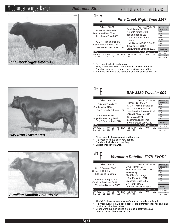# McCumber Angus Ranch **Reference Sires** Annual Bull Sale, Friday, April 1, 2005

*Reference Sires*



# **Sire**

**Sire** 

#### *Pine Creek Right Time 1147*

| Calved: 2/22/97<br>N Bar Emulation EXT<br>Leachman Right Time<br>Leachman Erica 0025                                        | Reg. No.12949678<br>Fmulation N Bar 5522<br>N Bar Primrose 2424<br>Tehama Bando 155<br>Leachman Frica 8058 | Individual<br>Record<br>BW<br>WW<br>205<br>WR                            |
|-----------------------------------------------------------------------------------------------------------------------------|------------------------------------------------------------------------------------------------------------|--------------------------------------------------------------------------|
| G D A R Rainmaker 340<br>Sitz Everelda Entense 1137<br>Sitz Everelda Entense 2335                                           | Lovana<br>Lady Blackbird 987 G D A R<br>Traveler 124 G D A R                                               | <b>ADG</b><br>YW<br>365<br><b>YR</b>                                     |
| <b>EPD<sub>s</sub></b><br>ВW<br>SC<br>IMF<br>REA<br>Milk YW<br><b>WW</b><br>102.35<br>.31<br>3.3<br>$.039 - 17$<br>56<br>22 | Sitz Everelda Entense 2821<br>Dam's Production<br><b>BW</b><br><b>WW</b><br>YW<br>Fat %RP<br>22            | <b><i><u>SValues</u></i></b><br>25.86<br>38.63<br>\$F<br>$-366$<br>24.36 |

- Sires length, depth and muscle.
- They should be able to perform under any environment
- Daughters are deep roomy females with perfect udders.
- Note that his dam is the famous Sitz Everelda Entense 1137





BW WW Milk YW SC IMF REA Fat %RP BW WW YW 2.3 65 27 113 .53 0 .44 .012 .20 27 113 .53 EPDs Dam's Production Individual Record BW WW  $205$ WR ADG YW 365 YR \$Value \$W 29.25<br>\$F 46.24 \$F 46.24<br>\$G 7.37 \$G 7.37 \$B 38.21 *SAV 8180 Traveler 004* Calved: 01/01/00 Reg. No.13512009 G D A R Traveler 71 G D A R G D A R<br>Sitz Traveler 8180 G D A R Miss Blackcap 567<br>Sitz Everelda Entense 1137 G D A R Rainmaker 340<br>Sitz Everelda Entense 2335 A A R New Trend V D A R Shoshone 548<br>
Boyd Forever Lady 8003 Donna A A R 74<br>
S V F Forever Lady 57D S V F Forever Lady 1128

- Sires deep, high volume cattle with muscle.
- His first son's have been very popular
- Dam is a flush sister to New Day
- Exceptional performance.



- The VRDs have tremendous performance, muscle and length<br>• His first daughters have good udders, are extremely easy fles
- His first daughters have good udders, are extremely easy fleshing, and do nice job with their calves.
- VRD's were our high selling sire group in last year's sale.
- Look for more of his son's in 2006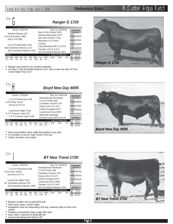| Sire                                                                                                                | <b>Ranger G 1720</b>                                                                           |                                                        |
|---------------------------------------------------------------------------------------------------------------------|------------------------------------------------------------------------------------------------|--------------------------------------------------------|
| Calved: 09/01/00                                                                                                    | Reg. No.13953039                                                                               | Individual                                             |
| Tehama Bando 155<br>G A R Precision 1680<br>9J9 G A R 856                                                           | Band 234 of Ideal 3163<br>Tehama Blackcap G373<br>Rito 9J9 of B156 7T26<br>Blackbird G A R 833 | Record<br><b>BW</b><br>WW<br>205<br><b>WR</b><br>ADG   |
| G D A R Rainmaker 340<br>Sitz Everelda Entense 1137<br>Sitz Everelda Entense 2335                                   | Lovana<br>Lady Blackbird 987 G D A R<br>Traveler 124 G D A R<br>Sitz Everelda Entense 2821     | YW<br>365<br><b>YR</b><br><b><i><u>SValues</u></i></b> |
| <b>EPDs</b><br>SC.<br><b>WW</b><br>Milk<br>IMF<br><b>RFA</b><br>YW<br>23<br>85<br>-.61<br>.64<br>45<br>- 020<br>3.5 | Dam's Production<br><b>BW</b><br><b>WW</b><br>YW<br>%RP<br>Fat<br>63<br>88                     | 22.52<br>S.<br>26.10<br>26.63<br>48.37<br>SВ           |

• Ranger was used for his carcass potential

• His dam is Sitz Everelda Entense 1137, who is also the dam of Pine Creek Right Time 1147.



*Boyd New Day 8005*

| Calved: 01/02/98                                                                                           | Reg. No.13050780                                                                            | Individual                                      |
|------------------------------------------------------------------------------------------------------------|---------------------------------------------------------------------------------------------|-------------------------------------------------|
| VDAR Shoshone 548<br>A A R New Trend<br>Donna A A R 74                                                     | Schearbrook Shoshone<br>VDAR Polly 308<br>Candolier Forever 376<br>Donna 244 G D A R        | Record<br>BW<br><b>WW</b><br>205<br>WR<br>ADG   |
| Leachman Right Time<br>S V F Forever Lady 57D<br>S V F Forever Lady 1128                                   | N Bar Emulation EXT<br>Leachman Erica 0025<br>Skarship Saratoga<br>Forever Lady 163 G D A R | YW<br>365<br>YR<br><b><i><u>SValues</u></i></b> |
| <b>EPDs</b>                                                                                                | Dam's Production                                                                            | 23.58                                           |
| SC<br><b>RFA</b><br>Milk YW<br>IMF<br><b>WW</b><br><b>BW</b><br>25<br>-71<br>105<br>- 72<br>50<br>$\Omega$ | <b>BW</b><br><b>WW</b><br><b>YW</b><br>%RP<br>Fat<br>.51<br>003                             | 44.01<br>SF<br>\$G<br>947<br>39.39              |

• Sires long bodied, thick cattle that perform very well.

• A ¾ brother to our BT New Trend 172K bull

• Calves are born very easily



*Ranger G 1720*



#### *BT New Trend 172K*

| Calved: 02/02/00                                                                                     | Reg. No.13629635                                                                                   | Individual                                      |
|------------------------------------------------------------------------------------------------------|----------------------------------------------------------------------------------------------------|-------------------------------------------------|
| V D A R Shoshone 548<br>A A R New Trend<br>Donna A A R 74                                            | Schearbrook Shoshone<br>V D A R Polly 308<br>Candolier Forever 376<br>Donna 244 G D A R            | Record<br>BW<br>ww<br>205<br>WR<br>ADG          |
| Leachman Right Time<br>BT Everelda Entense 57D<br>Sitz Everelda Entense 1905                         | N Bar Emulation FXT<br>Leachman Erica 0025<br>Traveler 124 G D A R<br>Sitz Everelda Entense 1791   | YW<br>365<br>YR<br><b><i><u>SValues</u></i></b> |
| <b>EPDs</b><br>SC<br><b>REA</b><br>WW.<br>IMF<br>Milk<br>YW<br>38<br>36<br>2.65<br>60.<br>- 17<br>37 | <b>Dam's Production</b><br><b>YW</b><br><b>BW</b><br><b>WW</b><br>Fat<br>%RP<br>$15 - 014$<br>- 25 | 24.47<br>5.32<br>19 15                          |
|                                                                                                      |                                                                                                    |                                                 |

• Breeds number one scrotal EPD bull

• Sires long, deep, correct cattle.

- Daughters have an astounding 104 avg. weaning ratio on their first calves.
- Progeny consistently have a high IMF ratio.

• Dam sold 1/2 interest for \$190,000.00<br>• Owned with Beartooth Ranch, MT

• Owned with Beartooth Ranch, MT



Page 6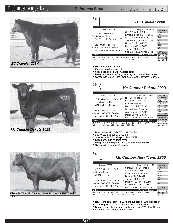# McCumber Angus Ranch **Reference Sires** Annual Bull Sale, Friday, April 1, 2005

*Reference Sires*







- Maternal brother to 172K
- Excellent calving ease bull.
- Sires deep bodied, well muscled cattle.
- Daughters have a 106 avg. weaning ratio on their first calves.
- Owned with Glacial Ridge Cattle, MN. And Beartooth Ranch, MT

#### *Mc Cumber Dakota 9023* Sire

| Calved: 03/10/99                                                             | Reg. No.13365343                                                                                   | Individual                                                             |
|------------------------------------------------------------------------------|----------------------------------------------------------------------------------------------------|------------------------------------------------------------------------|
| R R 9440 Scotch Cap 1483<br>R R Ferdinand 758D<br>Blackcap of R R 5367       | R R Scotchcap 9440<br>Eriskay of Rollin Rock 8211<br>R R Vantage 3352<br>Blackcap of R R 0238      | Record<br>BW<br>97<br>672<br>ww<br>205<br>681<br>WR<br>100<br>ADG 3.96 |
| Shoshone 247 P J M<br>Miss Wix 365 of Mc Cumber<br>Miss Wix 294 of Mc Cumber | Schearbrook Shoshone<br>Juanada 104 of P J M<br>Marshall Pride 18 A O<br>Miss Wix 682 of Mc Cumber | 1230<br>1315<br>365<br>100<br>ΥR<br>\$Values                           |
| <b>EPDs</b><br>SC<br>RFA<br><b>WW</b><br>IMF<br>Milk YW<br><b>BW</b>         | Dam's Production<br><b>BW</b><br><b>WW</b><br><b>YW</b><br>Fat %RP                                 | 23.99<br>31<br>\$F<br>12.97<br>8.49<br>\$G                             |
| 37<br>68<br>1 1 3<br>15<br>12<br>15<br>$-07$                                 | $-004$                                                                                             |                                                                        |

- Direct son of Miss Wix 365 of Mc Cumber
- 205 wt 681 and 365 wt 1315 lbs.
- Scanned a 14.7/113 ribeye, 4.26/117 IMF
- Sires deep, high volumed cattle.
- Daughters are deep and roomy with excellent udders
- Owned with Diamond W Ranch, TX.



- New Trend son out of Mc Cumber Foundation 701's flush sister
- Stamping his calves with depth, muscle and thickness.
- Daughters are the image of his dam Miss Wix 705 of Mc Cumber.<br>• Scanned a 14.7 ribeve and 3.72 IMF
- Scanned a 14.7 ribeye and 3.72 IMF



**1206**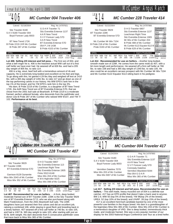# $Lot 406$

### *MC Cumber 004 Traveler 406*

| Calved: 01/18/2004                                                          |                                        | Reg. No.14797921                                     |                                                                    |                             |
|-----------------------------------------------------------------------------|----------------------------------------|------------------------------------------------------|--------------------------------------------------------------------|-----------------------------|
| Sitz Traveler 8180<br>SAV 8180 Traveler 004<br>Boyd Forever Lady 8003       | G D A R Traveler 71<br>A A R New Trend | Sitz Everelda Entense 1137<br>S V F Forever Lady 57D | Individual<br>Record<br><b>BW</b><br><b>WW</b><br>205<br><b>WR</b> | 89<br>826<br>805<br>114     |
| BT New Trend 172K<br>B Pride 2219 JVR Mc Cumber<br>B Pride 287 of Mc Cumber | A A R New Trend<br>054 P J M 1438      | BT Everelda Entense 57D<br>B Pride 4103 of Mc Cumber | ADG<br>YW<br>365<br><b>YR</b>                                      | 4.29<br>1410<br>1491<br>117 |
| <b>EPDs</b>                                                                 |                                        | Dam's Production                                     | <b>Ultrasound</b><br>Data                                          | IMF 3.03/100                |

**Lot 406**- **Selling 2/3 interest and full poss. -** The first son of 004, and what a bell ringer he is. 406 is the heaviest actual WW calf out of a first calf heifer we have ever had. He weaned off at 826 lbs. and had a 205 BW WW Milk YW SC IMF REA Fat %RP BW WW YW 3.0 55 30 95 -.03 .31 .00 -.24 1/104 1/114 1/117 IMF 3.03/100 REA14.6/106 Fat .29/94

day weight of 805 lbs. to ratio 114. 406 is a big, stout, beef bull with a tremendous amount of rib and capacity. He is extremely long bodied and excellent on his feet and legs. To go along with this, he gained 4.29 lbs./day and weighed off test at 1410 lbs. with a 365 day weight of 1491 lbs. to ratio 117 and go down as one of the top performing calves in our history. His WW EPD's rank him in the

top 1% of the breed, and his YW EPD's rank him in the top 3%. His dam, B Pride 2219 of Mc Cumber, is a daughter of BT New Trend 172K, the AAR New Trend son of BT Everelda Entense 57D, that we chose from the 2001 bull sale at Beartooth. B Pride 2219 is a moderate framed, perfect uddered female, who descends from the pathfinder and donor cow B Pride 287 of Mc Cumber who ratioed WW 9/107, and YW 7/ 102. **Performance at its best**.



| Calved: 01/19/2004                                                                                                                                                                                               | Reg. No.14797922                                                                                      |                                                                                               |  |
|------------------------------------------------------------------------------------------------------------------------------------------------------------------------------------------------------------------|-------------------------------------------------------------------------------------------------------|-----------------------------------------------------------------------------------------------|--|
| Sitz Traveler 9929<br>BT Traveler 228K<br>BT Everelda Entense 57D                                                                                                                                                | D H D Traveler 6807<br>Sitz Everelda Entense 113<br>Leachman Right Time<br>Sitz Everelda Entense 1905 | Individual<br>Record<br><b>BW</b><br>83<br>746<br><b>WW</b><br>205<br>737<br><b>WR</b><br>105 |  |
| Garrison 8128 Dynamite<br>Miss Wix 2043 of Mc Cumber<br>Miss Wix 352 of Mc Cumber                                                                                                                                | Finks 5522-6148<br>Miss Wix 204 of Mc Cumber<br>K M A Highroller 5025<br>Miss Wix 098 of Mc Cumber    | ADG<br>3.56<br><b>YW</b><br>1230<br>365<br>1307<br>YR.<br>103<br><b>Ultrasound</b>            |  |
| EPDs                                                                                                                                                                                                             | <b>Dam's Production</b>                                                                               | Data<br><b>IMF</b><br>2.63/87                                                                 |  |
| BW WW<br>SC.<br>IMF<br>Milk YW<br>2.3 36<br>30<br>58<br>.01<br>.11                                                                                                                                               | REA Fat %RP<br><b>BW</b><br><b>WW</b><br><b>YW</b><br>1/105<br>1/98<br>1/103<br>$-0.05$ 15            | REA14.3/104<br>Fat<br>.24/77                                                                  |  |
| Lot 407- Recommended for use on heifers. - A thick, deep bodied,<br>moderate framed son of BT Traveler 228K, 228K is the Sitz Traveler 9929<br>son of BT Everelda Entense 57 D, who we also purchased along with |                                                                                                       |                                                                                               |  |

son of BT Everelda Entense 57 D, who we also purchased along with Mark Frederickson, from the 2001 Beartooth bull sale. The 228K daughters have just weaned their first calves and did an excellent job, ratioing a combined 106, while staying in good flesh and breeding back in a timely fashion. 407 weaned off a first calf heifer at 746 lbs. to ratio 105, and had a 1307 lb. 365 day weight to ratio 103, after starting with just an 83 lb. birth weight. His dam descends from 5 consecutive pathfinder cows that trace back to Miss Wix 365 of Mc Cumber.



#### *MC Cumber 228 Traveler 414*

#### Calved: 01/22/2004 Reg. No. 14797966

| Sitz Traveler 9929                 | D H D Traveler 6807           |                        | Individual<br>Record |             |
|------------------------------------|-------------------------------|------------------------|----------------------|-------------|
| BT Traveler 228K                   | Sitz Everelda Entense 1137    |                        | <b>BW</b>            | 91          |
|                                    | Leachman Right Time           |                        | <b>WW</b>            | 766         |
| BT Everelda Entense 57D            | Sitz Everelda Entense 1905    |                        | 205                  | 759         |
|                                    |                               |                        | <b>WR</b>            | 108         |
|                                    | Mr Wix of Mc Cumber 204       |                        | ADG                  | 3.63        |
| Mc Cumber Mr Wix 7104              | B Pride 488 of Mc Cumber      |                        | <b>YW</b>            | 1260        |
| B Pride 218 of Mc Cumber           |                               |                        | 365                  | 1340        |
| Pride 0193 of Mc Cumber            | Mc Cumber 6122 Equator 8113 B |                        | <b>YR</b>            | 105         |
|                                    | B Pride 629 of Mc Cumber      |                        |                      |             |
|                                    |                               |                        |                      | Ultrasound  |
| EPDs                               |                               | Dam's Production       | Data                 |             |
|                                    |                               |                        | IMF                  | 2.58/85     |
| ВW<br>SC.<br>RFA<br>IMF<br>YW      | <b>BW</b><br>%RP<br>Fat       | <b>WW</b><br><b>YW</b> |                      | REA 13.6/99 |
| 2.3<br>63<br>36<br>32<br>.00<br>04 | 1/106<br>$-.08$<br>005        | 1/105<br>1/108         | Fat                  | .34/110     |

**Lot 414** - **Recommended for use on heifers. -** Another long bodied, smooth made son of 228K. He comes from the same mold as 407, with a bit more length and performance. He weaned off a first calf heifer at 766 lbs. to ratio 108 and had a 365 day weight of 1340 lbs. to ratio 105. He also could be an excellent carcass prospect with Mc Cumber Mr Wix 7104 and Mc Cumber 6122 Equator 8113 sitting back in his pedigree.



**Miss Wix 5007 of M** 



### *MC Cumber 004 Traveler 417*   $\frac{\text{Lot}}{417}$

| Calved: 01/24/2004                                                                                                                                                                                                                                                | Reg. No.14797993                                                                                                                                                                                        |                                                                                                                                                                                    |
|-------------------------------------------------------------------------------------------------------------------------------------------------------------------------------------------------------------------------------------------------------------------|---------------------------------------------------------------------------------------------------------------------------------------------------------------------------------------------------------|------------------------------------------------------------------------------------------------------------------------------------------------------------------------------------|
| Sitz Traveler 8180<br>SAV 8180 Traveler 004<br>Boyd Forever Lady 8003<br>Vermilion Dateline 7078<br>Miss Wix 203 of Mc Cumber<br>Miss Wix 5007 of Mc Cumber                                                                                                       | G D A R Traveler 71<br>Sitz Everelda Entense 1137<br>A A R New Trend<br>S V F Forever Lady 57D<br><b>Connealy Dateline</b><br>Vermilion Blackbird 5044<br>Rito 054 G D A R<br>Miss Wix 365 of Mc Cumber | Individual<br>Record<br><b>BW</b><br>84<br><b>WW</b><br>680<br>205<br>686<br>WR.<br>97<br>ADG<br>4.13<br><b>YW</b><br>1242<br>1347<br>365<br><b>YR</b><br>105<br><b>Ultrasound</b> |
| EPDs                                                                                                                                                                                                                                                              | Dam's Production                                                                                                                                                                                        | Data                                                                                                                                                                               |
| BW WW<br><b>SC</b><br>Milk YW<br>IMF<br><b>REA</b><br>24<br>2.6<br>50<br>96<br>$-.10$<br>.56                                                                                                                                                                      | <b>BW</b><br><b>WW</b><br><b>YW</b><br>Fat %RP<br>1/99<br>1/97<br>1/105<br>.003<br>.43                                                                                                                  | 2.58/85<br>IMF<br>REA14,8/107<br>Fat<br>.26/84                                                                                                                                     |
| Lot 417 - Selling 2/3 interest and full poss. Recommended for use on<br>heifers. - This well made, heavy muscled son of 004 is a definite eye<br>tang bandaran di kacamatan sa Kabupatén Jawa Jawa Barat, Kabupatén Bandaran Ing Kabupatén Jawa Kabupatén Jawa Ka |                                                                                                                                                                                                         |                                                                                                                                                                                    |

**heifers. -** This well made, heavy muscled son of 004 is a definite eye catcher. 417 has an EPD profile that doesn't take a back seat to anyone. BW 2.6; WW 50 (top 5% of the breed); YW 96(top 2% of the breed); UREA .52 (top 10% of the breed); and U%RP .39 (top 15% of the breed). 417 is an excellent herd bull candidate backed by one of the most

powerful cow families in the Angus breed. His dam is a granddaughter of the legendary Miss Wix 365 of Mc Cumber. Miss Wix 203 of Mc Cumber is a tremendous daughter of VRD. She is deep bodied, tremendously thick made, and moderate framed. She was a very popular member of our display for the 2003 National Angus Conference and Tour as a bred heifer.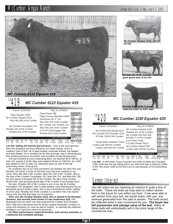

*MC Cumber 6122 Equator 419* 

#### *MC Cumber 6122 Equator 419*   $\frac{\text{Lot}}{419}$

| Calved: 01/24/2004                                                               | Reg. No.14798007                                                                                 |                                                                            |
|----------------------------------------------------------------------------------|--------------------------------------------------------------------------------------------------|----------------------------------------------------------------------------|
| Papa Equator 2928<br>Mc Cumber Equator 6122<br>Miss Wix 365 of Mc Cumber         | Papa Power 096<br>Papa Envious Blackbird 8849<br>Shoshone 247 P J M<br>Miss Wix 294 of Mc Cumber | Individual<br>Record<br><b>BW</b><br>92<br>786<br><b>WW</b><br>743<br>205  |
| Mc Cumber Foundation 701<br>Rosetta 162 of Mc Cumber<br>Rosetta 601 of Mc Cumber | Mc Cumber 124 Traveler 212<br>Miss Wix 235 of Mc Cumber<br>G D A R Gold Nugget 766               | <b>WR</b><br>110<br>ADG<br>4.15<br>1350<br>YW<br>365<br>1407<br>YR.<br>111 |
| <b>EPDs</b>                                                                      | Rosetta 421 of Mc Cumber<br>Dam's Production                                                     | <b>Ultrasound</b><br>Data<br>IMF 3.49/102                                  |
| SC.<br>IMF<br><b>REA</b><br>WW.<br>Milk YW<br>73<br>38<br>24<br>$-.04$<br>-16    | <b>YW</b><br><b>BW</b><br><b>WW</b><br>%RP<br>Fat<br>1/111<br>026<br>2/104<br>- 41               | REA 13.5/96<br>Fat<br>.5/152                                               |

**Lot 419**- **Selling 2/3 interest and full poss. -** One of the most genuine herd sire prospects we have offered in our entire history. 419 is a cowboy's type of bull. He is deep bodied, moderate framed, big topped, and thick butted. He is excellent on his feet and legs, and is tremendously free striding and loose structured, with excellent scrotal development.

419 has excelled at every measuring point. He weaned off at 786 lbs. to ratio 110, gained 4.15 lbs./day, and weighed off test at 1350 lbs. for a 365 day weight of 1407 to ratio 111, taking his place as one of the top performing calves of the group.

He combines two of our most prominent cow families the Miss Wix and Rosetta. He traces to three of the best cows that ever resided on our ranch. Miss Wix 365 of Mc Cumber, Miss Wix 235 of Mc Cumber; who is the dam of Mc Cumber Foundation 701, Miss Wix 702, and Miss Wix 705. He also traces to Rosetta 405 of Mc Cumber, the dam of Mc Cumber Stretch 604, and the great grand dam of Mc Cumber 6122 Equator 8113.

His dam, Rosetta 162 of Mc Cumber is one of our top Mc Cumber Foundation 701 daughters. She is deep bodied, easy fleshing and has an absolutely picture perfect udder. She is also tremendously fertile, settling AI every year. Rosetta 162 of Mc Cumber is a problem free, low maintenance cow, the kind that keep you in business.

**419's sire, Mc Cumber Equator 6122, who is leased to Accelerated Genetics, has recently been tested a 5 star tenderness bull.** 419 descends from the same cow that produced Mc Cumber 6122 Equator 8113. With 8113 deceased and his semen supply exhausted, we plan on using 419 ourselves on cows as well as heifers - to intensify the maternal heritage in our herd from which he descends.

**He offers performance, maternal function, and carcass potential, in a balanced and complete package.**



**Mc Cumber Equator 6122, sire lot 419**



**Rosetta 421 of Mc Cumber, great grand dam of lot 419**



**maternal sister to 419's dam**

#### *MC Cumber 1190 Equator 420*  $\frac{Lot}{420}$

#### Calved: 01/24/2004 Reg. No.14798015

Mc Cumber 6122 Equator 8113 Mc Cumber Equator 6122<br>MC Cumber 8113 Equator 1190 Rosetta 421 of Mc Cumber<br>B Pride 7159 of Mc Cumber B Pride 71 of Mc Cumber

Prairie Eden Southern Trend<br>
Lovely Lady 669 Mc Cumber<br>
P E Miss Power Play 3<br>
Lovely Lady 845 Mc Cumber Mc Cumber Stretch 604<br>
Lovely Lady 209 Mc Cumber



| <b>EPDs</b>                                                                                                                                                                  |  | Dam's Production | <b>Data</b> |
|------------------------------------------------------------------------------------------------------------------------------------------------------------------------------|--|------------------|-------------|
| BW WW Milk YW SC IMF REA Fat %RP BW WW YW REA 12.8/91<br>BW WW Milk YW SC IMF REA Fat %RP BW WW YW REA 12.8/91<br>3.9 39 16 65 .03 .12 -.002 .03 7/103 7/95 4/100 Fat .29/88 |  |                  |             |
|                                                                                                                                                                              |  |                  |             |
|                                                                                                                                                                              |  |                  |             |

**Lot 420** - A well made, heavy muscled son of Mc Cumber 8113 Equator 1190. 1190 was the top selling bull in our 2002 bull sale to Spencer Griffin in MT. We chose 1190 as the 8113 son to use because of his tremendous dam.

# Semen Interest

You will notice we are retaining an Interest in quite a few of the bulls. These are bulls we may want to collect semen from in the future for use within our herd. If we were able to sell semen from your bull, we would share, with you, any revenue generated from the sale of semen. The bulls would be collected when it was convenient for you. **The buyer has full possession and salvage value of the bull.** Many of these bulls will undoubtedly sell in the price range of the commercial man.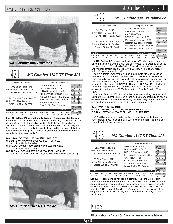

#### *MC Cumber 1147 RT Time 421*  $\frac{\text{Lot}}{21}$

| Calved: 01/25/2004                                                              | Reg. No.14798026                                                                                  |                                                                                        |
|---------------------------------------------------------------------------------|---------------------------------------------------------------------------------------------------|----------------------------------------------------------------------------------------|
| Leachman Right Time<br>Pine Creek Right Time 1147<br>Sitz Everelda Entense 1137 | N Bar Emulation EXT<br>Leachman Erica 0025<br>G D A R Rainmaker 340<br>Sitz Everelda Entense 2335 | Individual<br>Record<br>BW<br>85<br>746<br><b>WW</b><br>708<br>205<br><b>WR</b><br>105 |
| Mc Cumber Foundation 701<br>Gale 120 of Mc Cumber<br>Gale 839 of Mc Cumber      | Mc Cumber 124 Traveler 212<br>Miss Wix 235 of Mc Cumber<br>R R Ferdinand 758D                     | ADG<br>3.71<br>1250<br>YW<br>365<br>1302<br>YR<br>103                                  |
| <b>EPDs</b>                                                                     | Gale 5127 of Mc Cumber<br><b>Dam's Production</b>                                                 | Ultrasound<br>Data<br>IMF 4.05/119                                                     |
| SC.<br>IMF<br>RFA<br>WW.<br>Milk<br>YW<br>79<br>.09<br>43<br>つつ<br>-15          | <b>YW</b><br><b>BW</b><br><b>WW</b><br>%RP<br>Fat<br>2/102<br>2/95<br>2/103<br>045<br>$-41$       | RFA<br>13.4/95<br>Fat<br>48/145                                                        |

**Lot 421**- **Selling 2/3 interest and full poss.** - **Recommended for use on heifers. -** 421 is a moderate framed, tremendously heavy muscled son of Pine Creek Right Time 1147. His dam, Gale 120 of Mc Cumber, is another one of those tremendous Mc Cumber Foundation 701 daughters. She is moderate, deep bodied, easy fleshing, and has a wonderful udder. 421 stems from a long line of productive, herd bull producing, light birth weight cows that excel for IMF.

#### **Dam - BW 2/95; WW 2/103; YW 2/102; IMF 1/137**

- **G. Dam BW 5/97; WW 5/102; YW 4/104; IMF 3/112** (Dam of lot 490 in this sale)
- **G. G. Dam BW 8/97; WW 8/102; YW 8/103; IMF 6/111** (Dam of lot 453 in this sale)

**G.G. G. Dam - BW 9/94; WW 9/103; YW 9/100; IMF 6/100** (Dam of Mc Cumber 953 Rito 420, and Mc Cumber Next Step 9012)



 $Lot422$ 

#### *MC Cumber 004 Traveler 422*

| Calved: 01/25/2004                                                                                                                                            | Reg. No.14798037                                                                                                                                                                   |                                                                                                                                                               |
|---------------------------------------------------------------------------------------------------------------------------------------------------------------|------------------------------------------------------------------------------------------------------------------------------------------------------------------------------------|---------------------------------------------------------------------------------------------------------------------------------------------------------------|
| Sitz Traveler 8180<br>SAV 8180 Traveler 004<br>Boyd Forever Lady 8003<br>Mc Cumber 6122 Equator 8113<br>Erianna 2206 of Mc Cumber<br>Erianna 880 of Mc Cumber | G D A R Traveler 71<br>Sitz Everelda Entense 1137<br>A A R New Trend<br>S V F Forever Lady 57D<br>Mc Cumber Equator 6122<br>Rosetta 421 of Mc Cumber<br>Mc Cumber 124 Traveler 212 | Individual<br>Record<br><b>BW</b><br>96<br><b>WW</b><br>752<br>205<br>752<br><b>WR</b><br>107<br>ADG<br>4.54<br>YW<br>1370<br>365<br>1478<br><b>YR</b><br>116 |
| <b>EPDs</b>                                                                                                                                                   | Erianna 250 of Mc Cumber<br>Dam's Production                                                                                                                                       | <b>Ultrasound</b><br>Data                                                                                                                                     |
| вw<br>SC<br>REA<br>IMF<br>YW<br>26<br>102<br>.13<br>.28<br>53<br>4.0                                                                                          | <b>YW</b><br><b>BW</b><br><b>WW</b><br>%RP<br>Fat<br>1/116<br>$-25$<br>.016                                                                                                        | IMF 3.59/118<br>13.3/96<br>REA<br>Fat<br>.40/129                                                                                                              |

**Lot 422**- **Selling 2/3 interest and full poss. -** This big, stout scamp has all the makings of a tremendous herd sire prospect. He weaned off at 752 lbs. for a ratio of 107, gained 4.54 lbs./day, which was #2 in the group, and weighed off test at 1370 lbs. with a 365 day weight of 1478 lbs. to ratio 116, as his dams first calf.

422 is extremely well made, he has a big square hip, and tracks as wide as a truck. 422 is also unique in the fact that he is probably a half frame score larger than the typical 004. He also scanned superbly with an IMF of 3.71 to ratio 118, and a 13.7 in REA. His EPD profile is second to none in this offering at a +53 WW EPD, and a +102 YW EPD, which is the #1 all time high YW EPD we have ever had. To go along with these outstanding performance EPD's, he also is +.13 for IMF, and +.28 for REA.

His dam, Erianna 2206 of Mc Cumber, is an outstanding daughter of Mc Cumber 6122 Equator 8113. She is long bodied, easy fleshing and has an excellent udder. The Erianna cow family has been very productive for us, and has had a large impact on the Claybrook program in TN.

#### **Dam - WW 1/107; YW 1/116 G Dam - WW 3/107; YW 3/109; IMF 3/105; REA 3/101 G G Dam - WW 4/101; YW 3/100; IMF 1/116; REA 1/107**

422 will be a favorite on sale day because of his style, thickness, and performance. If you're looking for a 004, it would be worth the trip to see this unique herd sire prospect.

#### *MC Cumber 1147 RT Time 423*  $\frac{Lot}{423}$

Calved: 01/25

| /2004 | Reg. No. 14798043 |  |
|-------|-------------------|--|

| Leachman Right Time                                                      | N Bar Emulation EXT                                                               | Individual<br>Record             |
|--------------------------------------------------------------------------|-----------------------------------------------------------------------------------|----------------------------------|
| Pine Creek Right Time 1147                                               | Leachman Erica 0025                                                               | <b>BW</b><br>86                  |
| Sitz Everelda Entense 1137                                               | G D A R Rainmaker 340                                                             | 750<br><b>WW</b>                 |
|                                                                          | Sitz Everelda Entense 2335                                                        | 749<br>205                       |
| BT New Trend 172K                                                        | A A R New Trend                                                                   | <b>WR</b><br>106<br>ADG<br>3.54  |
| Lassie 2197 of Mc Cumber                                                 | BT Everelda Entense 57D                                                           | <b>YW</b><br>1232<br>365<br>1315 |
| Lassie 658 of Mc Cumber                                                  | Mc Cumber Stretch 604                                                             | <b>YR</b><br>103                 |
|                                                                          | Lassie 031 of Mc Cumber                                                           |                                  |
|                                                                          |                                                                                   | Ultrasound                       |
| EPDs                                                                     | Dam's Production                                                                  | Data<br>IMF 3.11/102             |
| ВW<br>SC.<br><b>RFA</b><br>IMF<br>3.1<br>25<br>48<br>80<br>$-.01$<br>.32 | <b>BW</b><br><b>WW</b><br><b>YW</b><br>%RP<br>Fat<br>1/103<br>1/106<br>14<br>.010 | REA14.6/106<br>Fat<br>27/87      |

**Lot 423**- **Recommended for use on heifers.** The Pine Creek Right Times are a tremendous sire group, and this bull in no exception. 423 is a deep bodied, thick made bull, who has excellent muscle expression in his hind quarter. He weaned off at 750 lbs. to ratio 106, and had a 365 day weight of 1315 to ratio 103 as his dam's first calf. His dam is a wonderful daughter of BT New Trend 172K, and is a member of the very productive Lassie family.

### **Photos**

Photos shot by Casey St. Blanc, unless otherwise labeled.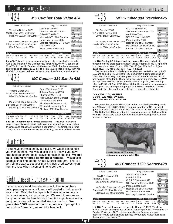# $\frac{Lot}{424}$

#### *MC Cumber Total Value 424*

| Calved: 01/25/2004                                                                     |                                                                           | Reg. No.14798045                                      |                                                             |                         |
|----------------------------------------------------------------------------------------|---------------------------------------------------------------------------|-------------------------------------------------------|-------------------------------------------------------------|-------------------------|
| Vermilion Dateline 7078<br>MC Cumber 7111 Total Value<br>Miss Wix 7111 of Mc Cumber    | <b>Connealy Dateline</b><br>G D A R Traveler 71                           | Vermilion Blackbird 5044<br>Miss Wix 365 of Mc Cumber | Individual<br>Record<br>BW<br><b>WW</b><br>205<br><b>WR</b> | 98<br>810<br>724<br>108 |
| Papa Rito T Intense DHD 6844<br>Erica Lassie 8145 Mc Cumber<br>K M A Erica Lassie 0118 | Papa Rito Traveler 4807<br>Blackcap Mc Henry D H D 4810<br>P S Power Play | <b>ADG</b><br><b>YW</b><br>365<br><b>YR</b>           | 3.71<br>1315<br>1318<br>105                                 |                         |
| <b>EPDs</b>                                                                            |                                                                           | Erica Lassie K M A 2003<br>Dam's Production<br>.      | Data<br><b>IMF</b>                                          | Ultrasound<br>3.25/95   |

BW WW Milk YW SC IMF REA Fat %RP BW WW YW 3.4 39 23 74 .63 -.02 .16 .009 -.18 5/106 5/104 5/106 Fat .41/124 IMF 3.25/95 REA 13.3/94

**Lot 424**- This bull has as much capacity and rib, as any bull in the sale. 424 is the first son of Mc Cumber 7111 Total Value, the VRD son out of Miss Wix 7111 of Mc Cumber. 424 broke the 800 lb. barrier at weaning and weighed off test at 1315 lbs. The Total Values offer less BW than his sire VRD, but seem to have the same type of performance and muscle.



| Pine Creek Right Time 1147<br>Blackcap 267 of Mc Cumber<br>Blackcap 0197 of Mc Cumber |                         |         | Leachman Right Time<br>Sitz Everelda Entense 1137<br>Circle Oak Lucys Boy 625<br>Blackcap 807 of Mc Cumber |     |     | <b>ADG</b><br><b>YW</b><br>365<br><b>YR</b> | 3.69<br>1208<br>1300<br>102 |     |                    |                    |                    |            |                       |
|---------------------------------------------------------------------------------------|-------------------------|---------|------------------------------------------------------------------------------------------------------------|-----|-----|---------------------------------------------|-----------------------------|-----|--------------------|--------------------|--------------------|------------|-----------------------|
|                                                                                       |                         |         |                                                                                                            |     |     |                                             |                             |     |                    |                    |                    | Data       | Ultrasound            |
|                                                                                       | EPD <sub>s</sub>        |         |                                                                                                            |     |     |                                             |                             |     |                    | Dam's Production   |                    | <b>IMF</b> | 2.99/98               |
|                                                                                       | BW WW<br>$1.2 \quad 31$ | Milk YW | 58                                                                                                         | SC. | .00 | IMF REA Fat %RP<br>29                       | .001                        | .29 | <b>BW</b><br>1/101 | <b>WW</b><br>1/101 | <b>YW</b><br>1/102 | Fat        | REA15.0/109<br>.25/81 |

**Lot 425**- **Recommended for use on heifers. -** This excellent calving ease prospect is nice fronted, and smooth shouldered, yet has excellent thickness and capacity. His dam is a daughter of Pine Creek Right Time 1147, and is a moderate framed, easy fleshing, beautiful uddered female.

# **Marketing**

If you have calves sired by our bulls, we would like to help you market them. We would also like to know if you have bred heifers, and/or heifer calves for sale in the fall. **We get calls looking for good commercial females**. I would also suggest checking out the Angus Source program. This is a very simple way to set your Black Angus sired calves apart from the rest, when it comes time to sell them.

# Sight Unseen Purchase Program

If you cannot attend the sale and would like to purchase bulls, please give us a call, and we'll be glad to help you with your order. Describe the type of bull, minimum and maximum parameters, and price range. We want to assure you that your bid will be handled with the utmost professionalism, and your money will be handled like it is our own. **We guarantee 100% satisfaction on all orders**. If you get the bull and don't like him, we will take him back.

 $\frac{Lot}{426}$ 

### *MC Cumber 004 Traveler 426*

Calved: 01/25/2004 Reg. No.14798047

| Sitz Traveler 8180<br>SAV 8180 Traveler 004<br>Boyd Forever Lady 8003<br>Mc Cumber Powertrain HC 1025<br>Lassie 1100 of Mc Cumber<br>Lassie 688 of Mc Cumber | G D A R Traveler 71<br>Sitz Everelda Entense 1137<br>A A R New Trend<br>S V F Forever Lady 57D<br>Papa Equator 2928<br>Rosetta 048 of Mc Cumber<br>Mc Cumber 124 Traveler 212 | Individual<br>Record<br>97<br>BW<br>724<br><b>WW</b><br>205<br>690<br><b>WR</b><br>103<br>ADG<br>3.82<br>YW<br>1244<br>365<br>1301<br><b>YR</b><br>103 |
|--------------------------------------------------------------------------------------------------------------------------------------------------------------|-------------------------------------------------------------------------------------------------------------------------------------------------------------------------------|--------------------------------------------------------------------------------------------------------------------------------------------------------|
|                                                                                                                                                              | Lassie 272 of Mc Cumber                                                                                                                                                       | <b>Ultrasound</b><br>Data                                                                                                                              |
| EPDs                                                                                                                                                         | Dam's Production                                                                                                                                                              | IMF 4.00/117                                                                                                                                           |
| вw<br>SC<br><b>RFA</b><br>WW.<br>IMF<br>.39<br>.19<br>26<br>4.4<br>95<br>.40<br>51                                                                           | <b>YW</b><br><b>BW</b><br><b>WW</b><br>Fat %RP<br>2/105<br>2/106<br>2/104<br>- 003<br>.28                                                                                     | 13.9/99<br><b>REA</b><br>Fat<br>.24/73                                                                                                                 |

**Lot 426**- **Selling 2/3 interest and full poss. -** This long bodied, big topped herd sire prospect puts a lot of things together. His EPD's put him in a class alone. WW +51 (top 4%); YW +95 (top 3%); IMF +.19 (top 25%); REA +.40 (top 15%); %RP +.28 (top 25%).

The raw scan data on 426 is also excellent with an IMF score of 4.08/ 117, and an actual REA 14.3/99. 426 stems from a tremendous line of cows. His dam is a big, stout daughter of Mc Cumber Powertrain 1025, and has one of the top EPD profiles of any cow in our herd. BW 5.3; WW 42 (top 10%); MM 26; YW 82 (top 5%); IMF .31(top 2%); REA .53 (top 1%); and %RP .32 (top 10%); \$Beef 43.25. Her individual scan data was also tops in her contemporary group IMF 8.58/162, and REA 12.6/116. Along with this, the cow family really gets it done where it counts.

#### **Dam - WW 2/104; YW 2/105 G Dam - WW 4/111; YW 3/111 GG Dam - WW 8/104; YW 8/104**

His grand dam, Lassie 688 of Mc Cumber, was the high selling cow in our 2003 cow sale at \$15,000 to a group of breeders in NE. His great grand dam was a feature of our 2000 cow sale selling to Claybrook Farms in TN. Not only is 426 one of the top carcass prospects by 004 to sell this year. He has the cow power behind him to make a lasting impact on any breeder's cow herd.



**maternal grand dam to lot 426**

 $\frac{Lot}{428}$ 

#### *MC Cumber 1720 Ranger 428*

Calved: 01/26/2004 Reg. No.14854484

G A R Precision 1680 Fehama Bando 155<br>
Ranger G 1720 9J9 G A R 856<br>
Sitz Everelda Entense 1137 Sitz Everelda Entense 2335 Mc Cumber Powertrain HC 1025 Papa Equator 2928<br>
Blackcap 9125 of Mc Cumber Rosetta 048 of Mc Cumber<br>
Blackcap 532 of Mc Cumber Blackcap 024 of Mc Cumber

| Individual       |                      |
|------------------|----------------------|
| Record           |                      |
| ВW               | 96                   |
| <b>WW</b>        | 764                  |
| 205              | 685                  |
| <b>WR</b>        | 102                  |
| ADG              | 341                  |
| YW.              | 1228                 |
| 365              | 1231                 |
| <b>YR</b>        | 98                   |
|                  | <b>Ultrasound</b>    |
| Data             |                      |
|                  | IMF 3.73/109         |
| $\sum_{i=1}^{n}$ | $\sim$<br>$\sqrt{2}$ |

.27/82

 $2/99$   $F_{\text{R}}$ 

**Lot 428**- A top-notch carcass prospect by Ranger G 1720. This long bodied, smooth made bull has unlimited carcass potential. His dam by Mc Cumber Powertrain 1025 is tremendously easy fleshing and good uddered. To add some carcass genetics to your herd without sacrificing the females, check out 428.

BW WW Milk YW SC IMF REA Fat %RP BW WW YW<br>3.5 42 21 71 19 .38 -.010 .62 3/99 3/99 2/99  $.38 - .010$  .62

**EPDs Dam's Production**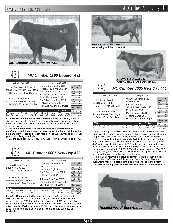

### *MC Cumber 1190 Equator 431*  $\frac{Lot}{431}$

| Calved: 01/16/2004                                                                         | Reg. No.14798051                                                                                          |                                                                                               |
|--------------------------------------------------------------------------------------------|-----------------------------------------------------------------------------------------------------------|-----------------------------------------------------------------------------------------------|
| Mc Cumber 6122 Equator 8113<br>MC Cumber 8113 Equator 1190<br>B Pride 7159 of Mc Cumber    | Mc Cumber Equator 6122<br>Rosetta 421 of Mc Cumber<br>Mc Cumber 054 Rito 326<br>B Pride 71 of Mc Cumber   | Individual<br>Record<br><b>BW</b><br>85<br>758<br><b>WW</b><br>706<br>205<br><b>WR</b><br>105 |
| Q A S Traveler 23-4<br>Miss Wix 1009 of Mc Cumber<br>Miss Wix 352 of Mc Cumber             | Band 234 of Ideal 3163<br>Q A S Blackbird Eve 601 1<br>K M A Highroller 5025<br>Miss Wix 098 of Mc Cumber | ADG<br>3.51<br>1236<br>YW<br>365<br>1268<br><b>YR</b><br>101                                  |
| <b>EPDs</b>                                                                                | Dam's Production                                                                                          | Ultrasound<br>Data<br>3.23/95<br><b>IMF</b>                                                   |
| <b>WW</b><br>SC<br>RFA<br>IMF<br><b>BW</b><br>Milk<br>23<br>65<br>-.01<br>.24<br>1.9<br>40 | <b>BW</b><br><b>YW</b><br><b>WW</b><br>%RP<br>Fat<br>2/95<br>2/104<br>.13<br>2/105<br>.003                | RFA14 8/105<br>Fat<br>.28/85                                                                  |

**Lot 431**- **Recommended for use on heifers. -** With a weaning weight of 758 lbs. to ratio 105, you won't have to sacrifice early growth for calving ease. 431 is very well made. He is smooth fronted, long bodied, and has excellent thickness.

**His dam comes from a line of 5 consecutive generations of pathfinders, and 6 generations of WW ratios of at least 105, including his dam.** Her first calf sold in last year's sale to Wayne Artz, as one of last year's top calving ease bulls.

Calving ease, longevity, productivity, and fertility all wrapped up in 431.



| Calved: 01/27/2004                                                                           | Reg. No.14798052                                                                                           |                                                                                                              |
|----------------------------------------------------------------------------------------------|------------------------------------------------------------------------------------------------------------|--------------------------------------------------------------------------------------------------------------|
| A A R New Trend<br>Boyd New Day 8005<br>S V F Forever Lady 57D                               | VDAR Shoshone 548<br>Donna A A R 74<br>Leachman Right Time<br>S V F Forever Lady 1128<br>R R Traveler 5204 | Individual<br>Record<br><b>BW</b><br>80<br><b>WW</b><br>686<br>205<br>694<br>103<br><b>WR</b><br>ADG<br>3.93 |
| California Traveler<br>Lassie 801 of Mc Cumber<br>Lassie 686 of Mc Cumber                    | Tehama Eisa Erica Y699<br>Mc Cumber 124 Traveler 212<br>Lassie 267 of Mc Cumber                            | 1220<br>YW<br>365<br>1323<br>YR<br>105<br>Ultrasound                                                         |
| <b>EPDs</b>                                                                                  | Dam's Production                                                                                           | Data                                                                                                         |
| SC.<br>IMF<br><b>WW</b><br><b>RFA</b><br><b>BW</b><br>$-.04$<br>39<br>RΩ<br>-26<br>25<br>-71 | <b>YW</b><br><b>BW</b><br><b>WW</b><br>%RP<br>Fat<br>2/99<br>3/97<br>3/100<br>002                          | <b>IMF</b><br>2.80/82<br>RFA146/104<br>Fat<br>.30/91                                                         |

**Lot 432** - **Recommended for use on heifers. -** 432 was a twin with a heifer. Both were raised by their mother, and what a job she did. He weaned at nearly 700 lbs. and his sister weaned at 670 lbs., some how his mother managed to settle AI this year and calved in mid January, after raising nearly 1400 lbs. of calves. 432 is one of the top calving ease bulls to sell in this sale. He is as long as a freight train and put together flawlessly.



**Miss Wix 352 of Mc Cumber, maternal grand dam to lot 431**



**maternal great grand dam to lot 431**



### *MC Cumber 8005 New Day 441*

Calved: 01/29/2004 Reg. No.14874558

| AAR New Trend                                                                                  | VDAR Shoshone 548                                                                              | Individual<br>Record                    |
|------------------------------------------------------------------------------------------------|------------------------------------------------------------------------------------------------|-----------------------------------------|
| Boyd New Day 8005<br>S V F Forever Lady 57D                                                    | Donna A A R 74<br>Leachman Right Time                                                          | <b>BW</b><br>90<br><b>WW</b><br>728     |
|                                                                                                | S V F Forever Lady 1128<br>Papa Power 096                                                      | 205<br>699<br><b>WR</b><br>104          |
| Papa Equator 2928                                                                              | Papa Envious Blackbird 8849                                                                    | <b>ADG</b><br>4.46<br><b>YW</b><br>1335 |
| Rosetta 1100 of Best Angus<br>Bando 401 of Best Angus                                          | Tehama Bando 155                                                                               | 365<br>1413<br><b>YR</b><br>112         |
|                                                                                                | Rosetta 201 of Best Angus                                                                      | <b>Ultrasound</b>                       |
| EPDs                                                                                           | <b>Dam's Production</b>                                                                        | Data<br>2.99/88<br><b>IMF</b>           |
| <b>REA</b><br><b>BW</b><br>SC<br><b>WW</b><br>IMF<br>YW<br>3.1<br>24<br>46<br>98<br>.24<br>.00 | <b>YW</b><br><b>BW</b><br><b>WW</b><br>%RP<br>Fat<br>2/115<br>2/111<br>2/102<br>$-.13$<br>.003 | <b>REA</b><br>12.6/89<br>Fat<br>.34/103 |

**Lot 441**- **Selling 2/3 interest and full poss. -** An excellent son of Boyd New Day. I think you'll really be impressed with this sire group. They are long bodied, well made, and heavy muscled. 441 is one of the best.

He is a soggy, long bodied, naturally thick bull that puts the numbers together as well as any. He weaned off at 728 lbs. to ratio 104, gained 4.46, which was the third highest ADG in the pen, and pushed the scale down at 1335 lbs. off test for a 365 day weight of 1413 lbs. ratioing 112. He combines a moderate 3.1 BW EPD with explosive growth, WW EPD +46 (top 15%), and YW EPD +98, which is the 2nd highest YW EPD in our history and ranks him in the top 2% of the breed.

To go along with this explosive performance 441's mother is a deep, long bodied, perfect uddered daughter of Papa Equator 2928, with outstanding ratios. His grand dam is earning her keep in the Badlands! This **performance powerhouse** is definitely a bull you should check out.

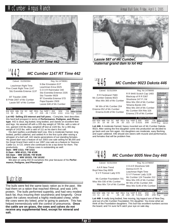

### *MC Cumber 1147 RT Time 442*  $\frac{Lot}{442}$

| Calved: 01/29/2004                                                              | Reg. No.14798061                                                                          |                                                             |
|---------------------------------------------------------------------------------|-------------------------------------------------------------------------------------------|-------------------------------------------------------------|
| Leachman Right Time<br>Pine Creek Right Time 1147<br>Sitz Everelda Entense 1137 | N Bar Emulation EXT<br>Leachman Erica 0025<br>G D A R Rainmaker 340                       | Individual<br>Record<br><b>BW</b><br>87<br>784<br><b>WW</b> |
|                                                                                 | Sitz Everelda Entense 2335                                                                | 785<br>205<br>111<br><b>WR</b>                              |
| BT Traveler 228K                                                                | Sitz Traveler 9929                                                                        | ADG<br>3.94<br>YW<br>1320                                   |
| B Pride 2007 of Mc Cumber                                                       | BT Everelda Entense 57D                                                                   | 365<br>1415                                                 |
| Lassie 587 of Mc Cumber                                                         | Papa Equator 2928<br>Lassie 648 of Mc Cumber                                              | YR<br>111                                                   |
|                                                                                 |                                                                                           | Ultrasound                                                  |
| <b>EPD<sub>s</sub></b>                                                          | Dam's Production                                                                          | Data<br>IMF<br>2.41/70                                      |
| SC.<br><b>REA</b><br>IMF<br>WW.<br>Milk YW<br>26<br>90<br>50<br>$-23$<br>3.5    | <b>YW</b><br><b>BW</b><br><b>WW</b><br>Fat %RP<br>1/111<br>1/102<br>.016<br>1/111<br>- 36 | 13.5/98<br><b>RFA</b><br>Fat<br>.31/100                     |

**Lot 442**- **Selling 2/3 interest and full poss. -** Complete, best describes this herd bull prospect in terms of **Performance, Pedigree, and Phenotype**. 442 is stout, big butted, long bodied, and stands on excellent feet and legs. He weaned off with a 205 day weight of 785 lbs. with a ratio of 111, gained 3.94 lbs./day, weighed off test at 1320 lbs. for a 365 day weight of 1415 lbs. with a ratio of 111 as his dam's first calf.

His dam typifies a profitable beef cow. She is moderate framed, long bodied, perfect uddered, and settled AI in the first cycle after raising a whopper of a bull calf. 442 stacks generations of out standing females. His grand dam was a feature of our 2003 cow sale selling for \$6,000 and his Great Grand Dam sold in our 1997 cow sale as a feature to Yearous Cattle Co. in CO, where she continued to be a top donor for them. The productivity of these cows is outstanding as well:

#### **Dam - WW 1/111; YW 1/111 G Dam - WW 4/111; YW 4/106 GG Dam - WW 10/106; YW 9/106**

**GGG Dam - WW 10/103; YW 10/102** We plan on using 442 AI ourselves this year because of his **Perfor-**

**mance, Pedigree, and Phenotype!**

# Nutrition

The bulls were fed the same basic ration as in the past. We had them on a ration that reached 49mcal, and was 14% protein. The bulls performed superbly, and had very modest back fat, thus insuring their soundness and longevity. Once again the calves received a highly medicated creep, while the cows were dry lotted, prior to going to pasture. This has helped tremendously with the control of pneumonia. **Once the cattle are on grass, the cows and calves do not receive any supplemental feed, except for mineral and salt.**



*maternal grand dam to lot 442*



| R R Ferdinand 758D<br>Mc Cumber Dakota 9023<br>Miss Wix 365 of Mc Cumber                         | R R 9440 Scotch Cap 1483<br>Blackcap of R R 5367<br>Shoshone 247 P J M<br>Miss Wix 294 of Mc Cumber | Individual<br>Record<br><b>BW</b><br>95<br>728<br><b>WW</b><br>205<br>678<br><b>WR</b><br>101 |  |  |  |  |
|--------------------------------------------------------------------------------------------------|-----------------------------------------------------------------------------------------------------|-----------------------------------------------------------------------------------------------|--|--|--|--|
| Mr Wix of Mc Cumber 204<br>Erianna 052 of Mc Cumber<br>Erianna 6148 of Mc Cumber                 | Tehama Bando 155<br>Miss Wix 204 of Mc Cumber<br>Mc Cumber 054 Rito 326                             | <b>ADG</b><br>3.79<br>1244<br>YW<br>365<br>1284<br>YR<br>102                                  |  |  |  |  |
| <b>EPDs</b>                                                                                      | Erianna 278 of Mc Cumber<br>Dam's Production                                                        | <b>Ultrasound</b><br>Data<br>IMF 4.18/123                                                     |  |  |  |  |
| ВW<br><b>RFA</b><br><b>WW</b><br>SC<br>IMF<br>Milk<br>2.9<br>.64<br>.09<br>35<br>66<br>19<br>.00 | <b>WW</b><br>YW<br><b>BW</b><br>%RP<br>Fat<br>3/98<br>3/100<br>3/101<br>$-37$<br>.023               | 13.7/97<br><b>REA</b><br>Fat<br>.38/115                                                       |  |  |  |  |

**Lot 446**- A moderate framed, heavy muscled son of Mc Cumber Dakota 9023. After seeing the first daughter come into production we decided to go back and use him again. His daughters are moderate, easy fleshing, and super uddered. 446 should sire steers with muscle and performance, and females that will be problem free.



**Lot 448**- A really long bodied, free moving, big topped son of New Day, and out of a Mc Cumber Foundation 701 daughter. You know what we think of the Foundation daughters. This bull has excellent numbers across the board, and I'm sure he'll catch your eye on sale day.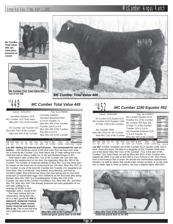# Annual Bull Sale, Friday, April 1, 2005 McCumber Angus Ranch







 **Mc Cumber 7111 Total Value 209, sire of lot 449**



#### *MC Cumber Total Value 449*  $\frac{L_{\text{ot}}}{449}$

| Calved: 02/01/2004                                                                | Reg. No.14798068                                                                           |                                                             |
|-----------------------------------------------------------------------------------|--------------------------------------------------------------------------------------------|-------------------------------------------------------------|
| Vermilion Dateline 7078<br>MC Cumber 7111 Total Value                             | <b>Connealy Dateline</b><br>Vermilion Blackbird 5044<br>G D A R Traveler 71                | Individual<br>Record<br><b>BW</b><br>86<br>752<br><b>WW</b> |
| Miss Wix 7111 of Mc Cumber                                                        | Miss Wix 365 of Mc Cumber                                                                  | 205<br>682<br>101<br><b>WR</b>                              |
| Mc Cumber 124 Traveler 212                                                        | Traveler 124 G D A R                                                                       | ADG<br>3.96                                                 |
| Miss Wix 7007 of Mc Cumber<br>Miss Wix 030 of Mc Cumber                           | Miss Wix 365 of Mc Cumber<br>Rito 054 G D A R                                              | 1290<br>YW<br>365<br>1316<br>YR<br>104                      |
|                                                                                   | Miss Wix 235 of Mc Cumber                                                                  | <b>Ultrasound</b><br>Data                                   |
| <b>EPDs</b>                                                                       | Dam's Production                                                                           | IMF<br>3.21/94                                              |
| IMF<br>SC.<br>RFA<br>WW.<br><b>BW</b><br>-76<br>.39<br>ററ<br>28<br>34<br>27<br>70 | <b>YW</b><br><b>BW</b><br><b>WW</b><br>%RP<br>Fat<br>5/99<br>4/104<br>5/105<br>034<br>- 13 | RFA144/102<br>Fat<br>.46/139                                |

**Lot 449**- **Selling 1/2 interest and full poss. - Recommended for use on heifers. -** 449 combines some of the best cows that we have ever bred. He is sired by Mc Cumber 7111 Total Value, the 2<sup>nd</sup> high selling bull in our 2003 bull sale to Marcy Cattle Co. in NE and Redland Angus in WY.

Total Value's dam is Miss Wix 7111 of Mc Cumber, the cow who has become the replacement to her dam, the legendary Miss Wix 365 of Mc Cumber. The number of maternal siblings to Miss Wix 7111 that have had an impact on the breed are to numerous to list. His dam, Miss Wix 7007 of Mc Cumber, is one of the best Mc Cumber 124 Traveler 212 daughters we have bred. She is moderate, long bodied, easy fleshing, and has an excellent udder. She entered our donor pen last spring and on one flush produced 12 transferable eggs, then settled AI on her first heat after being flushed. Miss Wix 7007 is a Granddaughter of Miss Wix 235 of Mc Cumber, the dam of Mc Cumber Foundation 701, Miss Wix 702, and Miss Wix 705. Miss Wix 7007 has already produced two past graduates of our bull sale, selling for an

average of \$3300 to Ron Slabaugh, and J. Hould in MT.

The cows behind 449 are outstanding. Along with this, he is a darn good bull. **449 is balanced, moderate framed, long bodied, super sound, heavy muscled and moves like a cat.** This is one bull that you'll definitely want to look up.



**maternal great grand dam to lot 449**



 $Lot452$ 

### *MC Cumber 1190 Equator 452*

| Calved: 02/01/2004                                                                       | Reg. No.14798071                                                                                        |                                                                                           |
|------------------------------------------------------------------------------------------|---------------------------------------------------------------------------------------------------------|-------------------------------------------------------------------------------------------|
| Mc Cumber 6122 Equator 8113<br>MC Cumber 8113 Equator 1190<br>B Pride 7159 of Mc Cumber  | Mc Cumber Equator 6122<br>Rosetta 421 of Mc Cumber<br>Mc Cumber 054 Rito 326<br>B Pride 71 of Mc Cumber | Individual<br>Record<br>BW<br>89<br>722<br><b>WW</b><br>735<br>205<br><b>WR</b><br>105    |
| Sitz Traveler 5556<br>Miss Wix 2023 HC Mc Cumber<br>Miss Wix 7111 of Mc Cumber           | Traveler 124 G D A R<br>Sitz Everelda Entense 1137<br>G D A R Traveler 71<br>Miss Wix 365 of Mc Cumber  | <b>ADG</b><br>3.54<br>1204<br>YW<br>365<br>1301<br>102<br>YR<br><b>Ultrasound</b><br>Data |
| <b>EPDs</b>                                                                              | Dam's Production                                                                                        | 2.76/91<br>IMF                                                                            |
| SC.<br><b>RFA</b><br><b>WW</b><br><b>BW</b><br>IMF<br>42<br>26<br>74<br>.08<br>-26<br>32 | <b>YW</b><br><b>BW</b><br><b>WW</b><br>%RP<br>Fat<br>1/102<br>1/104<br>1/104<br>024<br>- 14             | RFA144/104<br>Fat<br>.31/100                                                              |

**Lot 452**- Another excellent son of Mc Cumber 8113 Equator 1190. 452 is thick, deep and stout. His dam is a daughter of Sitz Traveler 5556, and out of the donor Miss Wix 7111 of Mc Cumber. 7111 is the dam of Mc Cumber 7111 Total Value, as well as Miss Wix 2021 of Mc Cumber who topped our 2003 Cow sale at \$15,000 to Cory Fortune in SD. 452 comes from a tremendous line of cows. He should sire tremendous replacement females, as well as steers that would make money on feed, or on the Grid. 452 is made right to work on heifers, but has a slightly higher BW EPD.



**maternal grand dam to lot 452**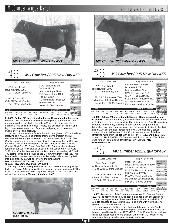

### *MC Cumber 8005 New Day 453*  $-453$

| Calved: 02/01/2004                                                                                                                                                        | Reg. No.14798071                                                                             |                                                                                        |  |  |  |
|---------------------------------------------------------------------------------------------------------------------------------------------------------------------------|----------------------------------------------------------------------------------------------|----------------------------------------------------------------------------------------|--|--|--|
| AAR New Trend<br>Boyd New Day 8005<br>SVF Forever Lady 57D                                                                                                                | VDAR Shoshone 548<br>Donna AAR 74<br>Leachman Right Time<br>SVF Forever Lady 1128            | Individual<br>Record<br>BW<br>92<br>756<br><b>WW</b><br>688<br>205<br>102<br><b>WR</b> |  |  |  |
| <b>Rito 054 G D A R</b><br>054 P J M 1438<br>P J M Montana Power 196<br>Gale 5127 of Mc Cumber<br>Traveler 1148 G D A R<br>Gale 607 of Mc Cumber<br>Gale 413 of Mc Cumber |                                                                                              | ADG<br>4.44<br>1360<br>YW<br>365<br>1398<br><b>YR</b><br>111<br>Ultrasound             |  |  |  |
| <b>EPDs</b>                                                                                                                                                               | Dam's Production                                                                             | Data<br>IMF 3.42/100                                                                   |  |  |  |
| SC.<br><b>RFA</b><br><b>WW</b><br>Milk YW<br>IMF<br>78<br>34<br>.08<br>26<br>.32<br>14                                                                                    | <b>BW</b><br><b>YW</b><br><b>WW</b><br>%RP<br>Fat<br>8/97<br>8/103<br>8/102<br>012<br>$-.03$ | <b>RFA</b><br>13 9/99<br>Fat<br>.35/106                                                |  |  |  |

**Lot 453**- **Selling 2/3 interest and full poss. Recommended for use on heifers. -** 453 is a bull that combines calving ease, performance, and muscle as well as any bull in the sale. 453 will catch your eye. He is extremely long bodied, very nice fronted, and excellent on his feet and legs. He also combines a lot of muscle, and plenty of rib into a very stylish, eye catching package.

His dam is a tremendous female that sold through our 2003 cow sale to Best Angus in ND. She has entered their embryo program and will continue to have a large influence in our herd as well. Gale 5127 of Mc Cumber comes from a very prominent, well proven cow family. She is a maternal sister to the calving ease bull Mc Cumber 953 Rito 420, Mc Cumber Next Step 9012, and Gale 041 of Mc Cumber who sold as a feature of our 1997 cow sale to Dalton's on the Sycamore in VA. Gale 5127 of Mc Cumber is also the Grand Dam to the outstanding VRD bull 490 selling in this sale, as well as the Great Grand Dam to lot 421. This line of Gale cows has been very productive and excels at injecting IMF into their progeny, as well as lowering the birth weight. **Dam - BW 8/97; WW 8/102; YW 8/103**

#### **G Dam - BW 9/94; WW 9/103; YW 9/100**

Not only is 453 a calving ease bull, but he is also the  $4<sup>th</sup>$  high gaining bull in the pen at 4.44 lbs./day. He has some of the most complete EPD's in the sale. Not only will he sire light birth weight calves, but calves that will perform and grow. **We call him a herd bull!**





#### *MC Cumber 8005 New Day 455*  $\frac{10t}{455}$

| Calved: 02/02/2004                                                                                                          | Reg. No.14798073                                                                                                                                                        |                                                                                                                                                               |  |  |  |
|-----------------------------------------------------------------------------------------------------------------------------|-------------------------------------------------------------------------------------------------------------------------------------------------------------------------|---------------------------------------------------------------------------------------------------------------------------------------------------------------|--|--|--|
| A A R New Trend<br>Boyd New Day 8005<br>S V F Forever Lady 57D<br>Sitz S L S Rainmaker 7596<br>Enchantress 086 of Mc Cumber | VDAR Shoshone 548<br>Donna A A R 74<br>Leachman Right Time<br>S V F Forever Lady 1128<br>G D A R Rainmaker 340<br>SLS Barbara Perfection 2571<br>Mc Cumber 953 Rito 420 | Individual<br>Record<br>BW<br>87<br>718<br><b>WW</b><br>671<br>205<br>100<br><b>WR</b><br><b>ADG</b><br>4.02<br>1265<br>YW<br>365<br>1314<br>104<br><b>YR</b> |  |  |  |
| Enchantress 816 Mc Cumber<br><b>EPDs</b>                                                                                    | Enchantress 687 Mc Cumber<br>Dam's Production                                                                                                                           | <b>Ultrasound</b><br>Data                                                                                                                                     |  |  |  |
| SC<br><b>RFA</b><br>BW<br>IMF<br>Milk<br>22<br>83<br>.13<br>21<br>38<br>50                                                  | <b>BW</b><br><b>WW</b><br><b>YW</b><br>%RP<br>Fat<br>3/98<br>3/100<br>3/105<br>25<br>005                                                                                | IMF 4.77/140<br>REA 15.8/112<br>Fat<br>.35/106                                                                                                                |  |  |  |

**Lot 455** - **Selling 2/3 interest and full poss. - Recommended for use on heifers. -** Moderate framed, heavy muscled, and extremely sound on his feet and legs best describes this 4lb.. gainer by New Day. His dam is a moderate framed, easy fleshing, perfect uddered daughter of Sitz Rainmaker. Not only does she lower the birth weight indicated by her BW ratio of 3/98, but she also increases the IMF. She has had 3 calves scanned with an IMF ratio of 126. 455 put together some of the best ultrasound numbers in the pen with an IMF of 4.77/140, and a 15.8 REA to ratio 112. His REA EPD of +.50 would rank him in the top 10% of the breed for non - parent sires. **CARCASS, MATERNAL, AND PERFROMANCE!!!**



Page 15

Mc Cumber Ferdinand 896 Miss Wix 554 of Mc Cumber<br>
B Pride 134 of Mc Cumber Mc Cumber Mc Cumber 124 Traveler 212<br>
B Pride 690 of Mc Cumber B Pride 245 of Mc Cumber

| Individual |              |
|------------|--------------|
| Record     |              |
| BW         | 97           |
| <b>WW</b>  | 720          |
| 205        | 698          |
| <b>WR</b>  | 104          |
| ADG        | 3.49         |
| <b>YW</b>  | 1194         |
| 365        | 1256         |
| <b>YR</b>  | 100          |
|            |              |
| Ultrasound |              |
| Data       |              |
|            | IMF 3.51/103 |

| EPD <sub>s</sub> |                                                                                                                            |  |  |  | Dam's Production | l Data | IMF 3.51/103 |
|------------------|----------------------------------------------------------------------------------------------------------------------------|--|--|--|------------------|--------|--------------|
|                  | BW WW Milk YW SC IMF REA Fat %RP   BW WW YW  REA16.6/118<br>4.6 42 20 73 .34 .03 .58 -.008 .72 2/107 2/101 2/98 Fat .29/88 |  |  |  |                  |        |              |

Lot 457- Another son of the 5 star tenderness sire Mc Cumber Equator 6122. 457 is heavy muscled, wide based, and has a ton of capacity. 457 scanned the largest actual ribeye in our history with an actual REA of 16.8. He adjusted to 16.6 to ratio 118. To go along with his muscle, he also had an IMF 3.51 to ratio 103.

His dam is a good looking, perfect uddered daughter of Mc Cumber Ferdinand 896. She is currently nursing one of the best heifer calves on the ranch sired by Mc Cumber 7078 VRD 3116. 3116 was the second high selling bull in last year's sale to Sweiger Brothers in MO. Watch for his stout made, heavy muscled son's in next year's sale.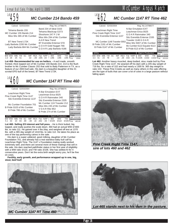# $Lot459$

#### *MC Cumber 214 Bando 459*

| Calved: 02/03/2004                                                                                   | Reg. No.14798075                                                                                  |                                                                                 |                   |                                                                    |                                   |
|------------------------------------------------------------------------------------------------------|---------------------------------------------------------------------------------------------------|---------------------------------------------------------------------------------|-------------------|--------------------------------------------------------------------|-----------------------------------|
| Tehama Bando 155<br>MC Cumber 155 Bando 214<br>Miss Wix 365 of Mc Cumber                             | Band 234 of Ideal 3163<br>Tehama Blackcap G373<br>Shoshone 247 P J M<br>Miss Wix 294 of Mc Cumber |                                                                                 |                   | Individual<br>Record<br><b>BW</b><br><b>WW</b><br>205<br><b>WR</b> | 82<br>652<br>674<br>96            |
| BT New Trend 172K<br>Lady Barbola 2200 Mc Cumber<br>Lady Barbola 684 Mc Cumber                       | A A R New Trend                                                                                   | BT Everelda Entense 57D<br>G D A R Gold Nugget 766<br>G D A R Lady Barbola 4186 |                   | ADG<br>YW<br>365<br><b>YR</b>                                      | 3.32<br>1104<br>1205<br>95        |
| <b>EPDs</b>                                                                                          |                                                                                                   | Dam's Production                                                                |                   | Data                                                               | <b>Ultrasound</b><br>IMF 3.06/101 |
| SC.<br>Milk YW<br><b>REA</b><br><b>WW</b><br>IMF<br><b>RW</b><br>51<br>28<br>25<br>.02<br>-.09<br>10 | %RP<br>Fat<br>$-.005$<br>04                                                                       | <b>WW</b><br><b>BW</b><br>1/96<br>1/96                                          | <b>YW</b><br>1/95 | <b>RFA</b><br>Fat                                                  | 13.0/94<br>.25/81                 |

**Lot 459**- **Recommended for use on heifers. -** A well made, smooth fronted, thick topped son of Mc Cumber 155 Bando 214. 214 is the flush brother to Mc Cumber Classic 202 that sold to Baily Patterson in TX, as a feature of our 2003 bull sale. His dam is a beautiful daughter of the #1 scrotal EPD bull of the breed, BT New Trend 172K.



| Leachman Right Time            | N Bar Emulation EXT                               | Individual<br>Record |         |
|--------------------------------|---------------------------------------------------|----------------------|---------|
| Pine Creek Right Time 1147     | Leachman Erica 0025                               | <b>BW</b>            | 105     |
| Sitz Everelda Entense 1137     | G D A R Rainmaker 340                             | <b>WW</b>            | 800     |
|                                | Sitz Everelda Entense 2335                        | 205                  | 748     |
|                                | Mc Cumber 124 Traveler 212                        | <b>WR</b>            | 111     |
| Mc Cumber Foundation 701       |                                                   | <b>ADG</b>           | 4.19    |
|                                | Miss Wix 235 of Mc Cumber                         | YW                   | 1370    |
| B Pride 0103 of Mc Cumber      | V D A R Rito 953                                  | 365                  | 1418    |
| B Pride 786 of Mc Cumber       |                                                   | <b>YR</b>            | 112     |
|                                | B Pride 274 of Mc Cumber                          | Ultrasound           |         |
| <b>EPDs</b>                    | Dam's Production                                  | Data<br>IMF 3.61/106 |         |
| <b>RFA</b><br>BW<br>SC<br>IMF  | <b>YW</b><br><b>BW</b><br><b>WW</b><br>%RP<br>Fat | RFA14 1/100          |         |
| .89<br>- 08<br>.16<br>24<br>51 | 3/106<br>- 63<br>-042                             | Fat                  | .48/145 |

**Lot 460**- **Selling 2/3 interest and full poss.** - He is thick butted, big topped, and really pushes the scale down. 460 had an actual WW of 800 lbs. to ratio 111. He gained over 4 lbs./day, and weighed off test at 1370 lbs. with a 365 day weight of 1418 lbs. to ratio 112. He takes his place as one of the top performing calves in the sale.

His dam is a super uddered, good milking, daughter of Mc Cumber Foundation 701, and already has a real standout baby bull calf by Leachman Right Time. The 1147 x Foundation mating really worked extremely well, and there are several more of these matings that sell in the sale. His dam reached pathfinder status in her first year of eligibility with a WW ratio 3/110, and YW ratio 3/106. She has settled AI for 4 consecutive years. Don't let the extra birth weight worry you, he'll be fine on cows.

**Fertility, early growth, and performance wrapped up in one, big, stout, beef bull**!





### *MC Cumber 1147 RT Time 462*

alved: 02/03/2004 Reg. No. 14798077

| GAIVEU, UZIUJZUP                        |                | <b>NGY. INO. 147 JOULL</b>          |                       |
|-----------------------------------------|----------------|-------------------------------------|-----------------------|
| Leachman Right Time                     |                | N Bar Emulation EXT                 | Individual<br>Record  |
| Pine Creek Right Time 1147              |                | Leachman Erica 0025                 | <b>BW</b><br>90       |
|                                         |                | G D A R Rainmaker 340               | <b>WW</b><br>698      |
| Sitz Everelda Entense 1137              |                | Sitz Everelda Entense 2335          | 205<br>716            |
|                                         |                |                                     | <b>WR</b><br>102      |
| MC Cumber 1148 Traveler 0002            |                | Traveler 1148 G D A R               | <b>ADG</b><br>3.62    |
|                                         |                | Miss Wix 5007 of Mc Cumber          | 1190<br><b>YW</b>     |
| B Pride 2191 of Mc Cumber               |                | Mc Cumber 6122 Equator 8113         | 365<br>1295           |
| B Pride 0147 of Mc Cumber               |                |                                     | <b>YR</b><br>102      |
|                                         |                | B Pride 613 of Mc Cumber            | <b>Ultrasound</b>     |
|                                         |                |                                     | Data                  |
| EPDs                                    |                | <b>Dam's Production</b>             | 2.69/88<br><b>IMF</b> |
| BW WW<br>SC.<br>IMF<br><b>RFA</b><br>YW | Fat %RP        | <b>WW</b><br><b>YW</b><br><b>BW</b> | REA14.3/104           |
| 78<br>3.4<br>23<br>41<br>$-.14$<br>.28  | .016<br>$-.01$ | 1/102<br>1/105<br>1/102             | · Fat<br>.32/103      |

**Lot 462**- Another heavy muscled, deep bodied, stout made bull by Pine Creek Right Time 1147. He weaned off his dam with a 205 day weight of 716 lbs. for a ratio of 102 and had nearly a 1300 lb. 365 day weight to ratio 102. These Pine Creeks as well as many others in this sale offering are the type of bulls that can cover a lot of cows in a large pasture without falling apart.



*sire of lots 460 and 462*

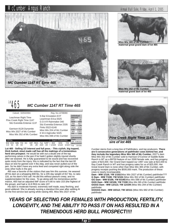



**Miss Wix 365 of Mc Cumber, maternal great grand dam of lot 465**



**Miss Wix 352 of Mc Cumber, maternal grand dam of lot 465**





**Lot 465** - **Selling 1/2 interest and full poss. - This stylish, big topped, thick butted, stout made calf has all the makings of a tremendous herd sire prospect**. He would be with out a doubt one of the top performing calves in the pen if he hadn't gotten slightly injured shortly after we weaned. He is fully guaranteed to be sound and has recovered quite nicely from the injury, this is indicated by the fact that the last 60 days on test he gained over 4 lbs./day, and was never pulled out of the pen. So he didn't have any extra feed and competed right along side the sixty other bulls in the pen.

465 was a favorite of the visitors that saw him this summer. He weaned off his dam at a whopping 808 lbs. for a 205 day weight of 817 lbs. to ratio 116, as his dam's first calf. He did this without pasture creep, and no supplementation for the cows. To go along with his tremendous performance, 465 had an adjusted IMF score of 4.66 to ratio 153 (the highest of the group), and had a 14.8 REA to ratio 107.

His dam is moderate framed, extremely well made, easy fleshing, and good uddered. She is already nursing a standout this year after settling AI on the first service last spring while raising 465. Miss Wix 2027 of Mc



Cumber stems from a long line of Pathfinders, and top producers. **There are 5 consecutive generations of pathfinder cows behind her, and they include the legendary Miss Wix 365 of Mc Cumber.** 2027's dam Miss Wix 352 of Mc Cumber sold to Harrison O'Connor of Saddle Butte Ranch in MT as a \$9750 feature of our 2000 female sale, and has progeny sales of \$23,000. Her Grand Dam topped our 1997 cow sale at \$22,000 to Ray Creek Ranch in MT and has progeny sales for us of \$25,000. Her Great Grand Dam is none other than Miss Wix 365 of Mc Cumber, with progeny receipts pushing the \$500,000 mark. The production of these cows is nearly incomparable.

**Dam - WW 1/116; YW 1/102**(Miss Wix 2027 of Mc Cumber) pathfinder??? **G Dam - WW 7/108; YW 5/104** (Miss Wix 352 of Mc Cumber) pathfinder **GG Dam - WW 6/106; YW 6/106**(Miss Wix 098 of Mc Cumber) pathfinder **GGG Dam - WW 10/106; YW 7/108** (Miss Wix 365 of Mc Cumber) pathfinder **GGGG Dam - WW 12/113; YW 12/109** (Miss Wix 294 of Mc Cumber) pathfinder

**GGGGG Dam - WW 10/112; YW 10/111** (Miss Wix 682 of Mc Cumber) pathfinder

### *YEARS OF SELECTING FOR FEMALES WITH PRODUCTION, FERTILITY, LONGEVITY, AND THE ABILITY TO PASS IT ON HAS RESULTED IN A TREMENDOUS HERD BULL PROSPECT!!!!*

#### Page 17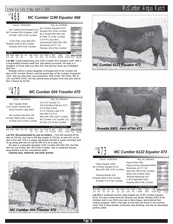

### *MC Cumber 1190 Equator 468*

| Calved: 02/04/2004                                                                           |                                         | Reg. No.14798082                                                                                        |                                                                                               |
|----------------------------------------------------------------------------------------------|-----------------------------------------|---------------------------------------------------------------------------------------------------------|-----------------------------------------------------------------------------------------------|
| Mc Cumber 6122 Equator 8113<br>MC Cumber 8113 Equator 1190<br>B Pride 7159 of Mc Cumber      |                                         | Mc Cumber Equator 6122<br>Rosetta 421 of Mc Cumber<br>Mc Cumber 054 Rito 326<br>B Pride 71 of Mc Cumber | Individual<br>Record<br><b>BW</b><br>96<br>746<br><b>WW</b><br>725<br>205<br><b>WR</b><br>108 |
| Circle Oak Lucys Boy 625<br>Rosetta 1029 of Mc Cumber<br>Rosetta 405 of Mc Cumber            | V D A R Lucys Boy<br>Shoshone 247 P J M | Homestretch Miss Wix 299                                                                                | ADG<br>3.5<br><b>YW</b><br>1222<br>365<br>1285<br><b>YR</b><br>102                            |
| <b>EPDs</b>                                                                                  |                                         | Rosetta 148 of Mc Cumber<br>Dam's Production                                                            | <b>Ultrasound</b><br>Data<br>IMF 4.56/134                                                     |
| SC<br><b>REA</b><br>ww<br>Milk YW<br>IMF<br><b>BW</b><br>60<br>35<br>23<br>.20<br>-24<br>3.3 | %RP<br>Fat<br>.015<br>.10               | <b>WW</b><br><b>YW</b><br><b>BW</b><br>2/104<br>2/109                                                   | <b>REA</b><br>13.5/96<br>Fat<br>.39/118                                                       |

**Lot 468** -A good performing son of Mc Cumber 8113 Equator 1190. 468 is a long bodied smooth made bull, with plenty of muscle. His dam is a daughter of Circle Oak Lucy Boy 625, the bull we chose out of Midland Bull Test.

Rosetta 1029 is a direct daughter of Rosetta 405 of Mc Cumber the dam of Mc Cumber Stretch, and the grand dam of Mc Cumber Powertrain 1025. She has also been very productive, WW 2/109; YW 2/104; IMF 2/ 125; and REA 2/103. Her top calving ease prospect from last year sold to Bar V Ranch for \$2750.



| Calved: 02/04/2004                                                               | Reg. No.14904444                                                                               |                                                                                        |
|----------------------------------------------------------------------------------|------------------------------------------------------------------------------------------------|----------------------------------------------------------------------------------------|
| Sitz Traveler 8180<br>SAV 8180 Traveler 004<br>Boyd Forever Lady 8003            | G D A R Traveler 71<br>Sitz Everelda Entense 1137<br>A A R New Trend<br>S V F Forever Lady 57D | Individual<br>Record<br><b>BW</b><br>85<br>ww<br>704<br>205<br>723<br><b>WR</b><br>107 |
| Mc Cumber 054 Rito 326<br>B Pride 2006 of Mc Cumber<br>B Pride 5122 of Mc Cumber | Rito 054 G D A R<br>Miss Wix 365 of Mc Cumber<br>Mc Cumber 124 Traveler 212                    | ADG<br>3.34<br><b>YW</b><br>1158<br>365<br>1257<br>YR.<br>100                          |
| <b>EPDs</b>                                                                      | B Pride 274 of Mc Cumber<br>Dam's Production                                                   | <b>Ultrasound</b><br>Data<br>IMF 4.31/122                                              |
| Milk YW<br>SC<br>IMF REA<br><b>WW</b><br>RW.<br>-14                              | <b>YW</b><br><b>WW</b><br><b>BW</b><br>%RP<br>Fat<br>1/100<br>1/107<br>$-.12$<br>.020          | <b>REA</b><br>12.9/93<br>Fat<br>.42/135                                                |

**Lot 470**- **Recommended for use on heifers. -** This 004 weaned off his dam at 704 lbs. and had a 205 day weight of 723 lbs. to ratio 107 as his dam's first calf. 470 is a soggy, big butted calf that is made extremely well. To go along with this he has an IMF of 4.31 to ratio 142.

His dam is a beautiful daughter of Mc Cumber 054 Rito 326, the Rito 054 son out of Miss Wix 365 of Mc Cumber. She is moderate framed, deep bodied, and has a wonderful udder.

**Calving ease, maternal, and early growth.**







*MC Cumber 6122 Equator 473*  $\frac{L_{\text{ot}}}{473}$ 

Calved: 02/05/2004 Reg. No.14805828

Papa Equator 2928 Papa Power 096<br>Mc Cumber Equator 6122 Papa Envious Blackbird 8849<br>Miss Wix 365 of Mc Cumber Miss Wix 294 of Mc Cumber Tehama Bando 155 Band 234 of Ideal 3163<br>
Rosetta 5002 of Mc Cumber K M A Highroller 5025<br>
Rosetta 214 of Mc Cumber Rosetta 048 of Mc Cumber

|   | Individual |       |
|---|------------|-------|
|   | Record     |       |
| J | BW         | 98    |
|   | <b>WW</b>  | 698   |
|   | 205        | 641   |
|   | <b>WR</b>  | 95    |
|   | ADG        | 3.46  |
|   | YW         | 1168  |
|   | 365        | 1195  |
|   | <b>YR</b>  | 95    |
|   |            |       |
|   | Ultrasound |       |
|   | Data       |       |
|   | IMF<br>2   | 73/80 |

BW WW Milk YW SC IMF REA Fat %RP BW WW YW 3.6 34 20 64 .34 -.12 .20 -.014 .40 8/98 8/97 7/102 EPDs **Dam's Production Community** Dam's Production IMF 2.73/80 REA 13.0/92 7/102 Fat .21/64

**Lot 473**-A moderate framed, deep bodied son of Mc Cumber Equator 6122. His dam comes from the Rosetta cow family. Rosetta 5002 of Mc Cumber sold in our 2003 cow sale to Best Angus, and entered their embryo program. 5002 is the type of cow that can thrive in any environment. She is deep bodied, extremely easy fleshing, and has an absolutely perfect udder.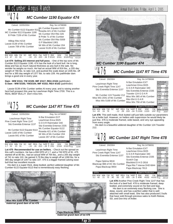#### *MC Cumber 1190 Equator 474*  $\frac{Lot}{474}$

| Calved: 02/05/2004                                                                                                                      | Reg. No.14798086                                                 |              |
|-----------------------------------------------------------------------------------------------------------------------------------------|------------------------------------------------------------------|--------------|
| Mc Cumber 6122 Equator 811 Mc Cumber Equator 6122<br>No Cumber 6122 Equator 811 Rosetta 421 of Mc Cumber<br>MC Cumber 8113 Equator 1190 | Individual<br>Record<br><b>BW</b>                                | 97           |
| B Pride 7159 of Mc Cumber                                                                                                               | Mc Cumber 054 Rito 326<br><b>WW</b>                              | 816          |
|                                                                                                                                         | 205<br>B Pride 71 of Mc Cumber<br><b>WR</b>                      | 766<br>114   |
| Hilltop Rito H218                                                                                                                       | Mc Cumber 054 Rito 5009<br><b>ADG</b>                            | 3.82         |
| Lassie 0139 of Mc Cumber                                                                                                                | <b>YW</b><br>G P Blackbird 1901<br>365                           | 1335<br>1377 |
| Lassie 708 of Mc Cumber                                                                                                                 | Mr Wix of Mc Cumber 204<br>YR.                                   | 109          |
|                                                                                                                                         | Lassie 5128 of Mc Cumber<br><b>Ultrasound</b>                    |              |
| <b>EPDs</b>                                                                                                                             | Data<br>Dam's Production<br>IMF                                  | 2.62/77      |
| SC.<br><b>WW</b><br>Milk YW<br><b>RFA</b><br>IMF<br><b>BW</b>                                                                           | <b>YW</b><br><b>BW</b><br><b>WW</b><br>%RP<br>Fat<br>RFA14 2/101 |              |
| 81<br>$-.02$<br>23<br>4.3<br>.23<br>47                                                                                                  | 3/109<br>3/111<br>$-36$<br>3/110<br>023<br>Fat                   | .41/124      |

**Lot 474**- **Selling 2/3 interest and full poss**. - One of the top sons of Mc Cumber 8113 Equator 1190. 474 has the look of a herd bull. He is long, deep and has as much natural thickness as any bull in the sale. No wonder he weighs so much. He had an actual WW of 816 lbs., a 205 day weight of 766 lbs. to ratio 114, and pushed the scale down at 1335 lbs. off test for a 365 day weight of 1377 lbs. to ratio 109. His pathfinder dam brings a good one in every year.

#### **Dam - WW 3/111; YW 3/109; IMF 2/117; REA 2/104** (pathfinder) **G Dam - WW 5/105; YW3/104; IMF 4/102; REA 4/102** (pathfinder)

Lassie 0139 of Mc Cumber settles AI every year, and is raising another herd bull prospect this year by Leachman Right Time 2700. This is a REAL BEEF BULL!!! Don't miss him.



**Lot 475**- **Recommended for use on heifers.** - Check out the spread on this calf's numbers. He has a BW EPD of 1.7, and a YW EPD of 91. 475 started off at 80 lbs., had an actual WW of 764 lbs., and a 205 day weight of 741 to ratio 110. He gained 3.79 lbs./day to weigh off at 1280 lbs. for a 365 day weight of 1347 to ratio 107. 475 is a bigger framed calving ease  $.013 - .26$ REA 13.7/97 Fat .31/94

bull that has excellent muscle. His dam is a super thick, deep bodied, perfect uddered daughter of Mc Cumber 6122 Equator 8113 that is tremendously easy fleshing.



**maternal grand dam of lot 476**



**maternal grand dam of lot 478**





#### *MC Cumber 1147 RT Time 476*  $\frac{L_{\text{ot}}}{476}$

BW WW Milk YW SC IMF REA Fat %RP BW WW YW 3.4 43 24 76 -.12 .09 .016 -.04 1/100 1/103 1/97 **EPDs Dam's Production** Individual Record BW 85 WW 704<br>205 726 205 726<br>WR 103 103<br>3.19 ADG 3.19 YW 1138 365 1236<br>YR 97 YR. **Ultrasound** Data<br>IMF<sub>2</sub>  $2.50/82$ REA 12.6/91<br>Fat .30/97 .30/97 Calved: 2/6/2004 Reg. No.14798088 Leachman Right Time N Bar Emulation EXT<br>Pine Creek Right Time 1147 Leachman Erica 0025<br>Sitz Everelda Entense 1137 Sitz Everelda Entense 2335 Mc Cumber 124 Traveler 212 Traveler 124 G D A R<br>Miss Wix 2041 of Mc Cumber<br>Miss Wix 2041 of Mc Cumber Rito 054 G D A R<br>Miss Wix 5168 of Mc Cumber Miss Wix 756 of Mc Cumber

**Lot 476**- This well made, thick butted calf just falls outside our parameters for a heifer bull. However, on heifers with supervision he would likely be just fine. 476 is moderate framed, wide based, and very eye appealing from every angle.

His dam is a beautiful uddered daughter of Mc Cumber 124 Traveler 212.

### *MC Cumber 1147 Right Time 478*  $\frac{\text{Lot}}{478}$

Calved: 2/6/2004 Reg. No.14798091 Leachman Right Time N Bar Emulation EXT<br>Pine Creek Right Time 1147 Leachman Erica 0025<br>Sitz Everelda Entense 1137 Sitz Everelda Entense 2335 Papa Optima 9818 Scotch Cap<br>Blackcap 988 of HC Mc Cumber Blackbird D H D 2816<br>Papa Blackcap 9854 Papa Blackcap 7813

| Individual |      |
|------------|------|
| Record     |      |
| BW         | 95   |
| <b>WW</b>  | 714  |
| 205        | 657  |
| <b>WR</b>  | 98   |
| ADG        | 3.66 |
| YW         | 1212 |
| 365        | 1243 |
| YR         | 99   |
|            |      |
| Ultrasound |      |

BW WW Milk YW SC IMF REA Fat %RP BW WW YW  $.00$   $.02$   $.020$   $-.18$   $4/98$ **EPDs Dam's Production Data** IMF 3.42/100 REA 12.2/87 Fat .39/118

> Lot 478-Another Pine Creek Right Time 1147 that has the look of a beef bull. 478 is moderate framed, deep bodied, and extremely sound on his feet and legs.

His dam is an extremely easy fleshing cow. She is deep, sound, and has a perfect udder that is well attached with small teats. She has also produced 2 bulls that have sold through previous sales to Keith Rekow, SD, and Don Artz of Antler.

Page 19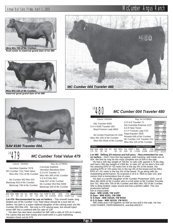# Annual Bull Sale, Friday, April 1, 2005 McCumber Angus Ranch



**flush sister to maternal grand dam of lot 480**



**maternal great grand dam of lot 480**







#### *MC Cumber Total Value 479*

| Calved: 2/6/2004                                                                    | Reg. No.14798091                                                                                         |                                                                                               |
|-------------------------------------------------------------------------------------|----------------------------------------------------------------------------------------------------------|-----------------------------------------------------------------------------------------------|
| Vermilion Dateline 7078<br>MC Cumber 7111 Total Value<br>Miss Wix 7111 of Mc Cumber | <b>Connealy Dateline</b><br>Vermilion Blackbird 5044<br>G D A R Traveler 71<br>Miss Wix 365 of Mc Cumber | Individual<br>Record<br><b>BW</b><br>89<br><b>WW</b><br>742<br>205<br>682<br>101<br><b>WR</b> |
| Mc Cumber 953 Rito 420<br>Blackcap 918 of Mc Cumber<br>Blackcap 738 of Mc Cumber    | V D A R Rito 953<br>Gale 607 of Mc Cumber<br>Mc Cumber 054 Rito 5009                                     | ADG<br>3.24<br>1182<br>YW<br>365<br>1200<br><b>YR</b><br>95                                   |
| <b>EPDs</b>                                                                         | Blackcap 339 of Mc Cumber<br>Dam's Production                                                            | <b>Ultrasound</b><br>Data                                                                     |
| SC<br>ВW<br>IMF<br>RFA<br>23<br>37<br>64<br>.07<br>$-.02$<br>.57<br>1.1             | <b>WW</b><br><b>YW</b><br><b>BW</b><br>%RP<br>Fat<br>4/100<br>4/101<br>.02<br>4/100<br>.004              | IMF 4.41/129<br>12.7/90<br>REA<br>Fat<br>.29/88                                               |

**Lot 479**- **Recommended for use on heifers.** - This smooth made, long bodied son of Mc Cumber 7111 Total Value should be a sure bet on heifers. His dam is a super uddered daughter of the calving ease sire Mc Cumber 953 Rito 420. Not only is 479 calving ease, but should inject some IMF into a cowherd with his ratio of 129.

His dam has also been excellent for IMF with a ratio of 125 on 4 calves. For calves that are born easily and could work in a grid marketing situation check out lot 479.

|                                                                       | <b>MC Cumber 004 Traveler 480</b>                                                              |                                                                    |                            |
|-----------------------------------------------------------------------|------------------------------------------------------------------------------------------------|--------------------------------------------------------------------|----------------------------|
| Calved: 2/6/2004                                                      | Reg. No.14798092                                                                               |                                                                    |                            |
| Sitz Traveler 8180<br>SAV 8180 Traveler 004<br>Boyd Forever Lady 8003 | G D A R Traveler 71<br>Sitz Everelda Entense 1137<br>A A R New Trend<br>S V F Forever Lady 57D | Individual<br>Record<br><b>BW</b><br><b>WW</b><br>205<br><b>WR</b> | $\frac{8}{74}$<br>75<br>10 |
| Mc Cumber Powertrain HC 1025                                          | Papa Equator 2928                                                                              | ADG<br>V <sub>1</sub>                                              | 3.7<br>イウに                 |

| Miss Wix 235 of Mc Cumber<br>Ultrasound<br>Data<br>Dam's Production<br><b>EPD<sub>s</sub></b> | Mc Cumber Powertrain HC 1025<br>Miss Wix 293 of Mc Cumber<br>Miss Wix 9026 of Mc Cumber | Papa Equator 2928 | Rosetta 048 of Mc Cumber<br>Mc Cumber 124 Traveler 212 | l YW<br>365<br><b>YR</b> | ADG 3.75<br>1250<br>1358<br>107 |
|-----------------------------------------------------------------------------------------------|-----------------------------------------------------------------------------------------|-------------------|--------------------------------------------------------|--------------------------|---------------------------------|
|                                                                                               |                                                                                         |                   |                                                        |                          |                                 |

BW WW Milk YW SC IMF REA Fat %RP BW WW YW 2.9 53 26 93 -.02 .61 .034 .15 1/100 1/108 1/107 EPDs<br>BW WW Milk YW SC IMF REA Fat %RP BW WW YW REA15.6/113<br>2.9 53 26 93 -02 .61 .034 .15 1/100 1/108 1/107 Fat .42/135

Individual Record BW 85 WW 740 205 758<br>WR 108 WR 108 ADG 3.75

**Lot 480**- **Selling 2/3 interest and full poss. - Recommended for use on heifers. -** Don't miss this big topped, wide tracking, well made son of 004. We feel he may be the most complete son of 004 in the sale.

He had a 205 day weight of 758 lbs. to ratio 108; gained 3.75 lbs./day, and had a 365 day weight of 1358 lbs. to ratio 107 as his dam's first calf. His weaning EPD of +53 ranks him in the top 2% of the breed. His yearling EPD of +93 ranks him in the top 4% of the breed and his REA EPD of +.61 ranks in the top 3% of the breed. To go along with his outstanding performance, he scanned a 15.6 in. REA to ratio 113, and comes from a tremendous line of cows.

His dam is a terrific daughter of Mc Cumber Powertrain 1025, out of Miss Wix 9026 of Mc Cumber who is a full sister to Mc Cumber Foundation 701, Miss Wix 705 of Mc Cumber and Miss Wix 702 of Mc Cumber. She is deep bodied, super sound and has a perfect udder. The cow production behind

him is impeccable:

Lot  $A \cap \bigcap$ 

- **Dam WW 1/108; YW 1/107**
- **G Dam WW 4/101; YW 3/98**
- **G G Dam WW 10/104; YW 9/104**
- **G G G Dam WW 10/119; YW 9/111**

480 really puts it all together as well as any bull in the sale. He has COW POWER, PERFORMANCE, and BALANCE!!!

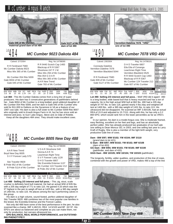

**Gale 5127 of Mc Cumber,**

**dam of lot 490**

**maternal grand dam of lot 484**

## *MC Cumber 9023 Dakota 484*

|                                                                                                | MC Cumber 9023 Dakota 484                                                                                               |                                                                                               |
|------------------------------------------------------------------------------------------------|-------------------------------------------------------------------------------------------------------------------------|-----------------------------------------------------------------------------------------------|
| Calved: 2/7/2004                                                                               | Reg. No.14798095                                                                                                        |                                                                                               |
| R R Ferdinand 758D<br>Mc Cumber Dakota 9023<br>Miss Wix 365 of Mc Cumber                       | R R 9440 Scotch Cap 1483<br>Blackcap of R R 5367<br>Shoshone 247 P J M<br>Miss Wix 294 of Mc Cumber<br>Rito 054 G D A R | Individual<br>Record<br>ВW<br>98<br>ww<br>718<br>205<br>662<br><b>WR</b><br>98<br>ADG<br>3.76 |
| Mc Cumber 054 Rito 5009<br>Gale 8004 of Mc Cumber<br>Gale 045 of Mc Cumber                     | Miss Wix 365 of Mc Cumber<br>A A R New Trend<br>Gale 783 of Mc Cumber                                                   | YW<br>1230<br>365<br>1264<br><b>YR</b><br>100<br>Ultrasound                                   |
| <b>EPDs</b><br>SC<br>RFA<br>WW.<br>IMF<br>YW<br>65<br>-12<br>36<br>15<br>3.8<br>1 24<br>$-.04$ | Dam's Production<br><b>BW</b><br><b>WW</b><br><b>YW</b><br>%RP<br>Fat<br>.10<br>4/99<br>.00<br>5/94<br>5/99             | Data<br>3.00/88<br>IMF<br>13.0/92<br><b>REA</b><br>Fat<br>.30/91                              |

**Lot 484** - This Mc Cumber Dakota comes from a long line of super producers. His dam has 5 consecutive generations of pathfinders behind her. Gale 8004 of Mc Cumber is a long bodied, good uddered daughter of Mc Cumber 054 Rito 5009, and her dam is Gale 045 of Mc Cumber who sold for \$11,000 to Daltons on the Sycamore in VA as a feature of our 1997 cow sale. His dam is also a full sister to Mc Cumber 5009 Rito 8007 who originally sold to Krauth Angus Farm in IA, but he has since sold an interest and poss. to Gurr Lake Angus, Steve and Jo Gilje of Rolette.

Keep all the daughters 484 sires. They should make excellent cows.



| Calved: 2/8/2004                                                                                         | Reg. No.14798099                                                                                            |                                                                                               |
|----------------------------------------------------------------------------------------------------------|-------------------------------------------------------------------------------------------------------------|-----------------------------------------------------------------------------------------------|
| A A R New Trend<br>Boyd New Day 8005<br>S V F Forever Lady 57D                                           | VDAR Shoshone 548<br>Donna A A R 74<br>Leachman Right Time<br>S V F Forever Lady 1128                       | Individual<br>Record<br><b>BW</b><br>95<br><b>WW</b><br>836<br>205<br>771<br>115<br><b>WR</b> |
| Sitz Traveler 9929<br>B Pride 952 of Mc Cumber<br>B Pride 5114 of Mc Cumber                              | D H D Traveler 6807<br>Sitz Everelda Entense 1137<br>Mc Cumber 124 Traveler 212<br>B Pride 252 of Mc Cumber | ADG<br>4.33<br>1425<br>YW<br>1464<br>365<br>116<br>YR.<br><b>Ultrasound</b>                   |
| <b>EPDs</b>                                                                                              | Dam's Production                                                                                            | Data<br>IMF 4.46/131                                                                          |
| <b>IMF</b><br>SC.<br>ВW<br><b>RFA</b><br>YW<br><b>WW</b><br>Milk<br>92<br>.65<br>24<br>.17<br>-35<br>4.1 | <b>YW</b><br><b>BW</b><br><b>WW</b><br>% $RP$<br>Fat<br>3/104<br>3/101<br>3/103<br>- 003                    | REA14.5/103<br>Fat<br>.32/97                                                                  |

**Lot 488** - **Selling 2/3 interest and full poss. -** This big, stout, scale crusher is definitely herd bull material. He had an actual WW of 835 lbs. with a 205 day weight of 771 to ratio 115. He gained 4.33 which was the 5<sup>th</sup> highest in the pen to weigh off test at 1425 lbs., with a 365 day weight of 1464 lbs. to ratio 116. He places among the top 5 performing calves in the group.

His dam is a high volume, sound footed, perfect uddered daughter of Sitz Traveler 9929. 488 combines two of the most popular cow families in the breed, the Everelda Entense and the Forever Ladies.

Not only did 488 have some of the best performance in the pen, he also scanned like a champ. IMF 4.46/131; REA 14.5/103 and BF .32/ 97. His EPD's are about as balanced and complete as you can make them, not only for production, but carcass ultrasound too**.**

**EPD BALANCE, REAL WORLD PERFORMANCE, and OUTSTAND-ING PHENOTYPE!!!**



**Vermilion Dateline 7078 "VRD" sire of lot 490**

#### *MC Cumber 7078 VRD 490*

 $\frac{Lot}{490}$ 

| Calved: 2/9/2004                                                                       | Reg. No.14798101                                                                               |                                                                                               |
|----------------------------------------------------------------------------------------|------------------------------------------------------------------------------------------------|-----------------------------------------------------------------------------------------------|
| <b>Connealy Dateline</b><br><b>Vermilion Dateline 7078</b><br>Vermilion Blackbird 5044 | D H D Traveler 6807<br>Eila Eila of Conanga<br>Leachman Right Time<br>Vermilion Blackbird 3525 | Individual<br>Record<br><b>BW</b><br>92<br><b>WW</b><br>862<br>797<br>205<br><b>WR</b><br>118 |
| R R Ferdinand 758D<br>Gale 839 of Mc Cumber<br>Gale 5127 of Mc Cumber                  | R R 9440 Scotch Cap 1483<br>Blackcap of R R 5367<br>Mc Cumber 124 Traveler 212                 | ADG<br>3.96<br>YW<br>1400<br>365<br>1431<br><b>YR</b><br>113                                  |
| EPDs                                                                                   | Gale 607 of Mc Cumber<br>Dam's Production                                                      | <b>Ultrasound</b><br>Data<br>3.6/106<br>IMF                                                   |
| ВW<br>SC<br><b>REA</b><br>IMF<br>.26<br>.45<br>3.2<br>.07<br>93<br>51                  | <b>YW</b><br><b>WW</b><br><b>BW</b><br>%RP<br>Fat<br>5/97<br>4/104<br>5/102<br>.06<br>005      | REA 15.7/111<br>Fat<br>.38/115                                                                |

**Lot 490**- **Selling 2/3 interest and full poss. -** Well VRD did it again! 490 is a long bodied, wide based bull that is heavy muscled and has a ton of capacity. He is the high actual WW bull at 862 lbs. 490 had a 205 day weight of 797 lbs. to ratio 118, gained nearly 4 lbs./day and weighed off test at 1400 lbs., with a 365 day weight of 1431 lbs. to ratio 113. His ultrasound did not disappoint. He scanned an IMF 3.60/106, had an actual REA of 15.9 and adjusted to 15.7/111. Along with this, he has only a 3.2 BW EPD, which would rank him in the lower percentiles as far as VRD's go.

In our opinion, his dam is a model Angus cow. She is moderate framed, easy fleshing, excellent on her feet and legs, and has an absolutely perfect udder. She has already produced two graduates of our bull sale one selling to Dean Moncur SD, in 2003, and one selling last year to Larry Kraft of Rugby. She is also a member of the light birth weight, very productive Gale line of cows.

#### **Dam - BW 5/97; WW 5/102; YW 4/104; IMF 3/110** (grand dam to lot 421)

**G Dam - BW 8/97; WW 8/102; YW 8/102; IMF 6/108** (dam of lot 453)

#### **GG Dam - BW 9/94; WW 9/103; YW 9/100; IMF 6/100** (pathfinder, and dam of 420)

**GGG Dam - BW 10/105; WW 10/104; YW 10/103** (pathfinder)

The longevity, fertility, udder qualities, and production of this line of cows, combined with the growth and power of VRD, makes 490 a top of the line

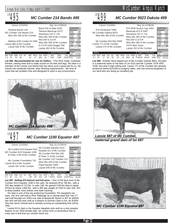# $Lot495$

#### *MC Cumber 214 Bando 495*

| Calved: 2/10/2004                                                                  | Reg. No.14798103                                                                                  |                                                                                       |
|------------------------------------------------------------------------------------|---------------------------------------------------------------------------------------------------|---------------------------------------------------------------------------------------|
| Tehama Bando 155<br>MC Cumber 155 Bando 214<br>Miss Wix 365 of Mc Cumber           | Band 234 of Ideal 3163<br>Tehama Blackcap G373<br>Shoshone 247 P J M<br>Miss Wix 294 of Mc Cumber | Individual<br>Record<br><b>BW</b><br>89<br>716<br>ww<br>205<br>665                    |
| Matthew of Mc Cumber HC 6365<br>Lassie 960 of Mc Cumber<br>Lassie 628 of Mc Cumber | Rito 054 G D A R<br>Miss Wix 365 of Mc Cumber<br>G D A R Gold Nugget 766                          | <b>WR</b><br>99<br><b>ADG</b><br>3.66<br>YW<br>1214<br>365<br>1251<br><b>YR</b><br>99 |
| <b>EPDs</b>                                                                        | Lassie 462 of Mc Cumber<br>Dam's Production                                                       | Ultrasound<br>Data<br>3.04/89<br>IMF                                                  |
| SC.<br>IMF<br><b>RFA</b><br>YW<br>WW.<br>Milk<br>48<br>25<br>25<br>.01<br>13       | <b>WW</b><br><b>YW</b><br><b>BW</b><br>%RP<br>Fat<br>2/100<br>2/99<br>22<br>2/97<br>.001          | <b>RFA</b><br>חחוי<br>Fat<br>.31/94                                                   |

**Lot 495**- **Recommended for use on heifers. -** This thick made, moderate framed, calving ease bull is really sound on his feet and legs. His dam is a member of the Lassie cow family that has done such a good job for us. He should sire moderate framed, easy fleshing replacements - the kind of cows that are problem free and designed to work in any environment.



*MC Cumber 1190 Equator 497*

| Calved: 2/10/2004                                                                       | Reg. No.14798104                                                                                                                                                                      |
|-----------------------------------------------------------------------------------------|---------------------------------------------------------------------------------------------------------------------------------------------------------------------------------------|
| Mc Cumber 6122 Equator 8113<br>MC Cumber 8113 Equator 1190<br>B Pride 7159 of Mc Cumber | Individual<br>Mc Cumber Equator 6122<br>Record<br>Rosetta 421 of Mc Cumber<br><b>BW</b><br>101<br>Mc Cumber 054 Rito 326<br>766<br><b>WW</b><br>712<br>205<br>B Pride 71 of Mc Cumber |
| Mc Cumber Foundation 701<br>Lassie 913 of Mc Cumber<br>Lassie 587 of Mc Cumber          | 106<br><b>WR</b><br>Mc Cumber 124 Traveler 212<br>ADG<br>3.89<br>1295<br>YW<br>Miss Wix 235 of Mc Cumber<br>365<br>1334<br>Papa Equator 2928<br><b>YR</b><br>106                      |
| <b>EPDs</b>                                                                             | Lassie 648 of Mc Cumber<br><b>Ultrasound</b><br>Data<br>Dam's Production<br>IMF<br>2.96/87                                                                                            |
| SC.<br>IMF<br>BW WW<br><b>RFA</b><br>Milk<br>YW<br>$-.09$<br>21<br>74<br>4.7<br>-29     | <b>BW</b><br><b>YW</b><br><b>WW</b><br>%RP<br>Fat<br>RFA14 3/101<br>4/104<br>1/104<br>011<br>- 01<br>Fat<br>.33/100                                                                   |

**Lot 497**- **Selling 2/3 interest and full poss. -** One of the best sons of Mc Cumber 8113 Equator 1190 in the sale. He weaned off at 766 lbs., with a 205 day weight of 712 lbs. to ratio 106. He gained 3.89 lbs./day to weigh off test at nearly 1300 lbs., with a 365 day weight of 1334 to ratio 106. 497 is deep bodied, thick butted, and wide tracking.

His dam is one of the top producing Foundation 701 daughters we have. Her first calf sold to Rick Slabaugh as a calving ease bull. Her 2<sup>nd</sup> calf sold through our 2003 cow sale to Beartooth Ranch in MT for \$4500. Her bull calf last year sold as a feature to Donnie Clark in GA, for \$7000. She has never missed and is already nursing an outstanding bull calf by VRD.

Lassie 913's dam is the Equator daughter who sold as a very popular feature of our 2003 female sale. He comes from a tremendous line of cows and is bull that you should check out.



#### *MC Cumber 9023 Dakota 499*

Calved: 2/10/2004 Reg. No.14798106

| R R Ferdinand 758D<br>Mc Cumber Dakota 9023<br>Miss Wix 365 of Mc Cumber<br>Mc Cumber 054 Rito 5009<br>Lassie 771 of Mc Cumber<br>Lassie 272 of Mc Cumber | R R 9440 Scotch Cap 1483<br>Blackcap of R R 5367<br>Shoshone 247 P J M<br>Miss Wix 294 of Mc Cumber<br>Rito 054 G D A R<br>Miss Wix 365 of Mc Cumber<br>A A R New Trend | Individual<br>Record<br><b>BW</b><br>100<br><b>WW</b><br>758<br>704<br>205<br><b>WR</b><br>105<br>ADG<br>3.35<br><b>YW</b><br>1214<br>365<br>1240<br><b>YR</b><br>99 |
|-----------------------------------------------------------------------------------------------------------------------------------------------------------|-------------------------------------------------------------------------------------------------------------------------------------------------------------------------|----------------------------------------------------------------------------------------------------------------------------------------------------------------------|
|                                                                                                                                                           | Lassie 252 of Mc Cumber                                                                                                                                                 | Ultrasound<br>Data                                                                                                                                                   |
| EPDs                                                                                                                                                      | Dam's Production                                                                                                                                                        | 3.34/98<br><b>IMF</b>                                                                                                                                                |
| BW<br><b>REA</b><br>SC<br><b>WW</b><br>IMF<br>YW<br>62<br>.92<br>3.7<br>37<br>$-.07$<br>-14                                                               | <b>WW</b><br><b>YW</b><br><b>BW</b><br>%RP<br>Fat<br>5/99<br>6/106<br>6/102<br>-15<br>004                                                                               | 14.0/99<br><b>REA</b><br>Fat<br>.35/106                                                                                                                              |

**Lot 499** - Another thick topped son of Mc Cumber Dakota 9023. His dam is a maternal sister to the dam of Lot 4115 and Mc Cumber 7078 VRD 3108, last year's high selling bull. Lassie 771 of Mc Cumber has already produced nearly \$10,000 in progeny sales, and has several daughters in our herd who are doing an excellent job.



*Lassie 587 of Mc Cumber, maternal grand dam of lot 497*





Page 22

Annual Bull Sale, Friday, April 1, 2005 Metal Annual Bull Sale, Friday, April 1, 2005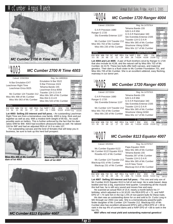

*MC Cumber 2700 R Time 4003*

#### *MC Cumber 2700 R Time 4003* Lot<sub>4003</sub>

| Calved: 2/26/2004                                                                                             | Reg. No.14893916                                                                                   |                                                                                               |
|---------------------------------------------------------------------------------------------------------------|----------------------------------------------------------------------------------------------------|-----------------------------------------------------------------------------------------------|
| N Bar Emulation EXT<br>Leachman Right Time<br>Leachman Erica 0025                                             | Emulation N Bar 5522<br>N Bar Primrose 2424<br>Tehama Bando 155<br>Leachman Erica 8058             | Individual<br>Record<br><b>BW</b><br>85<br>750<br><b>WW</b><br>205<br>729<br><b>WR</b><br>100 |
| Mc Cumber 124 Traveler 212<br>Miss Wix 498 of Mc Cumber<br>Miss Wix 063 of Mc Cumber                          | Traveler 124 G D A R<br>Miss Wix 365 of Mc Cumber<br>Rito 054 G D A R<br>Miss Wix 543 of Mc Cumber | ADG<br>3.19<br>1184<br>YW<br>365<br>1239<br><b>YR</b><br>100                                  |
| <b>EPDs</b>                                                                                                   | Dam's Production                                                                                   | Ultrasound<br>Data<br>IMF 3.75/118                                                            |
| SC.<br><b>RFA</b><br><b>WW</b><br>YW<br>IMF<br>Milk<br><b>BW</b><br>65<br>.33<br>.19<br>34<br>.17<br>21<br>32 | <b>YW</b><br><b>BW</b><br><b>WW</b><br>%RP<br>Fat<br>5/99<br>4/100<br>5/103<br>- 51<br>043         | REA14.5/107<br>Fat<br>.43/165                                                                 |

**Lot 4003**- **Selling 2/3 interest and full poss. -** An outstanding Leachman Right Time son from a tremendous cow family. 4003 is long, thick and put together as well as any. With a modest birth weight of 85 lbs., he could possibly work on heifers. This is further enforced by the fact that his dam ratios 4/99 for BW. 4003 had excellent ultrasound data as well. He ratioed 118 for IMF and had an adjusted REA of 14.5 to ratio 107.

For outstanding carcass and the kind of females that will keep you in business, be sure to look up this herd bull prospect.



**Miss Wix 498 of Mc Cumber, dam of lot 4003**



**dam of lot 4007**



*MC Cumber 1720 Ranger 4004* Lot**4004** 

| Calved: 2/26/2004                                                                    | Reg. No.14797914                                                                            |                                                              |
|--------------------------------------------------------------------------------------|---------------------------------------------------------------------------------------------|--------------------------------------------------------------|
| GAR Precision 1680<br>Ranger G 1720                                                  | Tehama Bando 155<br>9J9 G A R 856<br>G D A R Rainmaker 340                                  | Individual<br>Record<br><b>BW</b><br>89<br><b>WW</b><br>634  |
| Sitz Everelda Entense 1137                                                           | Sitz Everelda Entense 2335                                                                  | 616<br>205<br><b>WR</b><br>100                               |
| Mc Cumber 124 Traveler 212<br>Miss Wix 702 of Mc Cumber<br>Miss Wix 235 of Mc Cumber | Traveler 124 G D A R<br>Miss Wix 365 of Mc Cumber<br>Shoshone Viking GD60                   | ADG<br>2.75<br>YW<br>1008<br>365<br>1056<br><b>YR</b><br>100 |
| EPDs                                                                                 | Miss Wix 117 of Mc Cumber<br>Dam's Production                                               | <b>Ultrasound</b><br>Data                                    |
| BW<br>SC<br><b>RFA</b><br>WW<br>IMF<br>.21<br>.12<br>24<br>35<br>26<br>68<br>3.5     | <b>YW</b><br><b>WW</b><br><b>BW</b><br>%RP<br>Fat<br>2/109<br>.36<br>4/104<br>4/109<br>.004 | IMF 3.41/108<br>13.5/99<br>REA<br>Fat<br>.27/104             |

**Lot 4004 and Lot 4005** - A pair of flush brothers sired by Ranger G 1720 that also include lot 4138, and the natural calf by Miss Wix 702 of Mc Cumber, lot 4170. These two bulls offer both carcass, and maternal genetics. Their dam is a flush sister to Mc Cumber Foundation 701, and Miss Wix 705 of Mc Cumber. She is an excellent uddered, easy fleshing, mainstay in our donor pen.

|                                                                                                                                                             | MC Cumber 1720 Ranger 4005                                                                                                                                                                         |                                                                                                                                                                        |
|-------------------------------------------------------------------------------------------------------------------------------------------------------------|----------------------------------------------------------------------------------------------------------------------------------------------------------------------------------------------------|------------------------------------------------------------------------------------------------------------------------------------------------------------------------|
| Calved: 2/27/2004                                                                                                                                           | Reg. No.14797915                                                                                                                                                                                   |                                                                                                                                                                        |
| G A R Precision 1680<br>Ranger G 1720<br>Sitz Everelda Entense 1137<br>Mc Cumber 124 Traveler 212<br>Miss Wix 702 of Mc Cumber<br>Miss Wix 235 of Mc Cumber | Tehama Bando 155<br>9J9 G A R 856<br>G D A R Rainmaker 340<br>Sitz Everelda Entense 2335<br>Traveler 124 G D A R<br>Miss Wix 365 of Mc Cumber<br>Shoshone Viking GD60<br>Miss Wix 117 of Mc Cumber | Individual<br>Record<br><b>BW</b><br>90<br>626<br>WW.<br>611<br>205<br><b>WR</b><br>100<br>ADG<br>2.78<br>YW<br>1004<br>365<br>1056<br>YR.<br>100<br><b>Ultrasound</b> |
| <b>EPDs</b>                                                                                                                                                 | Dam's Production                                                                                                                                                                                   | Data<br>IMF<br>3.05/96                                                                                                                                                 |
| SC<br>IMF<br><b>RFA</b><br>YW<br>-12<br>68<br>35<br>26<br>-17<br>-21<br>35                                                                                  | <b>BW</b><br><b>WW</b><br>YW<br>Fat<br>%RP<br>2/109<br>004<br>4/109<br>-41<br>4/104                                                                                                                | <b>REA</b><br>13 3/98<br>Fat<br>27/104                                                                                                                                 |



Calved: 3/5/2004

Mc Cumber Equator 6122<br>Mc Cumber 6122 Equator 8113<br>Rosetta 421 of Mc Cumber

Mc Cumber 124 Traveler 212<br>Blackcap 631 of Mc Cumber<br>Blackcap 231 of Mc Cumber

| Reg. No.14797917          |
|---------------------------|
| Papa Equator 2928         |
| Miss Wix 365 of Mc Cumber |
| Tehama Bando 155          |
| Rosetta 297 of Mc Cumber  |
| Traveler 124 G D A R      |
| Miss Wix 365 of Mc Cumber |
| A A R New Trend           |
| Blackcap 013 of Mc Cumber |
|                           |

| Individual |       |
|------------|-------|
| Record     |       |
| <b>BW</b>  | 94    |
| <b>WW</b>  | 664   |
| 205        | 662   |
| <b>WR</b>  | 100   |
| ADG        | 3 72  |
| YW         | 1170  |
| 365        | 1257  |
| <b>YR</b>  | 100   |
|            |       |
| Ultrasound |       |
| Data       |       |
| IMF        | 59/82 |

BW WW Milk YW SC IMF REA Fat %RP BW WW 3.4 36 25 66 89 - 09 72 - 008 74 6/106 6/104  $-0.09$  .72  $-0.08$  .74 6/106 6/104 EPDs **Dam's Production** IMF 2.59/82 REA16.3/120 5/102 Fat .29/112

**Lot 4007**- **Selling 2/3 interest and full poss. -** This one and only son of Mc Cumber 6122 Equator 8113 is full of red meat. He is wide based, deep bodied and has a big, expressive hind quarter. Considering all the muscle this bull has, he is still very sound and moves free and easy.

He scanned an actual REA of 15.9, nearly a month before his 1<sup>st</sup> birthday, which adjusted to a 16.3/120. His REA EPD of +.72, and %RP EPD of +.74 rank him in the top 1.5% of non-parent bulls for these traits.

His dam was an outstanding donor for us and sold to Dr. Curtis Long in MO through our 2003 cow sale. She is a tremendously powerful pathfinder daughter of Mc Cumber 124 Traveler 212. Blackcap 631 of Mc Cumber also has excellent ultrasound EPD's with a REA EPD of +.39 to rank in the top 4% of current dams and a %RP EPD of +.68 to rank in the top 1%.

**4007 offers red meat yield and outstanding maternal genetics!**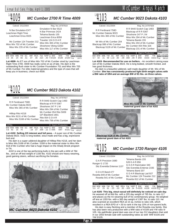#### *MC Cumber 2700 R Time 4009* Lot**4009** Calved: 3/11/2004 Reg. No. 14797919

| N Bar Emulation EXT<br>Leachman Right Time<br>Leachman Erica 0025<br>Mc Cumber 124 Traveler 212<br>Miss Wix 702 of Mc Cumber<br>Miss Wix 235 of Mc Cumber | Tehama Bando 155 | Emulation N Bar 5522<br>N Bar Primrose 2424<br>Leachman Erica 8058<br>Traveler 124 G D A R<br>Miss Wix 365 of Mc Cumber<br>Shoshone Viking GD60 | Individual<br>Record<br><b>BW</b><br><b>WW</b><br>205<br><b>WR</b><br><b>ADG</b><br><b>YW</b><br>365<br><b>YR</b> | 96<br>662<br>674<br>100<br>3.53<br>1142<br>1239<br>100 |
|-----------------------------------------------------------------------------------------------------------------------------------------------------------|------------------|-------------------------------------------------------------------------------------------------------------------------------------------------|-------------------------------------------------------------------------------------------------------------------|--------------------------------------------------------|
|                                                                                                                                                           |                  | Miss Wix 117 of Mc Cumber                                                                                                                       | <b>Ultrasound</b>                                                                                                 |                                                        |
| <b>EPDs</b>                                                                                                                                               |                  | Dam's Production                                                                                                                                | Data<br>IME 3 23/102                                                                                              |                                                        |

Lot 4009- An ET son of Miss Wix 702 of Mc Cumber sired by Leachman Right Time 2700. 4009 has really come on as of late. His dam is the BW WW Milk YW SC IMF REA Fat %RP BW WW YW 2.9 35 24 66 .51 .07 .06 .014 -.40 4/104 4/109 2/109 IMF 3.23/102 REA 13.5/99 2/109 Fat .19/73

outstanding flush sister to Mc Cumber Foundation 701 and Miss Wix 705 of Mc Cumber. For elite maternal genetics and the type of cows that will keep you in business, check out 4009.



| IVIISS VVIX JOJ UI IVIU UUITIDEI                                               | Miss Wix 294 of Mc Cumber                                                               | 205<br>730<br><b>WR</b><br>108                                      |
|--------------------------------------------------------------------------------|-----------------------------------------------------------------------------------------|---------------------------------------------------------------------|
| Hilltop Rito H218<br>Miss Wix 9131 of Mc Cumber<br>Miss Wix 5168 of Mc Cumber  | Mc Cumber 054 Rito 5009<br>GP Blackbird 1901<br><b>Rito 054 G D A R</b>                 | <b>ADG</b><br>4.01<br>YW<br>1330<br>1372<br>365<br><b>YR</b><br>108 |
| EPDs                                                                           | Miss Wix 756 of Mc Cumber<br>Dam's Production                                           | <b>Ultrasound</b><br>Data                                           |
| BW WW<br>SC.<br>IMF REA<br><b>YW</b><br>Milk<br>4.6<br>76<br>43<br>$-18$<br>15 | <b>YW</b><br><b>BW</b><br><b>WW</b><br>Fat %RP<br>4/95<br>4/101<br>4/97<br>009<br>$-22$ | 2.67/78<br><b>IMF</b><br>REA14.5/103<br>42/127                      |

**Lot 4102**- **Selling 2/3 interest and full poss. -** A super son of Mc Cumber Dakota 9023. 4102 is long bodied, stout made and has a big, expressive butt end.

His dam is a super uddered daughter of Hilltop Rito H218, and her dam is Miss Wix 5168 of Mc Cumber. 5168 is the maternal sister to Miss Wix 918 of Mc Cumber who had a huge impact on the Shady Brook program in TN.

4102 is one of the top performing bulls in the pen with a WW of 784 lbs., and an off test weight of 1330 lbs. 4102 should sire heavy weaning, good gaining steers, without sacrificing the females.





### *MC Cumber 9023 Dakota 4103*

Calved: 3/11/2004 Reg. No.14797928

| R R Ferdinand 758D<br>Mc Cumber Dakota 9023<br>Miss Wix 365 of Mc Cumber<br>Mr Wix of Mc Cumber 204<br>Blackcap 088 of Mc Cumber<br>Blackcap 5126 of Mc Cumber | Tehama Bando 155 | R R 9440 Scotch Cap 1483<br>Blackcap of R R 5367<br>Shoshone 247 P J M<br>Miss Wix 294 of Mc Cumber<br>Miss Wix 204 of Mc Cumber<br>Mc Cumber 054 Rito 326 | Individual<br>Record<br><b>BW</b><br>84<br><b>WW</b><br>744<br>710<br>205<br><b>WR</b><br>105<br>ADG<br>3.35<br><b>YW</b><br>1200<br>365<br>1246<br><b>YR</b><br>99 |
|----------------------------------------------------------------------------------------------------------------------------------------------------------------|------------------|------------------------------------------------------------------------------------------------------------------------------------------------------------|---------------------------------------------------------------------------------------------------------------------------------------------------------------------|
|                                                                                                                                                                |                  | Blackcap 231 of Mc Cumber                                                                                                                                  | <b>Ultrasound</b><br>Data                                                                                                                                           |
| EPDs                                                                                                                                                           |                  | Dam's Production                                                                                                                                           | IMF 3.67/108                                                                                                                                                        |
| <b>BW</b><br><b>RFA</b><br><b>WW</b><br>SC<br>IMF                                                                                                              | %RP<br>Fat       | <b>BW</b><br><b>WW</b><br><b>YW</b>                                                                                                                        | REA 12.9/91                                                                                                                                                         |
| 0.7<br>34<br>59<br>.00<br>-.09<br>1.10                                                                                                                         | - 09<br>.008     | 3/101<br>3/94<br>3/103                                                                                                                                     | Fat<br>.38/115                                                                                                                                                      |

**Lot 4103**- **Recommended for use on heifers.** - An excellent calving ease son of Mc Cumber Dakota 9023. He is long bodied, smooth fronted, and has good thickness.

His dam is a beautiful uddered, well made daughter of Mr. Wix of Mc Cumber. **She has consistently produced light birth weight calves with a BW ratio of 3/94 and an average BW of 81 lbs. on three calves.**



**Miss Wix 5168 of Mc Cumber, maternal grand dam of lot 4102**



**maternal grand dam of lot 4103**

Page 24

#### *MC Cumber 1720 Ranger 4105*  $\frac{104105}{2}$

| Calved: 2/11/2004                                                                      | Reg. No.14797930                                                          |                                                                                                  |                               |                                    |  |
|----------------------------------------------------------------------------------------|---------------------------------------------------------------------------|--------------------------------------------------------------------------------------------------|-------------------------------|------------------------------------|--|
| G A R Precision 1680<br>Ranger G 1720<br>Sitz Everelda Entense 1137                    | Tehama Bando 155<br>9J9 G A R 856<br>G D A R Rainmaker 340                | Individual<br>Record<br><b>BW</b><br><b>WW</b><br>205<br>Sitz Everelda Entense 2335<br><b>WR</b> |                               |                                    |  |
| G D A R Band 477<br>Rosetta 849 of Mc Cumber<br>Rosetta 541 of Mc Cumber               | Tehama Band 207<br>G D A R Blackcap Lad 927<br>Mc Cumber 124 Traveler 212 |                                                                                                  | ADG<br>YW<br>365<br><b>YR</b> | 117<br>3.76<br>1355<br>1387<br>110 |  |
| <b>EPDs</b>                                                                            | Rosetta 812 of Mc Cumber<br>Dam's Production                              |                                                                                                  | <b>Ultrasound</b><br>Data     |                                    |  |
| IMF<br><b>BW</b><br>SC<br>RFA<br><b>WW</b><br>81<br>$-.23$<br>25<br>-.03<br>.50<br>5.0 | <b>BW</b><br><b>WW</b><br>Fat<br>%RP<br>05<br>4/109<br>$-.003$            | <b>YW</b><br>4/105                                                                               | <b>IMF</b><br>Fat             | 2.67/78<br>REA15.0/106<br>.32/97   |  |

**Lot 4105**- **This big, stout rascal will definitely be noticed on sale day**. He weaned off at 844 lbs. with a 205 day weight of 785 lbs. to ratio 117 and places as the #2 weaning bull of his contemporary group. He weighed off test at 1355 lbs. with a 365 day weight of 1387 lbs. to ratio 110. He also scanned an excellent REA at 15 sq. inches to ratio 106, which resulted in a REA EPD of +.50 to rank in the top 10% of non-parent bulls.

His dam is easy fleshing and a member of the Rosetta cow family. She has also been very productive with a WW ratio of 4/109 and YW ratio 4/ 105. His pathfinder grand dam was one of our top 212 daughters that sold in our 2003 female sale with outstanding ratios as well: WW 6/106 and YW 5/105.



# Annual Bull Sale, Friday, April 1, 2005 Metal Annual Bull Sale, Friday, April 1, 2005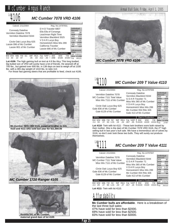# $Lot 4106$

#### *MC Cumber 7078 VRD 4106*

| Calved: 2/11/2004                                                                                         | Reg. No.14797931                                                                               |                                                                                               |
|-----------------------------------------------------------------------------------------------------------|------------------------------------------------------------------------------------------------|-----------------------------------------------------------------------------------------------|
| <b>Connealy Dateline</b><br>Vermilion Dateline 7078<br>Vermilion Blackbird 5044                           | D H D Traveler 6807<br>Eila Eila of Conanga<br>Leachman Right Time<br>Vermilion Blackbird 3525 | Individual<br>Record<br><b>BW</b><br>98<br><b>WW</b><br>704<br>674<br>205<br><b>WR</b><br>100 |
| Circle Oak Lucys Boy 625<br>Lassie 096 of Mc Cumber<br>Lassie 801 of Mc Cumber                            | V D A R Lucys Boy<br>Homestretch Miss Wix 299<br>California Traveler                           | ADG<br>4.60<br>YW<br>1330<br>365<br>1410<br><b>YR</b><br>112                                  |
| <b>EPDs</b>                                                                                               | Lassie 686 of Mc Cumber<br>Dam's Production                                                    | <b>Ultrasound</b><br>Data<br>IMF 3.83/112                                                     |
| SC<br><b>IMF</b><br><b>REA</b><br>Milk YW<br><b>WW</b><br><b>BW</b><br>.05<br>22<br>87<br>.03<br>32<br>40 | <b>WW</b><br><b>YW</b><br><b>BW</b><br>Fat %RP<br>3/106<br>3/98<br>3/100<br>012<br>- 40        | <b>REA</b><br>12.4/88<br>· Fat<br>.40/121                                                     |

**Lot 4106**- The high gaining bull on test at 4.6 lbs./day. This long bodied, big butted son of VRD will surely have a lot of friends. He weaned off at 700 lbs., but gained over 600 lbs. in 136 days on test to weigh off at 1330 lbs. with a 365 day weight of 1410 lbs. to ratio 112.

For those fast gaining steers that are profitable to feed, check out 4106.



**4110 and 4111 who sold last year for \$11,000.00**





**maternal grand dam of lot 4105**



#### *MC Cumber 209 T Value 4110*  $^{Lot}$ 4110

| Calved: 2/12/2004                                                                   |                                                                                                          | Reg. No.14797936                                                   |                                      |                             |
|-------------------------------------------------------------------------------------|----------------------------------------------------------------------------------------------------------|--------------------------------------------------------------------|--------------------------------------|-----------------------------|
| Vermilion Dateline 7078<br>MC Cumber 7111 Total Value<br>Miss Wix 7111 of Mc Cumber | <b>Connealy Dateline</b><br>Vermilion Blackbird 5044<br>G D A R Traveler 71<br>Miss Wix 365 of Mc Cumber | Individual<br>Record<br><b>BW</b><br><b>WW</b><br>205<br><b>WR</b> | 80<br>628<br>665<br>104              |                             |
| Circle Oak Lucys Boy 625<br>Gale 836 of Mc Cumber<br>Gale 6129 of Mc Cumber         | V D A R Lucys Boy                                                                                        | Homestretch Miss Wix 299<br>Mc Cumber 054 Rito 326                 | <b>ADG</b><br>YW<br>365<br><b>YR</b> | 3.13<br>1054<br>1166<br>101 |
| <b>EPDs</b>                                                                         |                                                                                                          | Gale 413 of Mc Cumber<br>Dam's Production                          | <b>Ultrasound</b><br>Data            | IMF 5.46/122                |
| .<br>$\cdots$<br>~~                                                                 |                                                                                                          | 1.7.11<br>$\cdots$<br>----                                         |                                      |                             |

BW WW Milk YW SC IMF REA Fat %RP BW WW YW 2.4 33 27 63 1.01 .19 .24 .007 .05 4/103 4/103 4/101 IMF 5.46/122 REA 12.4/98 Fat .27/87

**Lot 4110**- Twin with lot 4111 - These twin brothers were both raised by their mother. She is the dam of Mc Cumber 7078 VRD 3116, the 2<sup>nd</sup> high selling bull in last year's bull sale. We have a tremendous set of calves by 3116, so don't over look these two bulls. They will surely out produce themselves.

*MC Cumber 209 T Value 4111*  $Lot$ <sup>1</sup>

| Calved: 2/12/2004                                                                                                                        | Reg. No.14797937                                                                                                                                          |                                                                                                                     |  |
|------------------------------------------------------------------------------------------------------------------------------------------|-----------------------------------------------------------------------------------------------------------------------------------------------------------|---------------------------------------------------------------------------------------------------------------------|--|
| Vermilion Dateline 7078<br>MC Cumber 7111 Total Value<br>Miss Wix 7111 of Mc Cumber<br>Circle Oak Lucys Boy 625<br>Gale 836 of Mc Cumber | <b>Connealy Dateline</b><br>Vermilion Blackbird 5044<br>G D A R Traveler 71<br>Miss Wix 365 of Mc Cumber<br>V D A R Lucys Boy<br>Homestretch Miss Wix 299 | Individual<br>Record<br>BW<br>80<br>568<br>ww<br>205<br>610<br>WR<br>96<br>ADG<br>3.24<br>YW<br>1008<br>365<br>1128 |  |
| Gale 6129 of Mc Cumber                                                                                                                   | Mc Cumber 054 Rito 326<br>Gale 413 of Mc Cumber                                                                                                           | YR<br>98<br>Ultrasound                                                                                              |  |
| <b>EPD<sub>s</sub></b>                                                                                                                   | Dam's Production                                                                                                                                          | Data<br><b>IMF</b><br>3.51/78                                                                                       |  |
| RFA<br>SC<br>IMF<br>YW<br>WW.<br>29<br>27<br>1.01<br>- 02<br>- 27<br>ഹ<br>24                                                             | <b>WW</b><br>YW<br><b>BW</b><br>Fat<br>%RP<br>4/101<br>017<br>4/103<br>4/103<br>-18                                                                       | RFA127/101<br>Fat<br>.35/113                                                                                        |  |
| <b>Lot 4111</b> Twin with lot 4110.                                                                                                      |                                                                                                                                                           |                                                                                                                     |  |

# Affordability

**Mc Cumber bulls are affordable**. Here is a breakdown of the last three bull sales:

47% have sold for less than \$2000. 69% have sold for less than \$2500.

83% have sold for less than \$3000.

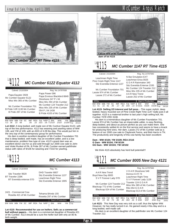

### *MC Cumber 6122 Equator 4112*  $\frac{Lot}{4112}$

| Calved: 2/13/2004                                                | Reg. No.14797938           |                             |                      |                         |                   |
|------------------------------------------------------------------|----------------------------|-----------------------------|----------------------|-------------------------|-------------------|
| Papa Equator 2928                                                | Papa Power 096             |                             | Individual<br>Record |                         |                   |
| Mc Cumber Equator 6122                                           |                            | Papa Envious Blackbird 8849 |                      | <b>BW</b>               | 98                |
|                                                                  |                            | Shoshone 247 P J M          |                      | <b>WW</b>               | 734               |
| Miss Wix 365 of Mc Cumber                                        |                            | Miss Wix 294 of Mc Cumber   |                      | 205                     | 729               |
|                                                                  |                            |                             |                      | <b>WR</b><br><b>ADG</b> | 108               |
| Mc Cumber Foundation 701                                         | Mc Cumber 124 Traveler 212 |                             |                      |                         | 4.09              |
|                                                                  | Miss Wix 235 of Mc Cumber  |                             |                      |                         | 1290              |
| B Pride VJR 1130 Mc Cumber                                       | 054 P J M 1438             |                             |                      |                         | 1383              |
| B Pride 287 of Mc Cumber                                         |                            |                             |                      | YR.                     | 109               |
|                                                                  |                            | B Pride 4103 of Mc Cumber   |                      |                         |                   |
|                                                                  |                            |                             |                      |                         | <b>Ultrasound</b> |
| <b>EPDs</b>                                                      |                            | Dam's Production            |                      | Data                    |                   |
| SC.<br><b>RFA</b><br><b>BW</b><br><b>WW</b><br>IMF<br>Milk<br>YW | %RP<br>Fat                 | <b>WW</b><br><b>BW</b>      | <b>YW</b>            |                         | IMF 3.56/104      |
| 68<br>36<br>23<br>.00<br>.10<br>4.3                              | $-35$<br>023               |                             | 1/109                | <b>RFA</b>              | 13.0/92           |
|                                                                  |                            |                             |                      | Fat                     | .40/121           |

**Lot 4112**- A long bodied, well made son of Mc Cumber Equator 6122, with top of the line performance. 4112 has weaning and yearling ratios of WW 108, and YW of 109, with an ADG of 4.09 lbs./day. This would put him in the very top of the contemporary group for performance.

His dam is another excellent daughter of Mc Cumber Foundation 701 that is deep bodied, well made, has an excellent udder, and is a low maintenance, problem free type of cow. 4112's grand dam was an excellent donor cow for us and sold through our 2000 cow sale to John and Violet Runkel of PA. B Pride 287 of Mc Cumber earned pathfinder status with ratios of 9/106 for weaning and 7/102 for yearling.



*MC Cumber 4113*

| Calved: 2/13/2004                                                 |                   | Reg. No.                                                                        |    |                                                                                        |                         |
|-------------------------------------------------------------------|-------------------|---------------------------------------------------------------------------------|----|----------------------------------------------------------------------------------------|-------------------------|
| Sitz Traveler 9929<br>BT Traveler 228K<br>BT Everelda entense 57D | DHD Traveler 6807 | Sitz Everelda Entense 1137<br>Leachman Right Time<br>Sitz Everelda Entense 1905 |    | Individual<br>Record<br><b>BW</b><br><b>WW</b><br>205<br><b>WR</b><br>ADG<br>YW<br>365 | 80<br>630<br>90<br>1201 |
| 2421 - Commercial Cow<br>Rosetta 421 of Mc Cumber                 | Tehama BAndo 155  | Rosetta 297 of Mc Cumber                                                        |    | YR.<br><b>Ultrasound</b><br>Data                                                       | 94                      |
| <b>EPDs</b>                                                       |                   | Dam's Production                                                                |    | IMF<br><b>REA</b>                                                                      |                         |
| IMF<br>SC.<br>YW.                                                 | REA Fat %RP       | <b>BW</b><br><b>WW</b>                                                          | YW | Fat                                                                                    |                         |

**Lot 4115**- **Recommended for use on heifers. Sells as a commercial bull without papers. -** His dam is a commercial daughter of Rosetta 421 of Mc Cumber. 4113 should be a sure-fire heifer bull with only an 80 lb. birth weight.



**dam of lot 4115**

### *MC Cumber 1147 RT Time 4115*  $\frac{104115}{2}$

EPDs **Dam's Production** Calved: 2/13/2004 Reg. No.14797940 N Bar Emulation EXT Leachman Right Time Leachman Erica 0025 Pine Creek Right Time 1147 G D A R Rainmaker 340 Sitz Everelda Entense 1137 Sitz Everelda Entense 2335 Mc Cumber Foundation 701 Mc Cumber 124 Traveler 212<br>
Lassie 974 of Mc Cumber<br>
Lassie 272 of Mc Cumber<br>
Lassie 252 of Mc Cumber<br>
Lassie 252 of Mc Cumber

Individual Record BW 99 WW 726 205 680<br>WR 101 WR 101<br>ADG 4.07  $4.07$ <br>1280 YW<br>365<br>YR 365 1331 YR 105 Ultrasound **Data** IMF 2.77/81

 $\frac{611}{91}$ 

1188

 $30/91$ 

BW WW Milk YW SC IMF REA Fat %RP | BW WW YW | REA15.8/112<br>4.3 41 22 81 .49 -.17 .40 .034 -.14 | 4/101 4/104 3/109 | Fat .39/118

**Lot 4115**- **Selling 2/3 interest and full poss. -** This super stylish, deep bodied, heavy muscled son of Pine Creek Right Time 1147 really puts it all together. 4115 is a maternal brother to last year's high selling bull, Mc Cumber 7078 VRD 3108.

His dam is a tremendous daughter of Mc Cumber Foundation 701. Lassie 974 of Mc Cumber has an impeccable udder, is easy fleshing, deep bodied, and about as picture perfect as you can make them. She has consistently settled AI on the first service and seems to have a knack for producing herd sires. Her dam, Lassie 272 of Mc Cumber sold as a feature of our 2000 cow sale to Claybrook Farms, and Bob Harris in TN. The productivity and longevity of this cow family has been excellent:

#### **Dam - WW 4/104; YW 3/109; REA 2/116 G Dam - WW 8/104; YW 8/104 GG Dam - WW 10/103; YW 10/102**

We think 4115 absolutely has herd bull potential!!!

### *MC Cumber 8005 New Day 4121*  $\frac{104121}{2}$

BW WW Milk YW SC IMF REA Fat %RP BW WW YW 3.1 32 23 69 74 .00 .40 .002 .46 5/98 5/97 3/98  $30.002$  .40 **EPDs Dam's Production** Individual Record BW 92 WW 650<br>205 611 WR<br>ADG ADG 3.96<br>YW 1188 365 1245 YR 99 **Ultrasound** Data IMF 2.92/86 REA15.1/107 Calved: 2/14/2004 Reg. No.14797946 A A R New Trend V D A R Shoshone 548<br>
Boyd New Day 8005 Donna A A R 74<br>
S V F Forever Lady 57D S V F Forever Lady 1128 Mc Cumber 124 Traveler 212 Traveler 124 G D A R<br>Blackcap 772 of Mc Cumber Rito 054 G D A R<br>Blackcap 024 of Mc Cumber Blackcap 013 of Mc Cumber

**Lot 4121**- This New Day was very sick as a calf, thus the lighter WW. However, he has really turned it on. He gained nearly 4 lbs./day and is a long bodied, well made calf.

His dam is an excellent daughter of the pathfinder sire Mc Cumber 124 Traveler 212.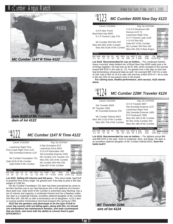



*dam of lot 4122*

#### *MC Cumber 1147 R Time 4122*  $\frac{104122}{2}$

| Calved: 2/15/2004                                                               |                                                                                                   |                                                                            |                                               |
|---------------------------------------------------------------------------------|---------------------------------------------------------------------------------------------------|----------------------------------------------------------------------------|-----------------------------------------------|
| Leachman Right Time<br>Pine Creek Right Time 1147<br>Sitz Everelda Entense 1137 | N Bar Emulation EXT<br>Leachman Erica 0025<br>G D A R Rainmaker 340<br>Sitz Everelda Entense 2335 | Individual<br>Record<br>BW<br>97<br>722<br><b>WW</b><br>205<br>680         |                                               |
| Mc Cumber Foundation 701<br>Gale 9120 of Mc Cumber<br>Gale 6169 of Mc Cumber    | Mc Cumber 124 Traveler 212<br>Miss Wix 235 of Mc Cumber<br>Mc Cumber 054 Rito 326                 | <b>WR</b><br>101<br>ADG<br>4.10<br>1280<br>YW<br>365<br>1336<br>106<br>YR. |                                               |
|                                                                                 | Gale 607 of Mc Cumber                                                                             | Ultrasound                                                                 |                                               |
| <b>EPDs</b><br>BW WW<br>SC.<br>Milk YW<br>IMF<br><b>RFA</b>                     | Fat %RP                                                                                           | Dam's Production<br><b>BW</b><br><b>WW</b><br>YW                           | Data<br>3.10/91<br>IMF<br><b>DEA</b><br>12002 |

**Lot 4122**- **Selling 2/3 interest and full poss. -** This stout made, beef bull is powerful from every angle. He gained over 4 lbs./day to post a 365 day BW WW Milk YW SC IMF REA Fat %RP | BW WW YW | REA 13.0/92<br>3.5 38 21 73 .42 -.11 -.02 .045 -.57 | 4/102 4/100 4/101 | <sub>Fat .50/152</sub>

weight of 1336 lbs. His Mc Cumber Foundation 701 dam has been proclaimed by some to be their favorite cow in our herd because she is the epitome of a tremendous beef cow. Gale 9120 of Mc Cumber is extremely easy fleshing, has a ton of volume and capacity, is moderate framed and has a flawless udder. Her dam is a moderate framed, excellent uddered daughter of Mc Cumber 054 Rito 326. 326 left us with a tremendous set of daughters. 4122's dam

is nursing another tremendous herd bull prospect this spring by VRD. **4122 has the genetics and phenotype to be the type of bull to cover big country with out falling apart, along with this, he should sire tremendous low maintenance females, and male counterparts that are thick, and stout with the ability to convert feed to gain EFFICIENTLY.**

#### *MC Cumber 8005 New Day 4123*  $\frac{104}{123}$

#### Calved: 2/15/2004 Reg. No. 14707048

|                                                                | Valvou, <i>Li</i> IVILVUT |            |          |                                     |                                                | 1154.110.17131370          |            |                                         |                   |                            |                    |                      |              |
|----------------------------------------------------------------|---------------------------|------------|----------|-------------------------------------|------------------------------------------------|----------------------------|------------|-----------------------------------------|-------------------|----------------------------|--------------------|----------------------|--------------|
| A A R New Trend<br>Boyd New Day 8005<br>S V F Forever Lady 57D |                           |            |          | VDAR Shoshone 548<br>Donna A A R 74 |                                                |                            |            | Individual<br>Record<br><b>BW</b><br>82 |                   |                            |                    |                      |              |
|                                                                |                           |            |          |                                     | Leachman Right Time<br>S V F Forever Lady 1128 |                            |            |                                         | <b>WW</b><br>205  | 688<br>647                 |                    |                      |              |
|                                                                |                           |            |          |                                     |                                                |                            |            |                                         |                   |                            |                    | <b>WR</b>            | 96           |
|                                                                | Mc Cumber 953 Rito 420    |            |          |                                     |                                                |                            |            |                                         | VDAR Rito 953     |                            |                    | <b>ADG</b>           | 4.01         |
|                                                                | Miss Wix 802 of Mc Cumber |            |          |                                     |                                                |                            |            |                                         |                   | Gale 607 of Mc Cumber      |                    | <b>YW</b><br>365     | 1234<br>1289 |
|                                                                |                           |            |          |                                     |                                                |                            |            |                                         |                   | Mc Cumber 054 Rito 326     |                    | <b>YR</b>            | 102          |
|                                                                |                           |            |          |                                     |                                                | Miss Wix 6108 of Mc Cumber |            |                                         |                   | Miss Wix 305 of Best Angus |                    |                      |              |
|                                                                |                           |            |          |                                     |                                                |                            |            |                                         |                   |                            |                    | <b>Ultrasound</b>    |              |
| EPD <sub>s</sub>                                               |                           |            |          |                                     |                                                |                            |            |                                         |                   | <b>Dam's Production</b>    |                    | Data<br>IMF 3.62/106 |              |
| -0.1                                                           | <b>BW WW</b><br>34        | Milk<br>24 | YW<br>72 | SC<br>.53                           | <b>IMF</b><br>- 06                             | <b>REA</b><br>44           | Fat<br>009 | %RP<br>.30                              | <b>BW</b><br>5/96 | <b>WW</b><br>5/98          | <b>YW</b><br>4/103 | REA14.9/106<br>Fat   | .32/97       |
|                                                                |                           |            |          |                                     |                                                |                            |            |                                         |                   |                            |                    |                      |              |

**Lot 4123**- **Recommended for use on heifers. -** This moderate-framed, heavy muscled, deep bodied son of Boyd New Day 8005 really puts a lot of things together. He had only an 82 lb. BW, which resulted in the second lowest BW EPD in the sale at -.01, he gained over 4 lbs./day on test and had tremendous ultrasound data as well. He scanned IMF 3.62 for a ratio of 106, had a REA of 14.9 to ratio 106 and has a REA EPD of +.44 to rank in the top 15% of non-parent sires in the breed.

**For calving ease, feedlot performance, and carcass, 4123 stands alone.**



#### Calved: 2/16/2004 Reg. No.14797949

| Sitz Traveler 9929<br>BT Traveler 228K<br>BT Everelda Entense 57D<br>Mc Cumber Dakota 9023<br>Miss Wix 2133 of Mc Cumber<br>Miss Wix 758 of Mc Cumber | D H D Traveler 6807<br>Sitz Everelda Entense 1137<br>Leachman Right Time<br>Sitz Everelda Entense 1905<br>R R Ferdinand 758D<br>Miss Wix 365 of Mc Cumber<br>Mr Wix of Mc Cumber 204<br>Miss Wix 286 of Mc Cumber |
|-------------------------------------------------------------------------------------------------------------------------------------------------------|-------------------------------------------------------------------------------------------------------------------------------------------------------------------------------------------------------------------|
|                                                                                                                                                       | Dam's Production                                                                                                                                                                                                  |



**Lot 4124**- **Recommended for use on heifers. -** The lightest actual BW and BW EPD in the sale. 4124 is moderate, thick, and deep. His dam is an excellent uddered daughter of Mc Cumber Dakota 9023. **Sure-fire heifer bull!!!** BW WW Milk YW SC IMF REA Fat %RP BW WW YW -1.5 28 25 48 -.04 .05 -.014 .59 1/78 1/91 1/90 1/90 Fat 0.22/71



*sire of lot 4124*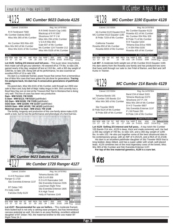#### *MC Cumber 9023 Dakota 4125*  $^{104}$ 125

| Calved: 2/16/2004                                                                                  | Reg. No.14797950                                                                                    |                                                                                                |
|----------------------------------------------------------------------------------------------------|-----------------------------------------------------------------------------------------------------|------------------------------------------------------------------------------------------------|
| R R Ferdinand 758D<br>Mc Cumber Dakota 9023<br>Miss Wix 365 of Mc Cumber                           | R R 9440 Scotch Cap 1483<br>Blackcap of R R 5367<br>Shoshone 247 P J M<br>Miss Wix 294 of Mc Cumber | Individual<br>Record<br><b>BW</b><br>101<br><b>WW</b><br>774<br>205<br>731<br><b>WR</b><br>109 |
| Mc Cumber 953 Rito 420<br>Miss Wix 843 of Mc Cumber<br>Miss Wix 6101 of Mc Cumber                  | VDAR Rito 953<br>Gale 607 of Mc Cumber<br>Mc Cumber 124 Traveler 212                                | ADG<br>3.98<br>YW<br>1315<br>365<br>1368<br><b>YR</b><br>109                                   |
| <b>EPDs</b>                                                                                        | Miss Wix 0105 of Mc Cumber<br><b>Dam's Production</b>                                               | Ultrasound<br>Data                                                                             |
| SC.<br><b>RFA</b><br>WW<br>IMF<br><b>BW</b><br>Milk<br>YW<br>69<br>$-.09$<br>.18<br>37<br>23<br>26 | <b>YW</b><br><b>WW</b><br><b>BW</b><br>%RP<br>Fat<br>3/105<br>5/104<br>5/103<br>.015<br>- 14        | <b>IMF</b><br>3.03/89<br>RFA150/106<br>Fat<br>.37/112                                          |

**Lot 4125**- **Selling 2/3 interest and full poss. -** This super stout, long bodied, thick made calf will get your attention. He weaned off at 774 lbs. to ratio 109, gained nearly 4 lbs./day, weighed off test at 1315 lbs., with a 365 day weight of 1368 lbs. to ratio 109. Along with all his performance, he also scanned an excellent REA of 15 to ratio 106.

His dam is a moderate framed, power house that comes from a tremendous line of Miss Wix cows that have gotten the job done for generations. **Tracing his pedigree back, his dam has 4 consecutive generations of pathfinder cows.**

His grand dam, Miss Wix 6101 of Mc Cumber, sold through our 2003 cow sale to Marv and Judy Bell of Majic Valley Angus in WA. She currently has a Boyd New Day son on test at the Treasure Bull Test in Montana that is doing very well. This line of cows has been very productive. **Dam - WW 5/103; YW 3/105**

**G Dam - WW 6/113; YW 5/110** (pathfinder) **GG Dam - WW 8/108; YW 7/109** (pathfinder) **GGG Dam - WW 12/109; YW 11/107** (pathfinder) **GGGG Dam - WW 14/102; YW 14/103** (pathfinder) **Maternal sister to Dam - WW 2/113; YW 1/108**

The fertility, longevity and production of this cow family alone make 4125 worth a look, but he has the performance and phenotype of a herd bull too.



# *MC Cumber 9023 Dakota 4125*<br>4127 Mc Cumber 1720 Ranger 4127  $^{104}$ 127

| Calved: 2/16/04                                                | Reg. No.14797952                  |                            |           |                  |              |
|----------------------------------------------------------------|-----------------------------------|----------------------------|-----------|------------------|--------------|
| G A R Precision 1680                                           | Tehama Bando 155<br>9J9 G A R 856 | Individual<br>Record       |           |                  |              |
| Ranger G 1720                                                  |                                   |                            |           | <b>BW</b>        | 82           |
|                                                                |                                   | G D A R Rainmaker 340      |           | <b>WW</b>        | 654          |
| Sitz Everelda Entense 1137                                     |                                   | Sitz Everelda Entense 2335 |           | 205<br><b>WR</b> | 659<br>98    |
|                                                                |                                   |                            |           |                  |              |
| BT Dolan 74D                                                   |                                   | Leachman Right Time        |           | ADG<br><b>YW</b> | 3.31         |
|                                                                | Sitz Everelda Entense 1905        |                            |           |                  | 1104         |
| FV Holly 1428                                                  |                                   | 365<br><b>YR</b>           | 1189      |                  |              |
| Fairview Holly 6120                                            | R A High Trend                    |                            |           |                  | 94           |
|                                                                |                                   | Holly of Fairview 1149     |           |                  |              |
|                                                                |                                   |                            |           |                  | Ultrasound   |
| <b>EPDs</b>                                                    |                                   | Dam's Production           |           | Data             |              |
|                                                                |                                   |                            |           |                  | IMF 3.63/106 |
| <b>IMF</b><br><b>RFA</b><br><b>BW</b><br>SC<br><b>WW</b><br>YW | %RP<br>Fat                        | <b>BW</b><br><b>WW</b>     | <b>YW</b> |                  | REA 13.5/96  |
| 65<br>.08<br>.07<br>.50<br>23<br>37<br>20                      | .39<br>.002                       | 2/102<br>2/93              | 2/99      | Fat              | .33/100      |

**Lot 4127**- **Recommended for use on heifers. -** This moderate framed, thick butted bull is not only a calving ease prospect, but has tremendous carcass potential as well. His dam is an easy fleshing, excellent uddered daughter of BT Dolan 74D, the maternal brother to the cow maker BT Right Time 24 J.

# $^{Lot}$ 4128

### *MC Cumber 1190 Equator 4128*

#### Calved: 2/17/2004 Reg. No.14797953

| Mc Cumber 6122 Equator 8113                                                  | Mc Cumber Equator 6122                                                                     | Individual<br>Record                                                  |
|------------------------------------------------------------------------------|--------------------------------------------------------------------------------------------|-----------------------------------------------------------------------|
| MC Cumber 8113 Equator 1190<br>B Pride 7159 of Mc Cumber                     | Rosetta 421 of Mc Cumber<br>Mc Cumber 054 Rito 326<br>B Pride 71 of Mc Cumber              | <b>BW</b><br>97<br>732<br><b>WW</b><br>205<br>693<br><b>WR</b><br>103 |
| California Traveler<br>Rosetta 850 of Mc Cumber<br>Rosetta 6003 of Mc Cumber | R R Traveler 5204<br>Tehama Eisa Erica Y699<br>C H 054 Rito 0100                           | ADG<br>3.41<br>YW<br>1196<br>365<br>1239<br><b>YR</b><br>98           |
| <b>EPDs</b>                                                                  | Rosetta 405 of Mc Cumber<br>Dam's Production                                               | Ultrasound<br>Data<br>IMF 3.46/101                                    |
| SC.<br><b>REA</b><br>YW<br>IMF<br>Milk<br>12<br>22<br>64<br>- 08<br>37<br>32 | <b>YW</b><br><b>WW</b><br><b>BW</b><br>%RP<br>Fat<br>3/100<br>5/99<br>5/102<br>- 30<br>016 | <b>RFA</b><br>12.0/85<br>Fat<br>11 27                                 |

**Lot 407**- A moderate birth weight son of Mc Cumber 8113 Equator 1190. His dam stems from the Rosetta cow family and has produced two sons that have sold through our sale to Joe Fritel of Barton, and Bert and Jeff Kuntz in Towner.



| $\cup$ (i) v $\cup$ (i) $\bot$ i i i $\bot$  |                                                |                                       |                   |              |
|----------------------------------------------|------------------------------------------------|---------------------------------------|-------------------|--------------|
| Tehama Bando 155                             | Band 234 of Ideal 3163<br>Tehama Blackcap G373 | Individual<br>Record                  |                   |              |
| MC Cumber 155 Bando 214                      |                                                |                                       | BW                | 94           |
|                                              |                                                | Shoshone 247 P J M                    | <b>WW</b>         | 740          |
| Miss Wix 365 of Mc Cumber                    |                                                | Miss Wix 294 of Mc Cumber             | 205               | 700          |
|                                              |                                                |                                       | <b>WR</b>         | 104          |
| Sitz Traveler 9929                           | D H D Traveler 6807                            | ADG                                   | 3.69              |              |
|                                              | Sitz Everelda Entense 1137                     | <b>YW</b>                             | 1242              |              |
| B Pride 9124 of Mc Cumber                    |                                                | 365                                   | 1290              |              |
| B Pride 839 of Mc Cumber                     | P J M Power 291                                | YR.                                   | 102               |              |
|                                              | B Pride 134 of Mc Cumber                       |                                       |                   |              |
|                                              |                                                |                                       | <b>Ultrasound</b> |              |
| <b>EPDs</b>                                  |                                                | Dam's Production                      | Data              |              |
|                                              |                                                |                                       | IMF 4.25/125      |              |
| RW WW<br>Milk YW<br>SC.<br><b>IME</b><br>RFA | Fat %RP                                        | <b>RW</b><br><b>M/M/</b><br><b>YW</b> |                   | DEA 45 0/400 |

**Lot 4129**- **Selling 2/3 interest and full poss. -** A top-notch Mc Cumber 155 Bando 214 son. 4129 is deep, thick and made extremely well. He had BW WW Milk YW SC IMF REA Fat %RP | BW WW YW | REA15.2/108<br>2.9 27 23 51 -.04 .15 .17 -.004 .14 | 4/101 4/107 3/104 | Fat .30/91

a 205 day weight of 700 lbs. to ratio 104, and a 365 day weight of 1290 lbs. to ratio 102. He also put together some of the best ultrasound data in his contemporary group, with an IMF of 4.25/125, and a REA of 15.2/108. His dam is an excellent pathfinder daughter of Sitz Traveler 9929 that is

long bodied, deep ribbed, and has a super udder with small, well placed teats. 4129 combines two of the most legendary cows of the breed, Miss Wix 365 of Mc Cumber and Sitz Everelda Entense 1137.

**For top of the line maternal genetics, 4129 is a sure bet.**

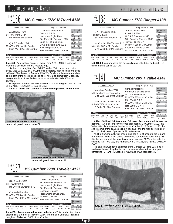#### *MC Cumber 172K N Trend 4136*  $\frac{104136}{ }$

| Calved: 2/21/2004                                                              |                                                                                                           | Reg. No.14797962                                    |                                                                    |                                      |                             |
|--------------------------------------------------------------------------------|-----------------------------------------------------------------------------------------------------------|-----------------------------------------------------|--------------------------------------------------------------------|--------------------------------------|-----------------------------|
| AAR New Trend<br>BT New Trend 172K<br>BT Everelda Entense 57D                  | VDAR Shoshone 548<br>Donna A A R 74<br>Leachman Right Time<br>Sitz Everelda Entense 1905                  |                                                     | Individual<br>Record<br><b>BW</b><br><b>WW</b><br>205<br><b>WR</b> | 90<br>672<br>686<br>102              |                             |
| Q A S Traveler 23-4<br>Miss Wix 1001 of Mc Cumber<br>Miss Wix 352 of Mc Cumber | Band 234 of Ideal 3163<br>Q A S Blackbird Eve 601 1<br>K M A Highroller 5025<br>Miss Wix 098 of Mc Cumber |                                                     |                                                                    | ADG<br><b>YW</b><br>365<br><b>YR</b> | 3.38<br>1132<br>1227<br>97  |
| <b>EPDs</b><br><b>RW WW</b><br>Milk YW<br>SC.<br>IME REA                       | Fat %RP                                                                                                   | <b>Dam's Production</b><br><b>RW</b><br><b>M/M/</b> | <b>YW</b>                                                          | <b>Ultrasound</b><br>Data            | IMF 3.58/105<br>DEA AF OMAA |

BW WW Milk YW SC IMF REA Fat %RP BW WW YW REA15.6/111<br>2.8 35 31 55 1.3 .10 .29 -018 .65 2/99 2/101 2/96 Fat .22/67  $.22/67$ 

**Lot 4136**- An excellent son of BT New Trend 172K. 4136 is long, well made and excellent and his feet and legs.

His dam is a daughter of old QAS Traveler 23-4 himself, and quite good. Miss Wix 1001 of Mc Cumber is moderate, easy fleshing and good uddered. She descends from the Miss Wix family and is a maternal sister to the dam of the herd bull selling as lot 465. She stems from 5 consecutive generations of pathfinder cows that include Miss Wix 365 of Mc Cumber.

4136 posted some of the best ultrasound data in the group with an IMF of 3.58/105, REA 15.6/111, and BF .22/67**.**

**Maternal power and carcass excellence wrapped up in this bull!!**



**Miss Wix 352 of Mc Cumber, maternal grand dam of lot 4136**



**maternal grand dam of lot 4137**

#### *MC Cumber 228K Traveler 4137*  $\frac{104}{137}$

| Calved: 2/21/2004                                                                     | Reg. No.14797963                                                                                       |                                                                                               |
|---------------------------------------------------------------------------------------|--------------------------------------------------------------------------------------------------------|-----------------------------------------------------------------------------------------------|
| Sitz Traveler 9929<br>BT Traveler 228K<br>BT Everelda Entense 57D                     | D H D Traveler 6807<br>Sitz Everelda Entense 1137<br>Leachman Right Time<br>Sitz Everelda Entense 1905 | Individual<br>Record<br><b>BW</b><br>84<br>660<br><b>WW</b><br>711<br>205<br>101<br><b>WR</b> |
| <b>Connealy Frontline</b><br>Miss Wix 2035 of Mc Cumber<br>Miss Wix 5007 of Mc Cumber | <b>Connealy Dateline</b><br>Pleasant Pill of Conanga<br>Rito 054 G D A R<br>Miss Wix 365 of Mc Cumber  | ADG<br>3.5<br>1136<br>YW<br>365<br>1271<br><b>YR</b><br>100                                   |
| <b>EPDs</b>                                                                           | Dam's Production                                                                                       | <b>Ultrasound</b><br>Data<br>IMF 3.16/104                                                     |
| SC.<br>RFA<br>WW.<br>IMF<br>Milk<br>YW<br><b>BW</b><br>57<br>33<br>29<br>.03<br>- 06  | <b>BW</b><br><b>YW</b><br><b>WW</b><br>%RP<br>Fat<br>1/99<br>1/100<br>1/101<br>09<br>nn4               | <b>RFA</b><br>11.8/86<br>· Fat<br>.31/100                                                     |

**Lot 4137**- **Recommended for use on heifers. -** This long bodied, deep sided bull is sired by BT Traveler 228K, and out of a Connealy Frontline daughter of Miss Wix 5007 of Mc Cumber.

Page 29

# $Lot 138$

## *MC Cumber 1720 Ranger 4138*

| Calved: 2/23/2004                                   | Reg. No.14797964                    |                       |
|-----------------------------------------------------|-------------------------------------|-----------------------|
| G A R Precision 1680                                | Tehama Bando 155<br>9J9 G A R 856   | Individual<br>Record  |
| Ranger G 1720                                       |                                     | <b>BW</b><br>87       |
|                                                     | G D A R Rainmaker 340               | <b>WW</b><br>622      |
| Sitz Everelda Entense 1137                          | Sitz Everelda Entense 2335          | 205<br>599            |
|                                                     |                                     | <b>WR</b><br>100      |
| Mc Cumber 124 Traveler 212                          | Traveler 124 G D A R                | ADG<br>3.26           |
|                                                     | Miss Wix 365 of Mc Cumber           | YW<br>1066            |
| Miss Wix 702 of Mc Cumber                           |                                     | 365<br>1121           |
| Miss Wix 235 of Mc Cumber                           | Shoshone Viking GD60                | YR.<br>100            |
|                                                     | Miss Wix 117 of Mc Cumber           |                       |
|                                                     |                                     | Ultrasound            |
| <b>EPDs</b>                                         | Dam's Production                    | Data                  |
| <b>RFA</b><br><b>BW</b><br><b>WW</b><br>IMF<br>Milk | <b>YW</b><br><b>BW</b><br><b>WW</b> | IMF 3.19/101          |
| SC                                                  | %RP<br>Fat                          | 13 1/96<br><b>RFA</b> |
| 12<br>68<br>.18<br>.19<br>35<br>26<br>3.5           | .28<br>2/109<br>-001                | Fat<br>.25/96         |

**Lot 4138**- Flush brother to the bulls selling as Lots 4004, and 4005. His dam's natural calf is Lot 4170.



**EPDs** Dam's Production **Dam's Production**  $WW$ WR 98<br>ADG 3.79 ADG<br>YW YW 1202 1267 YR 100 **Ultrasound** Data Mc Cumber 054 Rito 326 Miss Wix 365 of Mc Cumber<br>B Pride 7159 of Mc Cumber B Pride 71 of Mc Cumber<br>B Pride 4103 of Mc Cumber B Pride 4103 of Mc Cumber

661<br>98

| BW WW Milk YW SC IMF REA Fat %RP BW WW YW REA14.8/105           |  |  |  |  |  |
|-----------------------------------------------------------------|--|--|--|--|--|
| 1.8 33 24 62 .97 .09 .33 .013 .20   6/99 6/100 4/97 Fat .35/106 |  |  |  |  |  |

**Lot 4141**- **Selling 2/3 interest and full poss. Recommended for use on heifers. -** An excellent calving-ease prospect by Mc Cumber 7111 Total Value. 4141 is a maternal brother to Mc Cumber 8113 Equator 1190, the sire to some of the calves selling in this sale, and the high selling bull of our 2002 bull sale to Spencer Griffin in Montana.

4141 is tremendously well made, and has a lot of shape to his top and rear quarter. He is super sound and moves out free and easy. Along with this, he has some of the most balanced ultrasound EPD's in the sale. He scanned IMF 4.01/118, and had a REA of 14.8/105, and has a 1.20 REA/ CWT.

His dam is a wonderful daughter of Mc Cumber 054 Rito 326. She is moderate framed, long bodied, and has an excellent udder. She posts ultrasound IMF and REA ratios of 4/118 and 4/100 respectively.

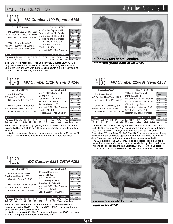|                                                                                                                                                                         | <b>MC Cumber 1190 Equator 4145</b>                                                                                                                                         |                                                                                                                                                      |
|-------------------------------------------------------------------------------------------------------------------------------------------------------------------------|----------------------------------------------------------------------------------------------------------------------------------------------------------------------------|------------------------------------------------------------------------------------------------------------------------------------------------------|
| Calved: 2/24/2004                                                                                                                                                       | Reg. No.14797971                                                                                                                                                           |                                                                                                                                                      |
| Mc Cumber 6122 Equator 8113<br>MC Cumber 8113 Equator 1190<br>B Pride 7159 of Mc Cumber<br>VDAR New Trend 47<br>Miss Wix 1059 of Mc Cumber<br>Miss Wix 098 of Mc Cumber | Mc Cumber Equator 6122<br>Rosetta 421 of Mc Cumber<br>Mc Cumber 054 Rito 326<br>B Pride 71 of Mc Cumber<br>V D A R New Trend 315<br>V D A R Miss Wix 606<br>054 P J M 1438 | Individual<br>Record<br><b>BW</b><br>88<br>634<br>ww<br>205<br>655<br><b>WR</b><br>97<br>ADG<br>3.56<br>YW<br>1118<br>365<br>1225<br><b>YR</b><br>97 |
| <b>EPDs</b><br>SC<br>RFA<br><b>WW</b><br>YW<br>IMF<br>66<br>.11<br>38<br>21<br>3.4<br>.02                                                                               | Miss Wix 365 of Mc Cumber<br>Dam's Production<br><b>YW</b><br>%RP<br><b>BW</b><br><b>WW</b><br>Fat<br>1/97<br>.008<br>.11<br>2/100<br>02                                   | Ultrasound<br>Data<br>3.39/99<br>IMF<br><b>REA</b><br>13.0/92<br>Fat<br>.36/109                                                                      |

**Lot 4145**- A top-notch son of Mc Cumber 8113 Equator 1190. 4145 is long, well made and naturally thick. His dam is a daughter of Miss Wix 098 of Mc Cumber, who was the top selling cow in our 1997 cow sale at \$22,000 to Ray Creek Angus Ranch in MT.

### *MC Cumber 172K N Trend 4146*  $^{Lot}$ 4146

| Calved: 2/24/2004                                                                                | Reg. No.14797972                                                                            |                                                                                       |
|--------------------------------------------------------------------------------------------------|---------------------------------------------------------------------------------------------|---------------------------------------------------------------------------------------|
| A A R New Trend<br>BT New Trend 172K<br>BT Everelda Entense 57D                                  | V D A R Shoshone 548<br>Donna A A R 74<br>Leachman Right Time<br>Sitz Everelda Entense 1905 | Individual<br>Record<br><b>BW</b><br>93<br><b>WW</b><br>686<br>205<br>663<br>WR<br>99 |
| Mr Wix of Mc Cumber 204<br>Rosetta 961 of Mc Cumber<br>Rosetta 4117 of Mc Cumber                 | Tehama Bando 155<br>Miss Wix 204 of Mc Cumber<br>054 P J M 1438                             | ADG<br>3.85<br>YW<br>1210<br>365<br>1279<br>YR.<br>102                                |
| <b>EPDs</b>                                                                                      | Rosetta 818 of Mc Cumber<br>Dam's Production                                                | Ultrasound<br>Data                                                                    |
| IMF<br>RFA<br>SC<br><b>BW</b><br>WW.<br>YW<br>Milk<br>32<br>56<br>1.66<br>-12<br>-21<br>33<br>29 | <b>BW</b><br><b>WW</b><br>%RP<br>Fat<br>4/97<br>4/95<br>-38<br>- 004                        | IMF 3.68/108<br><b>YW</b><br>REA 16.3/116<br>4/95<br>Fat<br>.36/109                   |

**Lot 4146**- A big topped, high gaining son of BT New Trend 172K. 4146 scanned a REA of 16.3 to ratio 116 and is extremely well made and long bodied.

His dam is an easy - fleshing, super uddered daughter of Mr. Wix of Mc Cumber. 4146 combines carcass and maternal in a very complete



**Lot 4152**- **Recommended for use on heifers. -** The only son of the carcass sensation C A Future Direction 5321. 4152 is moderate framed, deep bodied, and heavy muscled.

His dam is Lassie 688 of Mc Cumber, who topped our 2003 cow sale at \$15,000 to a group of progressive breeders in NE.



*maternal grand dam of lot 4145*

### *MC Cumber 1206 N Trend 4153* Lot<sub>4153</sub>

| Calved: 2/27/2004                                                                    | Reg. No.14797980                                                                               |                                                                                        |
|--------------------------------------------------------------------------------------|------------------------------------------------------------------------------------------------|----------------------------------------------------------------------------------------|
| A A R New Trend<br>MC Cumber New Trend 1206<br>Miss Wix 705 of Mc Cumber             | VDAR Shoshone 548<br>Donna A A R 74<br>Mc Cumber 124 Traveler 212<br>Miss Wix 235 of Mc Cumber | Individual<br>Record<br><b>BW</b><br>103<br>680<br><b>WW</b><br>205<br>663<br>99<br>WR |
| Circle Oak Lucys Boy 625<br>Rosetta 804 of Mc Cumber<br>Rosetta 6156 of HC Mc Cumber | V D A R Lucys Boy<br>Homestretch Miss Wix 299<br>Shoshone Prince 6135                          | ADG<br>3.71<br>1184<br>YW<br>365<br>1257<br>100<br><b>YR</b>                           |
| <b>EPDs</b>                                                                          | Rosetta 048 of Mc Cumber<br>Dam's Production                                                   | <b>Ultrasound</b><br>Data                                                              |
| SC.<br>IMF<br><b>RFA</b><br>вw<br>YW<br>Milk<br>24<br>-.01<br>4.5<br>44<br>-30       | <b>BW</b><br><b>WW</b><br>%RP<br>Fat<br>4/101<br>002<br>.39                                    | IMF<br>2.96/87<br><b>YW</b><br>RFA 16 7/118<br>3/102<br>Fat<br>.32/97                  |

**Lot 4153**- The first son to sell by our Herd Sire Mc Cumber New Trend 1206. 1206 is sired by AAR New Trend and his dam is the powerful donor Miss Wix 705 of Mc Cumber, who is the flush sister to Mc Cumber Foundation 701, and Miss Wix 702. The 1206 calves are extremely heavy muscled and the daughters appear to come from the same mold as his dam. They are deep, thick, and look to be extremely easy fleshing.

4153 is typical of the 1206 sons. He is long bodied, deep, and has a tremendous amount of muscle, not only visually, but by ultrasound as well. This end of Feb. calf scanned an actual REA of 16.4, which adjusted to 16.7 for a ratio of 118, to stake his claim as the #2 REA bull in the sale.



*dam of lot 4152*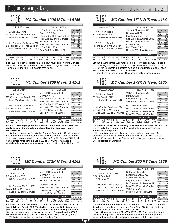#### *MC Cumber 1206 N Trend 4156*  $\frac{104156}{ }$

| Calved: 2/29/2004                                            |                  | Reg. No.14797981                                |            |                                                |             |
|--------------------------------------------------------------|------------------|-------------------------------------------------|------------|------------------------------------------------|-------------|
| A A R New Trend<br>MC Cumber New Trend 1206                  | Donna A A R 74   | VDAR Shoshone 548<br>Mc Cumber 124 Traveler 212 |            | Individual<br>Record<br><b>BW</b><br><b>WW</b> | 97<br>704   |
| Miss Wix 705 of Mc Cumber                                    |                  | Miss Wix 235 of Mc Cumber                       |            | 205                                            | 691         |
|                                                              |                  | Traveler 124 G D A R                            |            | <b>WR</b><br>ADG                               | 103<br>2.91 |
| Mc Cumber 124 Traveler 212                                   |                  | Miss Wix 365 of Mc Cumber                       |            | YW                                             | 1100        |
| Blue Ribbon 870 of Mc Cumber<br>Blue Ribbon 467 of Mc Cumber | V D A R Rito 953 |                                                 | 365<br>YR. | 1157<br>92                                     |             |
|                                                              |                  | East Fork Blue Ribbon 33                        |            |                                                |             |
| <b>EPDs</b>                                                  |                  | Dam's Production                                |            | Data                                           | Ultrasound  |
|                                                              |                  |                                                 |            | IMF                                            | 3.32/97     |
| SC.<br>YW<br><b>RFA</b><br>WW.<br>IME<br>Milk<br><b>BW</b>   | %RP<br>Fat       | <b>WW</b><br><b>BW</b>                          | <b>YW</b>  | <b>REA</b>                                     | 13.4/95     |
| 39<br>23<br>23<br>- 01                                       | .38<br>- 008     | 4/99                                            | 3/98       | Fat                                            | .24/73      |

**Lot 4156**- Another moderate framed, heavy muscled son of Mc Cumber New Trend 1206. His dam is a super uddered daughter of Mc Cumber 124 Traveler 212, making 4156 double bred to 212.

| $10^{10}4161$ | MC Cumber 1206 N Trend 4161 |
|---------------|-----------------------------|
|               |                             |

| Calved: 3/3/2004                                                                                                                                           | Reg. No.14797987                                                                                                                                                                     |                                                                                                                                                        |
|------------------------------------------------------------------------------------------------------------------------------------------------------------|--------------------------------------------------------------------------------------------------------------------------------------------------------------------------------------|--------------------------------------------------------------------------------------------------------------------------------------------------------|
| A A R New Trend<br>MC Cumber New Trend 1206<br>Miss Wix 705 of Mc Cumber<br>Mc Cumber Foundation 701<br>Lassie 180 of Mc Cumber<br>Lassie 657 of Mc Cumber | V D A R Shoshone 548<br>Donna A A R 74<br>Mc Cumber 124 Traveler 212<br>Miss Wix 235 of Mc Cumber<br>Mc Cumber 124 Traveler 212<br>Miss Wix 235 of Mc Cumber<br>V D A R New Trend 47 | Individual<br>Record<br><b>BW</b><br>105<br><b>WW</b><br>650<br>205<br>686<br><b>WR</b><br>102<br>ADG<br>3.51<br>1128<br>YW<br>365<br>1248<br>YR<br>99 |
| <b>EPDs</b>                                                                                                                                                | Lassie 444 of Mc Cumber<br>Dam's Production                                                                                                                                          | Ultrasound<br>Data                                                                                                                                     |
| SC.<br>RFA<br>IMF<br>YW<br>WW.<br>45<br>24<br>23<br>-.07<br>09<br>54                                                                                       | <b>YW</b><br><b>BW</b><br>%RP<br><b>WW</b><br>Fat<br>2/99<br>08<br>2/102<br>008                                                                                                      | 3.25/95<br>IMF<br>REA15.3/109<br>· Fat<br>.25/106                                                                                                      |

**Lot 4161**- **This big topped, thick butted bull should sire steers that really pack on the muscle and daughters that can excel in any environment.**

His dam is one of our favorite Mc Cumber Foundation 701 daughters. She is moderate, super sound, deep bodied, and has a beautiful udder. She is nursing a tremendous baby heifer calf, by Mc Cumber 7111 Total Value, already this spring. Lassie 180 of Mc Cumber has already established some very nice ultrasound ratios, IMF 2/101 and REA 2/106.



**Lot 4163**- An attractive, well made son of the #1 Scrotal EPD bull of the breed, BT New Trend 172K. This bull had some navel infection as a calf and it really set him back. However, he seems to be coming around and his dam has done an excellent job in the past. She produced a \$3300 bred heifer that sold to Gurr Lake Angus in our 2003 Cow sale, and a \$2000 heifer calf to Sterling Land and Cattle in TX.

#### *MC Cumber 172K N Trend 4164*  $^{Lot}$ 4164

| Calved: 3/8/2004                                                                                                | Reg. No.14797990                                                                                                                                       |                                                                                                                                                              |  |  |  |  |
|-----------------------------------------------------------------------------------------------------------------|--------------------------------------------------------------------------------------------------------------------------------------------------------|--------------------------------------------------------------------------------------------------------------------------------------------------------------|--|--|--|--|
| A A R New Trend<br>BT New Trend 172K<br>BT Everelda Entense 57D<br>A A R New Trend<br>Rosetta 1017 of Mc Cumber | VDAR Shoshone 548<br>Donna A A R 74<br>Leachman Right Time<br>Sitz Everelda Entense 1905<br>V D A R Shoshone 548<br>Donna A A R 74<br>Rito 054 G D A R | Individual<br>Record<br><b>BW</b><br>90<br>670<br><b>WW</b><br>717<br>205<br><b>WR</b><br>107<br>ADG<br>3.24<br>YW<br>1110<br>365<br>1235<br><b>YR</b><br>98 |  |  |  |  |
| Rosetta 128 of Mc Cumber                                                                                        | Rosetta 287 of Mc Cumber                                                                                                                               | Ultrasound                                                                                                                                                   |  |  |  |  |
| <b>EPDs</b>                                                                                                     | Dam's Production                                                                                                                                       | Data<br>2.91/85<br>IMF                                                                                                                                       |  |  |  |  |
| SC.<br>IMF<br><b>RFA</b><br><b>BW</b><br><b>WW</b><br>YW<br>Milk<br>35<br>30<br>54<br>.02<br>06<br>4.0          | <b>BW</b><br>YW<br>%RP<br><b>WW</b><br>Fat<br>2/99<br>2/100<br>2/104<br>.002<br>.23                                                                    | 13.7/97<br><b>REA</b><br>Fat<br>.39/118                                                                                                                      |  |  |  |  |
| Lot 4164- A moderate, well made son of BT New Trend 172K. He had a                                              |                                                                                                                                                        |                                                                                                                                                              |  |  |  |  |

205 day weight of 717 lbs. to ratio 107, as his dams 2<sup>nd</sup> calf. Miss Wix 1017 of Mc Cumber is a moderate framed super uddered daughter of AAR New Trend, thus making 4164 double bred.

Keep all the heifers he sires. They should make excellent cows.

### *MC Cumber 172K N Trend 4165*  $\frac{104165}{2}$

| Calved: 3/8/2004                                                                   | Reg. No.14797991                                                                         |                                                                                        |  |  |  |
|------------------------------------------------------------------------------------|------------------------------------------------------------------------------------------|----------------------------------------------------------------------------------------|--|--|--|
| A A R New Trend<br>BT New Trend 172K<br>BT Everelda Entense 57D                    | VDAR Shoshone 548<br>Donna A A R 74<br>Leachman Right Time<br>Sitz Everelda Entense 1905 | Individual<br>Record<br><b>BW</b><br>95<br>632<br>ww<br>205<br>679<br>101<br><b>WR</b> |  |  |  |
| Mc Cumber Ferdinand 896<br>Miss Wix 101 of Mc Cumber<br>Miss Wix 7009 of Mc Cumber | R R Ferdinand 758D<br>Miss Wix 554 of Mc Cumber<br>Mc Cumber 124 Traveler 212            | ADG<br>3.18<br>1064<br>YW<br>1188<br>365<br>YR.<br>95                                  |  |  |  |
| <b>EPDs</b>                                                                        | Miss Wix 030 of Mc Cumber<br>Dam's Production                                            | <b>Ultrasound</b><br>Data                                                              |  |  |  |
| IMF<br>RFA<br>ВW<br>SC<br>.03<br>.18<br>38<br>29<br>4.0<br>ണ<br>1 44               | <b>YW</b><br><b>BW</b><br><b>WW</b><br>%RP<br>Fat<br>2/98<br>$-.019$<br>2/103<br>.56     | IMF 3.58/105<br>RFA144/102<br>Fat<br>.21/64                                            |  |  |  |

**Lot 4165**- Super stylish, and heavy muscled best describes this bull. 4165 is long bodied, well made, and has excellent muscle expression out through his rear quarter.

His dam is a stout, easy fleshing, super uddered daughter of Mc Cumber Ferdinand 896 and has done an excellent job with 2 calves ratioing 103 at weaning. Her first son sold in last year's sale to Mike and Sherri Peterson of Dunseith.



**Lot 4169**- **Recommended for use on heifers. -** This moderate framed, deep bodied grandson of Leachman Right Time 2700 is out of a tremendous daughter of Mc Cumber Foundation 701.

You will hear more about Miss Wix 2129 of Mc Cumber in the future. She is picture perfect. She has a tremendous amount of rib, and has a perfect udder, with small, well placed teats and a tight attachment.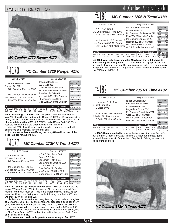### Annual Bull Sale, Friday, April 1, 2005 Metal Annual Bull Sale, Friday, April 1, 2005 McCumber Angus Ranch

Individual **Record** BW 90<br>WW 592

 $634$ <br> $94$ WR 94 ADG<br>YW YW 1020<br>365 1138 365 1138 YR 90 **Ultrasound** 



*MC Cumber 1720 Ranger 4170*

### *MC Cumber 1720 Ranger 4170*  $^{Lot}$ 4170

| Calved: 3/9/2004                                                                                  | Reg. No.14854483                                                                          |                                                             |
|---------------------------------------------------------------------------------------------------|-------------------------------------------------------------------------------------------|-------------------------------------------------------------|
| G A R Precision 1680<br>Ranger G 1720<br>Sitz Everelda Entense 1137                               | Tehama Bando 155<br>9J9 G A R 856<br>G D A R Rainmaker 340                                | Individual<br>Record<br><b>BW</b><br>95<br><b>WW</b><br>672 |
|                                                                                                   | Sitz Everelda Entense 2335                                                                | 205<br>680<br>101<br><b>WR</b>                              |
| Mc Cumber 124 Traveler 212                                                                        | Traveler 124 G D A R                                                                      | ADG<br>1138                                                 |
| Miss Wix 702 of Mc Cumber                                                                         | Miss Wix 365 of Mc Cumber                                                                 | 3.43<br>YW<br>365<br>1229                                   |
| Miss Wix 235 of Mc Cumber                                                                         | Shoshone Viking GD60<br>Miss Wix 117 of Mc Cumber                                         | 97<br>YR.                                                   |
|                                                                                                   | <b>Ultrasound</b><br>Data                                                                 |                                                             |
| <b>EPDs</b>                                                                                       | <b>Dam's Production</b>                                                                   | IMF 3.73/109                                                |
| IMF<br><b>RFA</b><br>SC.<br>WW.<br><b>RW</b><br>Milk<br>-12<br>.32<br>63<br>.19<br>33<br>26<br>34 | <b>YW</b><br><b>BW</b><br><b>WW</b><br>%RP<br>Fat<br>2/109<br>46<br>4/109<br>4/104<br>ററഞ | REA14,8/105<br>Fat<br>.37/112                               |

**Lot 4170**-**Selling 2/3 interest and full poss. -** The natural calf of Miss Wix 702 of Mc Cumber and sired by Ranger G 1720. 4170 is an attractive, heavy muscled, deep sided bull that will catch your eye. He had excellent ultrasound data with an IMF of 3.73/109, and a REA of 14.8/105. This resulted in some of the top ultrasound EPD's in the sale.

Miss Wix 702 of Mc Cumber is a tremendous donor for us and will continue to be a mainstay in our donor pen.

**For carcass with out sacrificing the cow, 4170 will be one of the best!** We call him a herd bull.



| Calved: 3/12/2004                                                                  | Reg. No.14797997                                                                              |                                                                                        |
|------------------------------------------------------------------------------------|-----------------------------------------------------------------------------------------------|----------------------------------------------------------------------------------------|
| A A R New Trend<br>BT New Trend 172K<br>BT Everelda Entense 57D                    | VDAR Shoshone 548<br>Donna A A R 74<br>Leachman Right Time<br>Sitz Everelda Entense 1905      | Individual<br>Record<br>BW<br>95<br>688<br><b>WW</b><br>703<br>205<br>104<br><b>WR</b> |
| Mc Cumber 953 Rito 420<br>Blue Ribbon 7144 Mc Cumber<br>Blue Ribbon 7144 Mc Cumber | V D A R Rito 953<br>Gale 607 of Mc Cumber<br>Mc Cumber 054 Rito 326                           | ADG<br>3.96<br>1226<br><b>YW</b><br>365<br>1337<br><b>YR</b><br>106                    |
| <b>EPDs</b>                                                                        | Mc Cumber Blue Ribbon 606<br>Dam's Production                                                 | Ultrasound<br>Data<br>IMF 3.56/104                                                     |
| SC.<br>RFA<br>IMF<br><b>BW</b><br>1.62<br>33<br>32<br>56<br>.02<br>09<br>22        | <b>BW</b><br><b>WW</b><br><b>YW</b><br>%RP<br>Fat<br>4/99<br>4/101<br>.15<br>$-.005$<br>4/103 | REA14.7/104<br>Fat<br>.28/85                                                           |

**Lot 4177**- **Selling 2/3 interest and full poss. -** With out a doubt the top son of BT New Trend 172K in the sale. 4177 is moderate framed, free moving, and heavy muscled. He is a mid-March bull that had a 205 day weight of 703 to ratio 104, gained nearly 4 lbs./day, and had a 365 day weight of 1337 lbs. to ratio 106.

His dam is a moderate framed, easy fleshing, super uddered daughter of Mc Cumber 953 Rito 420 and consistently produces a good calf every year, indicated by: BW 4/99; WW 4/103; YW 4/101; IMF 4/100; REA 4/102

Her dam has also been a tremendous producer with a BW ratio 6/96, WW 6/105, YW 5/105, and two bulls selling for an average of \$5600, one to Clay Creek Ranch in WY, and another selling last year to Dick, Grant, and Ross Nielsen in NE.

**For proven and predictable genetics, make sure you find 4177.**



Calved: 3/17/2004 Reg. No.14797999

 $\frac{WW}{205}$ V D A R Shoshone 548<br>MC Cumber New Trend 1206 Donna A A R 74<br>Miss Wix 705 of Mc Cumber Miss Wix 235 of Mc Cumber Mc Cumber 6122 Equator 8113 Mc Cumber Equator 6122<br>Lady Barbola 0149 Mc Cumber Mc Cumber 654 Rito 326<br>Lady Barbola 7146 Mc Cumber G D A R Lady Barbola 4186

**Lot 4180**- **A stylish, heavy muscled March calf that will be hard to** BW WW Milk YW SC IMF REA Fat %RP BW WW YW  $\frac{W}{RE}$ <br>2.8 22 24 44 .02 .08 -013 .65 3/104 3/104 3/103  $F_{\text{R}t}$  $-0.013$  .65 EPDs **Dam's Production** Data IMF 2.90/85 REA 13.6/96 24/73

**miss among the young bulls.** 4180 is wide based, big topped and has an excellent hip and hind leg. His dam is a super uddered, very productive daughter of Mc Cumber 6122 Equator 8113 that has ratios of WW 3/104; YW 3/103 and IMF 3/119.

|                                                                                                                                             | MC Cumber 205 RT Time 4182                                                                                                                                                                                   |                                                                                                                                                            |
|---------------------------------------------------------------------------------------------------------------------------------------------|--------------------------------------------------------------------------------------------------------------------------------------------------------------------------------------------------------------|------------------------------------------------------------------------------------------------------------------------------------------------------------|
| Calved: 3/17/2004                                                                                                                           | Reg. No.14798001                                                                                                                                                                                             |                                                                                                                                                            |
| Leachman Right Time<br>S Right Time 205<br>S Elcona 076<br>Mc Cumber Next Step 9012<br>B Pride 239 of Mc Cumber<br>B Pride 090 of Mc Cumber | N Bar Emulation EXT<br>Leachman Erica 0025<br><b>Connealy Frontline</b><br>Legendary Elcona 552<br>Mc Cumber Foundation 701<br>Gale 607 of Mc Cumber<br>Mr Wix of Mc Cumber 204<br>B Pride 7159 of Mc Cumber | Individual<br>Record<br><b>BW</b><br>82<br>560<br><b>WW</b><br>205<br>547<br><b>WR</b><br>92<br>ADG<br>2.87<br>950<br>YW<br>1106<br>365<br><b>YR</b><br>87 |
| <b>EPDs</b><br>SC.<br>IMF<br>RFA<br>Milk<br>YW<br>$-.01$<br>23<br>45<br>03<br>23                                                            | Dam's Production<br><b>BW</b><br><b>WW</b><br>YW<br>%RP<br>Fat<br>1/87<br>1/92<br>022<br>-23<br>1/95                                                                                                         | Ultrasound<br>Data<br>IMF 3.08/101<br><b>RFA</b><br>124/90<br>Fat<br>27/87                                                                                 |

**Lot 4182**- **Recommended for use on heifers. -** Another sure fire heifer bull sired by S Right Time 205. His dam is a moderate framed, good uddered daughter of Mc Cumber Next Step 9012. Calving ease on both sides of the pedigree.

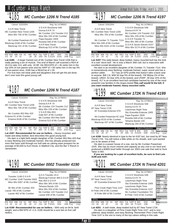| Calved: 3/20/2004                                                                       | Reg. No.14798002                                                                               |                                                                                               |
|-----------------------------------------------------------------------------------------|------------------------------------------------------------------------------------------------|-----------------------------------------------------------------------------------------------|
| A A R New Trend<br>MC Cumber New Trend 1206<br>Miss Wix 705 of Mc Cumber                | VDAR Shoshone 548<br>Donna A A R 74<br>Mc Cumber 124 Traveler 212<br>Miss Wix 235 of Mc Cumber | Individual<br>Record<br><b>BW</b><br>95<br><b>WW</b><br>632<br>205<br>684<br><b>WR</b><br>102 |
| Mc Cumber Powertrain HC 1025<br>Blackcap 0108 of Mc Cumber<br>Blackcap 231 of Mc Cumber | Papa Equator 2928<br>Rosetta 048 of Mc Cumber<br>A A R New Trend                               | ADG<br>3.26<br><b>YW</b><br>1076<br>365<br>1206<br><b>YR</b><br>96                            |
| <b>EPDs</b>                                                                             | Blackcap 013 of Mc Cumber<br><b>Dam's Production</b>                                           | Ultrasound<br>Data<br>3.18/93<br>IMF                                                          |
| SC.<br>IMF<br>RFA<br><b>BW</b><br>51<br>24<br>.35<br>28<br>$-.05$<br>4.5                | <b>YW</b><br><b>RW</b><br><b>WW</b><br>%RP<br>Fat<br>2/99<br>.59<br>$-.003$<br>2/103<br>2/101  | REA 16,0/113<br>Fat<br>.24/73                                                                 |

**Lot 4185**- - A larger framed son of Mc Cumber New Trend 1206 that is really packing a ton of muscle. This end of March calf scanned a REA of 16.0 to ratio 113, with only .24 BF. His REA EPD of +.35 ranks him in the top 20% of non-parent sires and his %RP of +.59 ranks him in the top 4% of non-parent sires. 4185 has a REA/Cwt of 1.35.  $2/99$  Fat

For true lean red meat yield and daughters that will get the job done, don't over look this good young calf.



| Calved: 3/23/2004                                                                         | Reg. No.14798004                                                                                                            |                                                                                              |  |
|-------------------------------------------------------------------------------------------|-----------------------------------------------------------------------------------------------------------------------------|----------------------------------------------------------------------------------------------|--|
| A A R New Trend<br>MC Cumber New Trend 1206<br>Miss Wix 705 of Mc Cumber                  | V D A R Shoshone 548<br>Donna A A R 74<br>Mc Cumber 124 Traveler 212<br>Miss Wix 235 of Mc Cumber                           | Individual<br>Record<br><b>BW</b><br>87<br>586<br><b>WW</b><br>205<br>643<br><b>WR</b><br>96 |  |
| Mc Cumber 953 Rito 420<br>Erianna 01 of Mc Cumber<br>Erianna 8106 of Mc Cumber            | V D A R Rito 953<br>ADG<br>3.1<br>YW<br>1008<br>Gale 607 of Mc Cumber<br>365<br>1139<br>Mc Cumber 054 Rito 5009<br>YR<br>90 |                                                                                              |  |
| <b>EPDs</b>                                                                               | Erianna 513 of Mc Cumber<br>Dam's Production                                                                                | Ultrasound<br>Data                                                                           |  |
| SC.<br>IMF<br><b>RFA</b><br>WW.<br>YW<br>Milk<br>25<br>- 01<br>41<br>22<br>16<br>$\Omega$ | <b>BW</b><br><b>YW</b><br><b>WW</b><br>%RP<br>Fat<br>3/107<br>3/95<br>3/101<br>37<br>005                                    | IMF<br>3.29/96<br><b>RFA</b><br>14.0/99<br>Fat<br>.24/73                                     |  |

**Lot 4187**- **Recommended for use on heifers. -** Heavy muscled, well made and deep bodied, best describes this good young bull.

His dam is a light birth weight daughter of Mc Cumber 953 Rito 420 that is easy fleshing and moderate framed. She has already produced two sons that have sold through our bull sale as calving ease prospect for an average of \$3,000 to Kurt Hovet, in Watford City, and the Bar V Ranch in Jamestown.



| Calved: 3/24/2004                                                                               |                                                     | Reg. No.14798008                       |                      |                       |
|-------------------------------------------------------------------------------------------------|-----------------------------------------------------|----------------------------------------|----------------------|-----------------------|
| Traveler 1148 G D A R<br>MC Cumber 1148 Traveler 0002                                           | Q A S Traveler 23-4<br>Blackcap Forever 485 G D A R | Individual<br>Record<br><b>BW</b>      | 84                   |                       |
| Miss Wix 5007 of Mc Cumber                                                                      | $R$ ito 054 G D A R                                 |                                        | <b>WW</b>            | 570                   |
|                                                                                                 | Miss Wix 365 of Mc Cumber                           |                                        | 205<br>WR            | 610<br>91             |
|                                                                                                 | Tehama Bando 155                                    |                                        | ADG                  | 3.24                  |
| Mr Wix of Mc Cumber 204                                                                         | Miss Wix 204 of Mc Cumber                           | YW                                     | 1010                 |                       |
| Lassie 790 of Mc Cumber                                                                         | Mc Cumber 124 Traveler 212                          | 365<br>YR.                             | 1128<br>90           |                       |
| Lassie 462 of Mc Cumber                                                                         | Lassie 648 of Mc Cumber                             |                                        |                      |                       |
|                                                                                                 |                                                     |                                        | Ultrasound           |                       |
| <b>EPDs</b>                                                                                     |                                                     | <b>Dam's Production</b>                | Data<br>IMF 3.58/105 |                       |
| <b>IMF</b><br>SC.<br><b>RFA</b><br><b>BW</b><br>WW.<br>40<br>.08<br>24<br>-12<br>20<br>42<br>10 | <b>BW</b><br>%RP<br>Fat<br>66<br>- 011<br>5/101     | <b>YW</b><br><b>WW</b><br>3/96<br>5/94 | Fat                  | REA14 1/100<br>.27/82 |

**Lot 4190**- **Recommended for use on heifers. -** With only an 84 lb. birth weight, and a BW EPD of +1.0, 4190 should be a sure bet on first calf heifers.

#### *MC Cumber 1206 N Trend 4197* <sup>Lot</sup>4197

Calved: 3/30/2004 Reg. No.14798012

| Galveu. 3/30/2004                                                                                           | <b>NU. 190.14730012</b>                                                                                                                                                   |
|-------------------------------------------------------------------------------------------------------------|---------------------------------------------------------------------------------------------------------------------------------------------------------------------------|
| A A R New Trend<br>MC Cumber New Trend 1206                                                                 | Individual<br>VDAR Shoshone 548<br>Record<br>Donna A A R 74<br>BW<br>94<br>Mc Cumber 124 Traveler 212<br><b>WW</b>                                                        |
| Miss Wix 705 of Mc Cumber                                                                                   | 667<br>205<br>Miss Wix 235 of Mc Cumber<br><b>WR</b><br>99                                                                                                                |
| Mc Cumber 71 Traveler 7114<br>Miss Wix 049 of Mc Cumber                                                     | G D A R Traveler 71<br>ADG<br>3.04<br><b>YW</b><br>1006<br>Miss Wix 365 of Mc Cumber<br>365<br>1153<br>G D A R Seven Eleven 0157<br><b>YR</b>                             |
| Miss Wix 8161 of Mc Cumber                                                                                  | Miss Wix 5174 of Mc Cumber<br><b>Ultrasound</b><br>Data                                                                                                                   |
| EPD <sub>s</sub><br>ВW<br>SC.<br><b>RFA</b><br><b>WW</b><br>IMF<br>24<br>42<br>$-.01$<br>4.2<br>20<br>$-10$ | <b>Dam's Production</b><br>3.21/94<br>IMF<br><b>WW</b><br><b>YW</b><br>%RP<br><b>BW</b><br>Fat<br>13.5/96<br><b>REA</b><br>1/105<br>.09<br>2/101<br>.016<br>Fat<br>.32/97 |

**Lot 4197**-This wide based, deep bodied, heavy muscled bull has the look of a real "stock bull". He is only a March 30th calf, but is masculine with excellent scrotal development.

His dam is an excellent daughter of Mc Cumber 71 Traveler 7114. She is tremendously easy fleshing, moderate framed, super sound and has a perfect udder. 417 has an EPD profile that doesn't take a back seat to anyone. BW 2.6; WW 50 (top 5% of the breed); YW 96(top 2% of the breed); UREA .52 (top 10% of the breed); and U%RP .39 (top 15% of the breed). 417 is an excellent herd bull candidate backed by one of the most powerful cow families in the Angus breed.**This calf would fit the bill, if you want moderate framed, heavy muscled cattle.**

### *MC Cumber 172K N Trend 4199* Lot<sub>4199</sub>

Calved: 3/31/2004 Reg. No. 14798014

| <u>UUIVUU. UIU IIZUUT</u>                                  |                           |      |                          | 1104.110.17130017                                          |            |            |      |      |                            |                  |           |                         |            |
|------------------------------------------------------------|---------------------------|------|--------------------------|------------------------------------------------------------|------------|------------|------|------|----------------------------|------------------|-----------|-------------------------|------------|
| A A R New Trend<br>BT New Trend 172K                       |                           |      |                          | VDAR Shoshone 548<br>Donna A A R 74<br>Leachman Right Time |            |            |      |      | Individual<br>Record<br>91 |                  |           |                         |            |
|                                                            | BT Everelda Entense 57D   |      |                          |                                                            |            |            |      |      | Sitz Everelda Entense 1905 |                  |           | 205                     | 668        |
|                                                            |                           |      |                          |                                                            |            |            |      |      | Papa Equator 2928          |                  |           | <b>WR</b><br><b>ADG</b> | 99<br>3.54 |
| Mc Cumber Powertrain HC 1025<br>Blackcap 8133 of Mc Cumber |                           |      | Rosetta 048 of Mc Cumber |                                                            |            |            |      | 1088 |                            |                  |           |                         |            |
|                                                            |                           |      |                          |                                                            |            |            |      |      | Tehama Bando 155           |                  |           | 365<br><b>YR</b>        | 1234       |
|                                                            | Blackcap 437 of Mc Cumber |      |                          |                                                            |            |            |      |      | Blackcap 293 of Mc Cumber  |                  |           |                         |            |
|                                                            |                           |      |                          |                                                            |            |            |      |      |                            |                  |           | Data                    | Ultrasound |
|                                                            | EPDs                      |      |                          |                                                            |            |            |      |      |                            | Dam's Production |           | IMF                     | 3.34/98    |
| BW                                                         | <b>WW</b>                 | Milk |                          | SC.                                                        | <b>IMF</b> | <b>RFA</b> | Fat  | %RP  | <b>BW</b>                  | <b>WW</b>        | <b>YW</b> | <b>REA</b>              | 13.8/98    |
| 2.9                                                        | 40                        | 29   | 67                       |                                                            | .05        | .05        | .005 | .15  | 5/103                      | 5/98             | 3/104     | Fat                     | .32/97     |

**Lot 4199**- Nearly identical in type to the lot 4197 bull, but sired by BT New Trend 172K. You will notice a little white on his sheath, and I just wanted you to be aware of that.

His dam is a power house of a cow, sire by Mc Cumber Powertrain 1025. She has as much volume and capacity as any cow in our herd and produced a \$3600 bred heifer through our 2003 cow sale that sold to Hunt Taiter in MO.

**If you are looking for a pair of excellent bulls, be sure to find Lots 4199 and 4197.**

#### *MC Cumber 172K N Trend 4201* Lot<sub>4201</sub>

Calved: 4/2/2004 Reg. No. 14798017

Page 33

| AAR New Trend                                                                      | VDAR Shoshone 548                                                                                          | Individual<br>Record                                   |
|------------------------------------------------------------------------------------|------------------------------------------------------------------------------------------------------------|--------------------------------------------------------|
| BT New Trend 172K<br>BT Everelda Entense 57D                                       | Donna A A R 74<br>Leachman Right Time<br>Sitz Everelda Entense 1905                                        | 89<br>BW<br><b>WW</b><br>205<br>693<br><b>WR</b><br>98 |
| Pine Creek Right Time 1147<br>B Pride 248 of Mc Cumber<br>B Pride 080 of Mc Cumber | Leachman Right Time<br>Sitz Everelda Entense 1137<br>Mc Cumber Foundation 701<br>B Pride 7103 of Mc Cumber | 2.87<br>ADG<br>YW<br>956<br>365<br>1152<br><b>YR</b>   |
| EPDs                                                                               | Dam's Production                                                                                           | Ultrasound<br>Data                                     |
| <b>REA</b><br>BW<br>SC.<br>IMF<br>3.8<br>36<br>28<br>62<br>.04<br>.06              | <b>YW</b><br><b>BW</b><br><b>WW</b><br>%RP<br>Fat<br>1/98<br>1/103<br>.09<br>.004                          | IMF<br><b>REA</b><br>Fat                               |

**Lot 4201**- A well made, deep bodied bull by BT New Trend 172K. His dam is a daughter of Pine Creek Right Time 1147, and is nice uddered, deep bodied, and easy fleshing. Remember Pine Creek Right Time 1147 is the sire to many of the top calves selling in this sale.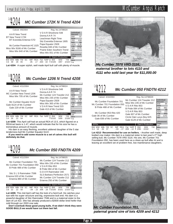#### *MC Cumber 172K N Trend 4204*  $^{Lot}4204$ Calved: 4/6/2004 Reg. No.14798020

| A A R New Trend               | Individual<br>VDAR Shoshone 548<br>Record<br>Donna A A R 74 |
|-------------------------------|-------------------------------------------------------------|
| BT New Trend 172K             | 97<br>BW                                                    |
| BT Everelda Entense 57D       | Leachman Right Time<br><b>WW</b>                            |
|                               | 205<br>639<br>Sitz Everelda Entense 1905                    |
|                               | 95<br><b>WR</b><br>Papa Equator 2928                        |
| Mc Cumber Powertrain HC 1025  | 3.35<br>ADG<br>YW<br>1022                                   |
| Miss Wix 9166 of Mc Cumber    | Rosetta 048 of Mc Cumber<br>365<br>1175                     |
|                               | Prairie Eden Southern Trend<br><b>YR</b>                    |
| Miss Wix 640 of Mc Cumber     | Miss Wix 051 of Mc Cumber                                   |
|                               | Ultrasound                                                  |
|                               | Data                                                        |
| <b>EPDs</b>                   | Dam's Production<br>IMF                                     |
| SC<br>RFA<br><b>BW</b><br>Fat | <b>YW</b><br><b>BW</b><br><b>WW</b><br>%RP<br><b>REA</b>    |
| 65<br>28<br>4.6<br>39<br>.05  | 4/97<br>.02<br>4/105<br>Fat                                 |

**Lot 4204**- A super stylish, well made April bull calf with plenty of muscle.

#### *Mc Cumber 1206 N Trend 4208* Lot<sub>4208</sub>

| Calved: 4/11/2004                                                                                                                                   |                                                                                                                                                                                                 | Reg. No.14798024                    |                                                                                 |                                 |
|-----------------------------------------------------------------------------------------------------------------------------------------------------|-------------------------------------------------------------------------------------------------------------------------------------------------------------------------------------------------|-------------------------------------|---------------------------------------------------------------------------------|---------------------------------|
| AAR New Trend<br>MC Cumber New Trend 1206<br>Miss Wix 705 of Mc Cumber<br>Mc Cumber Equator 6122<br>Gale 8124 of Mc Cumber<br>Gale 229 of Mc Cumber | VDAR Shoshone 548<br>Donna A A R 74<br>Mc Cumber 124 Traveler 212<br>Miss Wix 235 of Mc Cumber<br>Papa Equator 2928<br>Miss Wix 365 of Mc Cumber<br>VDAR New Trend 315<br>Gale 413 of Mc Cumber |                                     | Individual<br>Record<br><b>BW</b><br><b>WW</b><br>205<br><b>WR</b><br>ADG<br>YW | 95<br>669<br>99<br>3.25<br>1020 |
|                                                                                                                                                     |                                                                                                                                                                                                 |                                     | 365<br>YR<br><b>Ultrasound</b>                                                  | 1189                            |
| <b>EPD<sub>s</sub></b>                                                                                                                              |                                                                                                                                                                                                 | <b>Dam's Production</b><br>$\cdots$ | Data<br>IMF                                                                     |                                 |

**Lot 4208**- This April calf had an actual REA of 13.5, which figured on a BW WW Milk YW SC IMF REA Fat %RP BW WW 3.4 26 22 54 BW<br>5/102 REA ...<br>Fat .

REA/cwt basis is 1.47, which would indicate that for his size he has a tremendous amount of muscle.

His dam is an easy fleshing, excellent uddered daughter of the 5 star tenderness bull Mc Cumber Equator 6122.

**If you need to add some muscle to a set of calves this bull will definitely do that.**



| <u>MC Cumber 701 Foundation 030</u> | - 3 |
|-------------------------------------|-----|
| B Pride 488 of Mc Cumber            |     |
| Sitz SI S Rainmaker 7506            |     |

Sitz S L S Rainmaker 7596 SLS Barbara Perfection 2571<br>Erianna 020 of Mc Cumber Mc Cumber 124 Traveler 212<br>Erianna 880 of Mc Cumber Erianna 250 of Mc Cumber

| Mc Cumber Foundation 701                                 | Mc Cumber 124 Traveler 212<br>Miss Wix 235 of Mc Cumber | Individual<br>Record |      |
|----------------------------------------------------------|---------------------------------------------------------|----------------------|------|
| Mc Cumber 701 Foundation 050<br>B Pride 488 of Mc Cumber |                                                         | <b>BW</b>            | 97   |
|                                                          | VDAR Rito 953                                           | <b>WW</b>            |      |
|                                                          | B Pride 084 of Mc Cumber                                | 205                  | 620  |
|                                                          |                                                         | <b>WR</b>            | 92   |
| Sitz S L S Rainmaker 7596                                | G D A R Rainmaker 340                                   | l ADG                | 3.26 |
|                                                          | CLC Dorboro Dorfootion 2571                             | $\sqrt{W}$           | 966  |



**Lot 4209**- This mid April calf has the look of a herd bull. He catches your eye with his super structure and big, expressive butt end. His dam is a powerful daughter of Sitz Rainmaker 7596 and is a maternal sister to the dam of Lot 422. She has already produced a \$2600 dollar bred heifer that sold through our 2003 cow sale.

**Don't overlook these good young bulls. If we didn't think they were GOOD BULLS we would have cut them last fall.**



*maternal brother to lots 4110 and 4111 who sold last year for \$11,000.00*



**Lot 4212**- **Recommended for use on heifers. -** Another well made, deep bodied cow maker. His dam is a maternal sister to last year's 2<sup>nd</sup> high selling bull, Mc Cumber 7078 VRD 3116. His sire, Mc Cumber 701 Foundation 050, has been used here as a clean-up bull after AI and is leaving an excellent set of problem free, low maintenance daughters.



*paternal grand sire of lots 4209 and 4212*

### Annual Bull Sale, Friday, April 1, 2005 Metal Annual Bull Sale, Friday, April 1, 2005

365 1142 YR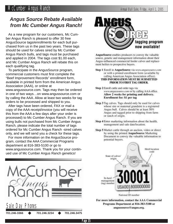### *Angus Source Rebate Available from Mc Cumber Angus Ranch!*

As a new program for our customers, Mc Cumber Angus Ranch is pleased to offer 30 free AngusSource tags/enrollments for each bull purchased from us in the past two years. These tags should be used for calves sired by Mc Cumber Angus Ranch bulls, and tags must be purchased and applied in 2004. The tags cost \$1.00 each, and Mc Cumber Angus Ranch will rebate this on each qualifying tag.

To participate in the AngusSource program, commercial customers must first complete the "Beef Improvement Records" enrollment form, available in printed form from the American Angus Association (AAA), or online at www.angussource.com. Tags may then be ordered in one of two ways…on www.angussource.com or by calling the AAA. Allow at least two weeks for tag orders to be processed and shipped to you.

After tags have been ordered, FAX or mail a copy of the AAA receipt/invoice (you will receive this from the AAA a few days after your order is processed) to Mc Cumber Angus Ranch. If you are using bulls not purchased from Mc Cumber Angus Ranch, please indicate the total number of tags ordered for Mc Cumber Angus Ranch -sired calves only, and we will send you a check for these tags.

For more information on the AngusSource program, contact the AAA Commercial Programs department at 816-383-5100 or go to www.angussource.com. Thank you for your continued use of Mc Cumber Angus Ranch genetics!



AngusSource enables producers to convey the valuable source, genetic and management information about their Angus-influenced commercial feeder calves and replacement heifers to prospective buyers.

Step 1 Enroll in AngusSource via www.angussource.com or with a printed enrollment form (available by calling American Angus Association office). THIS INFORMATION MUST BE SUBMITTED PRIOR TO FIRST TAG ORDER.

Step 2 Enroll cattle and order tags via www.angussource.com or by calling AAA office. Allow 2 weeks for printing and delivery. Enrollment fee: \$1 per tag

- Step 3 Tag calves. Tags should only be used for calves whose sire or maternal grandsire is a registered Angus bull. Calves should be at least 50% Angus and tagged prior to shipping from farm or ranch of origin.
- Step 4 Enter marketing information about the health, management and sale date/location.

Step 5 Market cattle through an auction, video or direct by using the printed AngusSource Marketing Document to convey the valuable information to potential buyers.



For more information, contact the AAA Commercial Programs Department at 816-383-5100 or angussource@angus.org.